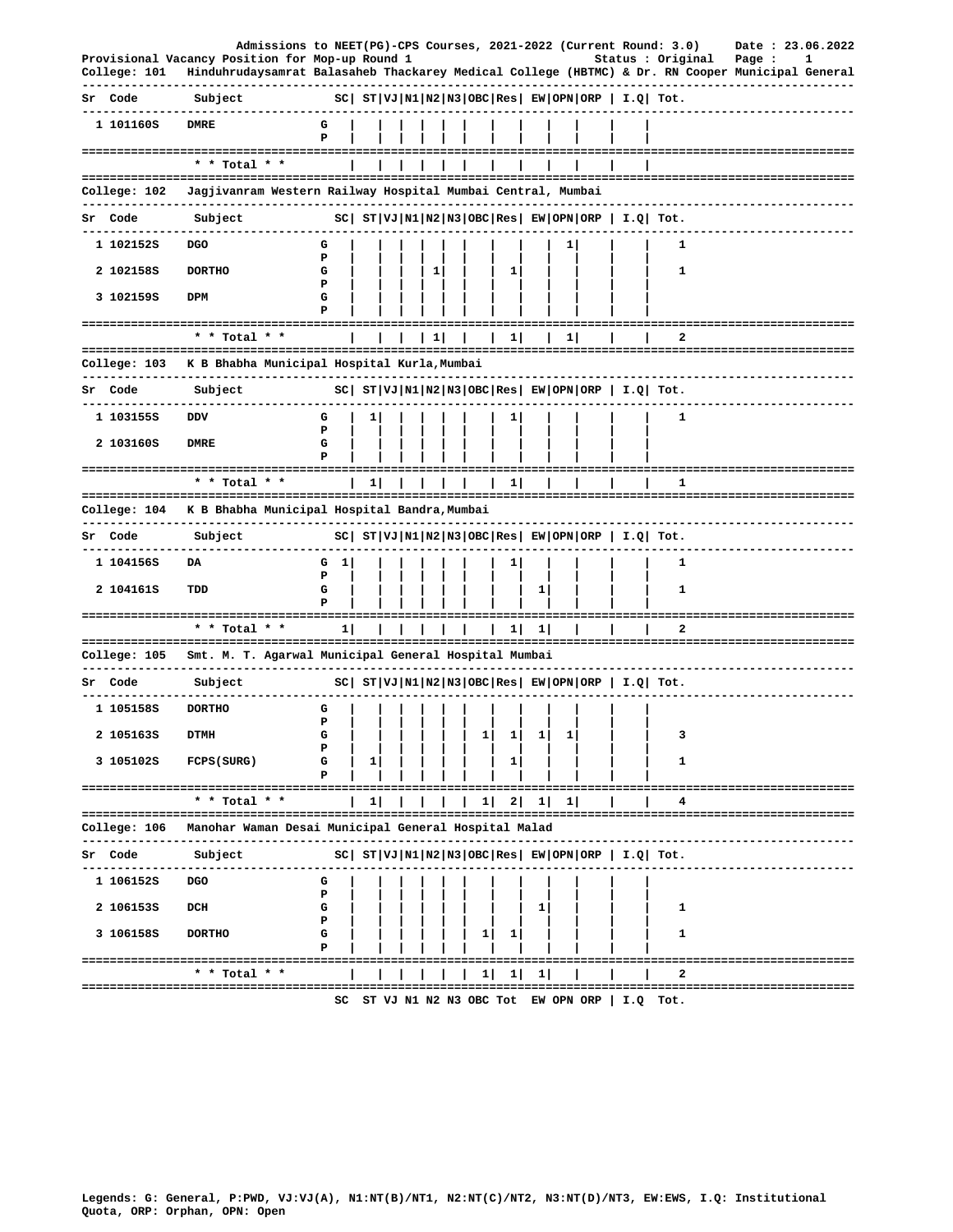|    | College: 101 | Admissions to NEET(PG)-CPS Courses, 2021-2022 (Current Round: 3.0)<br>Provisional Vacancy Position for Mop-up Round 1 |             |              |  |              |              |   |         |          |                                                                | Status : Original | Date: 23.06.2022<br>Page :<br>1<br>Hinduhrudaysamrat Balasaheb Thackarey Medical College (HBTMC) & Dr. RN Cooper Municipal General |  |
|----|--------------|-----------------------------------------------------------------------------------------------------------------------|-------------|--------------|--|--------------|--------------|---|---------|----------|----------------------------------------------------------------|-------------------|------------------------------------------------------------------------------------------------------------------------------------|--|
|    | Sr Code      | Subject                                                                                                               |             |              |  |              |              |   |         |          | $ SC $ $ST VJ N1 N2 N3 OBC Res $ $EW OPN ORP$   $I.Q$   $Tot.$ |                   |                                                                                                                                    |  |
|    | 1 101160S    | <b>DMRE</b>                                                                                                           | G<br>P      |              |  |              |              |   |         |          |                                                                |                   |                                                                                                                                    |  |
|    |              | ============================<br>* * Total * *                                                                         |             |              |  |              |              |   |         |          |                                                                |                   |                                                                                                                                    |  |
|    | College: 102 | Jagjivanram Western Railway Hospital Mumbai Central, Mumbai                                                           |             |              |  |              |              |   |         |          |                                                                |                   |                                                                                                                                    |  |
|    | Sr Code      | Subject                                                                                                               |             |              |  |              |              |   |         |          | $ SC $ $ST VJ N1 N2 N3 OBC Res EW OPN ORP  I.Q  Tot.$          |                   |                                                                                                                                    |  |
|    | 1 102152S    | DGO                                                                                                                   | G           |              |  |              |              |   |         | 1        |                                                                | 1                 |                                                                                                                                    |  |
|    | 2 1021585    | <b>DORTHO</b>                                                                                                         | P<br>G      |              |  | $\mathbf{1}$ |              | 1 |         |          |                                                                | 1                 |                                                                                                                                    |  |
|    | 3 102159S    | DPM                                                                                                                   | Р<br>G<br>P |              |  |              |              |   |         |          |                                                                |                   |                                                                                                                                    |  |
|    |              | ====================<br>* * Total * *                                                                                 |             |              |  | $\mathbf{1}$ |              | 1 |         | 1        |                                                                | 2                 |                                                                                                                                    |  |
|    | College: 103 | K B Bhabha Municipal Hospital Kurla, Mumbai                                                                           |             |              |  |              |              |   |         |          |                                                                |                   |                                                                                                                                    |  |
|    | Sr Code      | -------------------------<br>Subject                                                                                  |             |              |  |              |              |   |         |          | $ SC $ $ST VJ N1 N2 N3 OBC Res EW OPN ORP  I.Q  Tot.$          |                   |                                                                                                                                    |  |
|    | 1 1031555    | DDV                                                                                                                   | G           | 1            |  |              |              |   |         |          |                                                                | 1                 |                                                                                                                                    |  |
|    |              |                                                                                                                       | P           |              |  |              |              |   |         |          |                                                                |                   |                                                                                                                                    |  |
|    | 2 103160S    | DMRE                                                                                                                  | G<br>P      |              |  |              |              |   |         |          |                                                                |                   |                                                                                                                                    |  |
|    |              | ==================================<br>$*$ * Total * *                                                                 |             | 11           |  |              |              | ı |         |          |                                                                | 1                 | ---------------------                                                                                                              |  |
|    | College: 104 | K B Bhabha Municipal Hospital Bandra, Mumbai                                                                          |             |              |  |              |              |   |         |          |                                                                |                   |                                                                                                                                    |  |
|    | Sr Code      | Subject                                                                                                               |             |              |  |              |              |   |         |          | $ SC $ $ST VJ N1 N2 N3 OBC Res $ $EW OPN ORP$   $I.Q$ Tot.     |                   |                                                                                                                                    |  |
|    | 1 104156S    | DA                                                                                                                    | 1<br>G      |              |  |              |              |   |         |          |                                                                | 1                 |                                                                                                                                    |  |
|    | 2 104161S    | TDD                                                                                                                   | ъ<br>G      |              |  |              |              |   | 1       |          |                                                                | 1                 |                                                                                                                                    |  |
|    |              | ==========================                                                                                            | P           |              |  |              |              |   |         |          |                                                                |                   |                                                                                                                                    |  |
|    |              | * * Total * *                                                                                                         | $1\vert$    |              |  |              |              | 1 | 1       |          |                                                                | 2                 |                                                                                                                                    |  |
|    | College: 105 | Smt. M. T. Agarwal Municipal General Hospital Mumbai                                                                  |             |              |  |              |              |   |         |          |                                                                |                   |                                                                                                                                    |  |
|    | Sr Code      | Subject                                                                                                               |             |              |  |              |              |   |         |          | $ SC $ $ST VJ N1 N2 N3 OBC Res EW OPN ORP  I.Q  Tot.$          |                   |                                                                                                                                    |  |
|    | 1 105158S    | <b>DORTHO</b>                                                                                                         | G           |              |  |              |              |   |         |          |                                                                |                   |                                                                                                                                    |  |
|    | 2 105163S    | <b>DTMH</b>                                                                                                           | P<br>G      |              |  |              |              |   | 1  1  1 |          |                                                                |                   |                                                                                                                                    |  |
|    | 3 105102S    | FCPS (SURG)                                                                                                           | Р<br>G<br>Р | п.           |  |              |              |   |         |          |                                                                | 1                 |                                                                                                                                    |  |
|    |              | * * Total * *                                                                                                         |             | $\mathbf{1}$ |  |              | 1            | 2 | 1       | $1\vert$ |                                                                |                   | :========================                                                                                                          |  |
|    | College: 106 | Manohar Waman Desai Municipal General Hospital Malad                                                                  |             |              |  |              |              |   |         |          |                                                                |                   |                                                                                                                                    |  |
| Sr | Code         | Subject                                                                                                               |             |              |  |              |              |   |         |          | $ SC $ $ST VJ N1 N2 N3 OBC Res EW OPN ORP  I.Q  Tot.$          |                   |                                                                                                                                    |  |
|    | 1 106152S    | <b>DGO</b>                                                                                                            | G           |              |  |              |              |   |         |          |                                                                |                   |                                                                                                                                    |  |
|    | 2 106153S    | DCH                                                                                                                   | P<br>G      |              |  |              |              |   | 1       |          |                                                                | 1                 |                                                                                                                                    |  |
|    |              |                                                                                                                       | P           |              |  |              |              |   |         |          |                                                                |                   |                                                                                                                                    |  |
|    | 3 106158S    | <b>DORTHO</b>                                                                                                         | G<br>P      |              |  |              |              |   |         |          |                                                                | 1                 |                                                                                                                                    |  |
|    |              | ============<br>* * Total * *                                                                                         |             |              |  |              | $\mathbf{1}$ | 1 | 1       |          |                                                                |                   |                                                                                                                                    |  |
|    |              |                                                                                                                       | 50          |              |  |              |              |   |         |          | $ST$ V.T N1 N2 N3 ORC Tot FW ODN ORD IT O Tot                  |                   |                                                                                                                                    |  |

SC ST VJ N1 N2 N3 OBC Tot EW OPN ORP | I.Q Tot.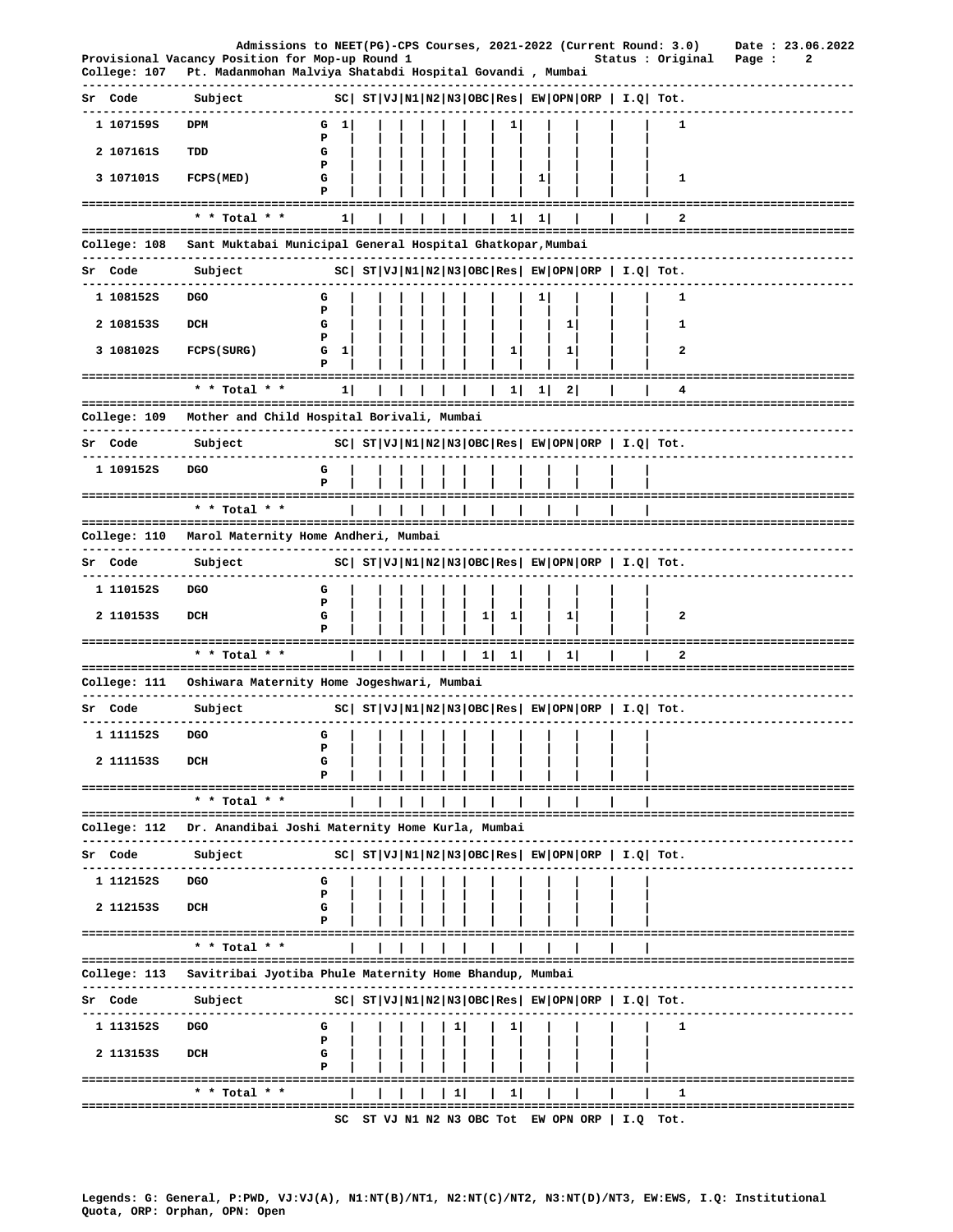|    | College: 107              | Admissions to NEET(PG)-CPS Courses, 2021-2022 (Current Round: 3.0)<br>Provisional Vacancy Position for Mop-up Round 1<br>Pt. Madanmohan Malviya Shatabdi Hospital Govandi , Mumbai |             |  |  |   |   |              |   |              |                                      | Status : Original                                           |            |                                        | Date: 23.06.2022<br>Page : |  | 2 |  |
|----|---------------------------|------------------------------------------------------------------------------------------------------------------------------------------------------------------------------------|-------------|--|--|---|---|--------------|---|--------------|--------------------------------------|-------------------------------------------------------------|------------|----------------------------------------|----------------------------|--|---|--|
| Sr | Code                      | Subject                                                                                                                                                                            |             |  |  |   |   |              |   |              |                                      | $ SC $ $ST VJ N1 N2 N3 OBC Res $ $EW OPN ORP $ $I.Q$ $Tot.$ |            |                                        |                            |  |   |  |
|    | 1 107159S                 | DPM                                                                                                                                                                                | G<br>п.     |  |  |   |   |              |   |              |                                      |                                                             | 1          |                                        |                            |  |   |  |
|    | 2 107161S                 | TDD                                                                                                                                                                                | Р<br>G      |  |  |   |   |              |   |              |                                      |                                                             |            |                                        |                            |  |   |  |
|    | 3 107101S                 | FCPS (MED)                                                                                                                                                                         | Р<br>G      |  |  |   |   |              | 1 |              |                                      |                                                             | 1          |                                        |                            |  |   |  |
|    |                           | * * Total * *                                                                                                                                                                      | 11          |  |  |   |   |              |   |              |                                      |                                                             | 2          |                                        |                            |  |   |  |
|    |                           |                                                                                                                                                                                    |             |  |  |   |   | 1            | 1 |              |                                      |                                                             |            |                                        |                            |  |   |  |
|    | College: 108              | Sant Muktabai Municipal General Hospital Ghatkopar, Mumbai                                                                                                                         |             |  |  |   |   |              |   |              |                                      |                                                             |            |                                        |                            |  |   |  |
|    | Sr Code                   | Subject                                                                                                                                                                            |             |  |  |   |   |              |   |              |                                      | $ SC $ $ST VJ N1 N2 N3 OBC Res $ $EW OPN ORP $ $I.Q$ $Tot.$ |            |                                        |                            |  |   |  |
|    | 1 108152S                 | DGO                                                                                                                                                                                | G<br>Р      |  |  |   |   |              | ı |              |                                      |                                                             | 1          |                                        |                            |  |   |  |
|    | 2 1081535                 | DCH                                                                                                                                                                                | G<br>P      |  |  |   |   |              |   | 1            |                                      |                                                             | 1          |                                        |                            |  |   |  |
|    | 3 108102S                 | FCPS (SURG)                                                                                                                                                                        | G<br>1<br>Р |  |  |   |   | ı            |   | 1            |                                      |                                                             | 2          |                                        |                            |  |   |  |
|    |                           | * * Total * *                                                                                                                                                                      | 11          |  |  |   |   | 1            | 1 | $\mathbf{2}$ |                                      |                                                             | 4          | -------------------------------------- |                            |  |   |  |
|    |                           | College: 109 Mother and Child Hospital Borivali, Mumbai                                                                                                                            |             |  |  |   |   |              |   |              |                                      |                                                             |            |                                        |                            |  |   |  |
|    | Sr Code                   | Subject                                                                                                                                                                            |             |  |  |   |   |              |   |              |                                      | $ SC $ $ST VJ N1 N2 N3 OBC Res $ $EW OPN ORP $ $I.Q$ $Tot.$ |            |                                        |                            |  |   |  |
|    | 1 109152S                 | <b>DGO</b>                                                                                                                                                                         | G<br>P      |  |  |   |   |              |   |              |                                      |                                                             |            |                                        |                            |  |   |  |
|    |                           | =====================================<br>* * Total * *                                                                                                                             |             |  |  |   |   |              |   |              |                                      |                                                             |            |                                        |                            |  |   |  |
|    |                           |                                                                                                                                                                                    |             |  |  |   |   |              |   |              |                                      |                                                             |            |                                        |                            |  |   |  |
|    | College: 110              | Marol Maternity Home Andheri, Mumbai                                                                                                                                               |             |  |  |   |   |              |   |              |                                      |                                                             |            |                                        |                            |  |   |  |
| Sr | Code                      | Subject                                                                                                                                                                            |             |  |  |   |   |              |   |              |                                      | $ SC $ $ST VJ N1 N2 N3 OBC Res $ $EW OPN ORP$   $I.Q$ Tot.  |            |                                        |                            |  |   |  |
|    | 1 110152S                 | DGO                                                                                                                                                                                | G<br>P      |  |  |   |   |              |   |              |                                      |                                                             |            |                                        |                            |  |   |  |
|    | 2 1101535                 | DCH                                                                                                                                                                                | G<br>Р      |  |  |   | ı | ı            |   | ı            |                                      |                                                             | 2          |                                        |                            |  |   |  |
|    | ========================= | * * Total * *                                                                                                                                                                      |             |  |  |   | 1 | $\mathbf{1}$ |   | 1            |                                      |                                                             | 2          |                                        |                            |  |   |  |
|    | College: 111              | Oshiwara Maternity Home Jogeshwari, Mumbai                                                                                                                                         |             |  |  |   |   |              |   |              |                                      |                                                             |            |                                        |                            |  |   |  |
|    | Sr Code                   | Subject                                                                                                                                                                            |             |  |  |   |   |              |   |              |                                      | $ SC $ $ST VJ N1 N2 N3 OBC Res $ $EW OPN ORP$   $I.Q$ Tot.  |            |                                        |                            |  |   |  |
|    | 1 111152s                 | <b>DGO</b>                                                                                                                                                                         | G           |  |  |   |   |              |   |              |                                      |                                                             |            |                                        |                            |  |   |  |
|    | 2 1111535                 | DCH                                                                                                                                                                                | Р<br>G      |  |  |   |   |              |   |              |                                      |                                                             |            |                                        |                            |  |   |  |
|    |                           | ----------------<br>* * Total * *                                                                                                                                                  |             |  |  |   |   |              |   |              |                                      |                                                             |            |                                        |                            |  |   |  |
|    | College: 112              | Dr. Anandibai Joshi Maternity Home Kurla, Mumbai                                                                                                                                   |             |  |  |   |   |              |   |              |                                      |                                                             |            |                                        |                            |  |   |  |
| Sr | Code                      | Subject                                                                                                                                                                            |             |  |  |   |   |              |   |              |                                      | $ SC $ $ST VJ N1 N2 N3 OBC Res EW OPN ORP  I.Q  Tot.$       |            |                                        |                            |  |   |  |
|    | 1 1121525                 | <b>DGO</b>                                                                                                                                                                         | G           |  |  |   |   |              |   |              |                                      |                                                             |            |                                        |                            |  |   |  |
|    |                           |                                                                                                                                                                                    | Р           |  |  |   |   |              |   |              |                                      |                                                             |            |                                        |                            |  |   |  |
|    | 2 1121535                 | DCH                                                                                                                                                                                | G<br>Р      |  |  |   |   |              |   |              |                                      |                                                             |            |                                        |                            |  |   |  |
|    |                           | * * Total * *                                                                                                                                                                      |             |  |  |   |   |              |   |              |                                      |                                                             |            |                                        |                            |  |   |  |
|    | College: 113              | Savitribai Jyotiba Phule Maternity Home Bhandup, Mumbai                                                                                                                            |             |  |  |   |   |              |   |              |                                      |                                                             |            |                                        |                            |  |   |  |
| Sr | Code                      | Subject                                                                                                                                                                            |             |  |  |   |   |              |   |              |                                      | $ SC $ $ST VJ N1 N2 N3 OBC Res EW OPN ORP   I.Q  Tot.$      |            |                                        |                            |  |   |  |
|    | 1 113152S                 | DGO                                                                                                                                                                                | G           |  |  |   |   |              |   |              |                                      |                                                             | 1          |                                        |                            |  |   |  |
|    |                           |                                                                                                                                                                                    | Р           |  |  |   |   |              |   |              |                                      |                                                             |            |                                        |                            |  |   |  |
|    | 2 1131535                 | DCH                                                                                                                                                                                | G<br>Р      |  |  |   |   |              |   |              |                                      |                                                             |            |                                        |                            |  |   |  |
|    |                           | * * Total *                                                                                                                                                                        |             |  |  | ı |   | ı.           |   |              |                                      |                                                             |            |                                        |                            |  |   |  |
|    |                           |                                                                                                                                                                                    |             |  |  |   |   |              |   |              | SC ST VJ N1 N2 N3 OBC Tot EW OPN ORP |                                                             | $I.Q$ Tot. |                                        |                            |  |   |  |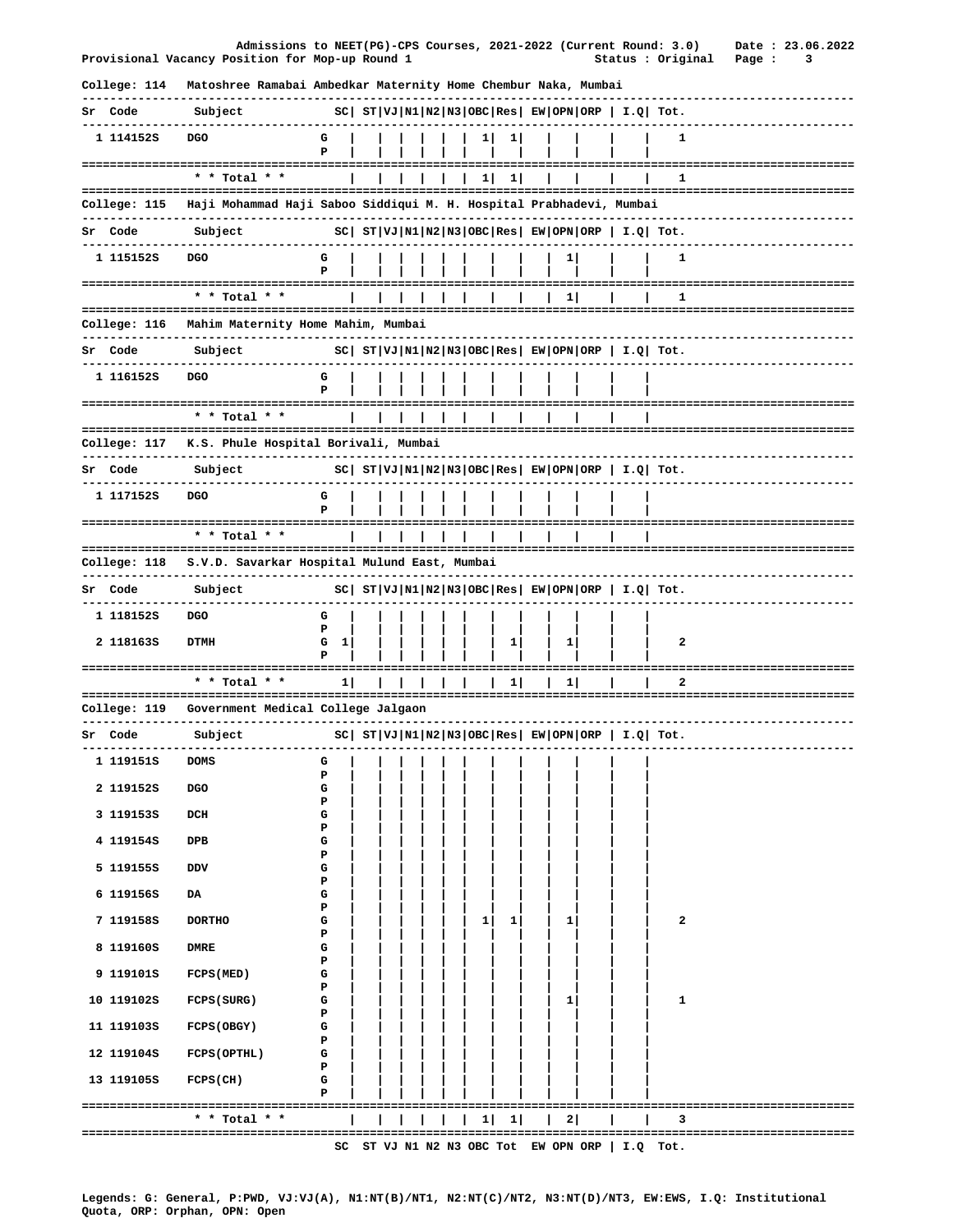|                         | Admissions to NEET(PG)-CPS Courses, 2021-2022 (Current Round: 3.0)<br>Provisional Vacancy Position for Mop-up Round 1 |                   |  |  |    |      |    |  | Status : Original                                              | Date: 23.06.2022<br>Page :<br>3 |  |
|-------------------------|-----------------------------------------------------------------------------------------------------------------------|-------------------|--|--|----|------|----|--|----------------------------------------------------------------|---------------------------------|--|
| College: 114            | Matoshree Ramabai Ambedkar Maternity Home Chembur Naka, Mumbai                                                        |                   |  |  |    |      |    |  |                                                                |                                 |  |
| Sr Code                 | Subject                                                                                                               |                   |  |  |    |      |    |  | $ SC $ $ST VJ N1 N2 N3 OBC Res $ $EW OPN ORP$   $I.Q$ Tot.     |                                 |  |
| 1 114152S               | <b>DGO</b>                                                                                                            | G<br>P            |  |  |    |      |    |  | 1                                                              |                                 |  |
|                         | * * Total * *                                                                                                         |                   |  |  | 11 | - 11 |    |  | Π.                                                             |                                 |  |
|                         | College: 115 Haji Mohammad Haji Saboo Siddiqui M. H. Hospital Prabhadevi, Mumbai                                      |                   |  |  |    |      |    |  |                                                                |                                 |  |
| Sr Code                 | Subject                                                                                                               |                   |  |  |    |      |    |  | $ SC $ $ST VJ N1 N2 N3 OBC Res $ $EW OPN ORP$   $I.Q$ Tot.     |                                 |  |
| 1 115152S               | <b>DGO</b>                                                                                                            | G<br>P            |  |  |    |      | 1  |  | 1                                                              |                                 |  |
|                         | * * Total * *                                                                                                         |                   |  |  |    |      | 11 |  | 1                                                              |                                 |  |
|                         | College: 116 Mahim Maternity Home Mahim, Mumbai                                                                       |                   |  |  |    |      |    |  |                                                                |                                 |  |
| Sr Code                 | Subject                                                                                                               |                   |  |  |    |      |    |  | $ SC $ $ST VJ N1 N2 N3 OBC Res $ $EW OPN ORP$   $I.Q$   $Tot.$ | ----------------------          |  |
| 1 116152S               | <b>DGO</b>                                                                                                            | G<br>P            |  |  |    |      |    |  |                                                                |                                 |  |
|                         | * * Total * *                                                                                                         |                   |  |  |    |      |    |  |                                                                |                                 |  |
|                         | College: 117 K.S. Phule Hospital Borivali, Mumbai                                                                     |                   |  |  |    |      |    |  |                                                                | --------------------------      |  |
| Sr Code                 | Subject                                                                                                               |                   |  |  |    |      |    |  | $ SC $ $ST VJ N1 N2 N3 OBC Res $ $EW OPN ORP$   $I.Q$ Tot.     |                                 |  |
| 1 117152S               | <b>DGO</b>                                                                                                            | G<br>P            |  |  |    |      |    |  |                                                                |                                 |  |
| ----------------------- | * * Total * *                                                                                                         |                   |  |  |    |      |    |  |                                                                |                                 |  |
| College: 118            | S.V.D. Savarkar Hospital Mulund East, Mumbai                                                                          |                   |  |  |    |      |    |  |                                                                |                                 |  |
| Sr Code                 | Subject                                                                                                               |                   |  |  |    |      |    |  | $ SC $ $ST VJ N1 N2 N3 OBC Res $ $EW OPN ORP$   $I.Q$ Tot.     |                                 |  |
| 1 118152S               | <b>DGO</b>                                                                                                            | G<br>$\mathbf{r}$ |  |  |    |      |    |  |                                                                |                                 |  |

\* \* Total \* \*  $1$  | | | | | | | 1| | 1| | | | 2  $= -1$ College: 119 Government Medical College Jalgaon ------------------------------------------------------------------Sr Code Subject  $|SC|$   $ST|VJ|N1|N2|N3|OBC|Res|EW|OPN|ORP|I.Q|Tot.$ ---------------------------- $---$ -------------------------1 119151S DOMS G  $\mathbf{P}$ 2 119152S DGO  ${\tt G}$  $\mathbf P$ 3 119153S  $DCH$ G  $\mathbf{P}$ 4 119154S  $DPB$  ${\bf G}$  $\, {\bf p}$ 5 119155S DDV G  $\mathbf{P}$ 6 119156S DA G  $\, {\bf p}$ 7 119158S **DORTHO** G  $\overline{2}$  $1$  $1$  $1 \vert$  $\mathbf{P}$ 8 119160S **DMRE** G  $\, {\bf P}$ 9 119101S FCPS (MED)  $\mathbf G$  $\mathbf{P}$ 

 $1\vert$ 

 $1\vert$ 

 $1\vert$ 

 $\overline{\mathbf{2}}$ 

 $\mathbf 1$ 

---------------------------------

------------------------------------

 $G 1$ 

 $\mathbf{P}$ 

 ${\bf G}$ 

 $\mathbf P$ 

 $\mathbf G$  $\mathbf{P}$ 

G  $\, {\bf P}$ 

 ${\bf G}$  $\bar{\mathbf{P}}$ 

2 118163S DTMH

10 119102S

11 119103S

12 119104S

13 119105S

FCPS (SURG)

FCPS (OBGY)

FCPS (OPTHL)

\* \* Total \* \*

FCPS(CH)

 $| | | | | | | | | | | 1 | | | 1 | | | | 2 | | | | | 3 |$ 

 $- -$ SC ST VJ N1 N2 N3 OBC Tot EW OPN ORP | I.Q Tot.

\_\_\_\_\_\_\_\_\_\_\_\_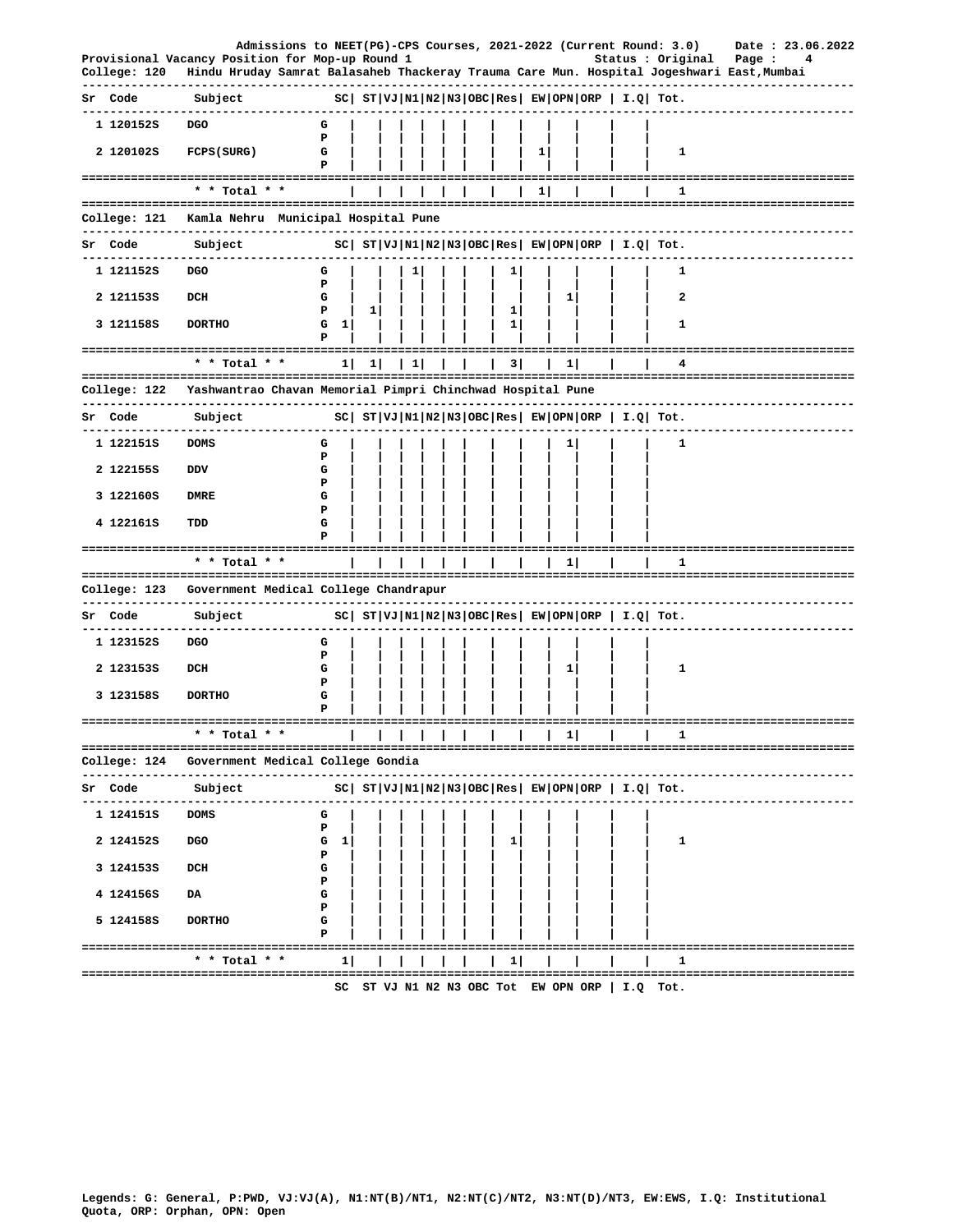|    | College: 120           | Admissions to NEET(PG)-CPS Courses, 2021-2022 (Current Round: 3.0)<br>Provisional Vacancy Position for Mop-up Round 1<br>Hindu Hruday Samrat Balasaheb Thackeray Trauma Care Mun. Hospital Jogeshwari East, Mumbai |             |   |   |  |              |   |   |                                   | Status : Original                                          | Date: 23.06.2022<br>Page :<br>4 |
|----|------------------------|--------------------------------------------------------------------------------------------------------------------------------------------------------------------------------------------------------------------|-------------|---|---|--|--------------|---|---|-----------------------------------|------------------------------------------------------------|---------------------------------|
|    | Sr Code                | Subject                                                                                                                                                                                                            |             |   |   |  |              |   |   |                                   | $ SC $ $ST VJ N1 N2 N3 OBC Res $ $EW OPN ORP$   $I.Q$ Tot. |                                 |
|    | 1 120152S<br>2 1201025 | <b>DGO</b><br>FCPS (SURG)                                                                                                                                                                                          | G<br>P<br>G |   |   |  |              | 1 |   |                                   | 1                                                          |                                 |
|    |                        | ==================================<br>* * Total * *                                                                                                                                                                |             |   |   |  |              | 1 |   |                                   | 1                                                          |                                 |
|    | College: 121           | Kamla Nehru Municipal Hospital Pune                                                                                                                                                                                |             |   |   |  |              |   |   |                                   |                                                            |                                 |
|    | Sr Code                | -----------------<br>Subject                                                                                                                                                                                       |             |   |   |  |              |   |   |                                   | $ SC $ $ST VJ N1 N2 N3 OBC Res EW OPN ORP  I.Q  Tot.$      |                                 |
|    | 1 121152S              | <b>DGO</b>                                                                                                                                                                                                         | G           |   |   |  |              |   |   |                                   | 1                                                          |                                 |
|    | 2 1211535              | DCH                                                                                                                                                                                                                | P<br>G      |   |   |  |              |   | 1 |                                   | 2                                                          |                                 |
|    | 3 121158S              | <b>DORTHO</b>                                                                                                                                                                                                      | Р<br>G<br>1 | 1 |   |  | 1<br>1       |   |   |                                   | 1                                                          |                                 |
|    |                        | ========<br>* * Total * *                                                                                                                                                                                          | 1           | 1 | ı |  | 3            |   | 1 |                                   |                                                            |                                 |
|    | College: 122           | Yashwantrao Chavan Memorial Pimpri Chinchwad Hospital Pune                                                                                                                                                         |             |   |   |  |              |   |   |                                   |                                                            |                                 |
|    | Sr Code                | Subject                                                                                                                                                                                                            |             |   |   |  |              |   |   |                                   | $ SC $ $ST VJ N1 N2 N3 OBC Res $ $EW OPN ORP$   $I.Q$ Tot. |                                 |
|    | 1 122151S              | <b>DOMS</b>                                                                                                                                                                                                        | G           |   |   |  |              |   |   |                                   | 1                                                          |                                 |
|    | 2 1221555              | DDV                                                                                                                                                                                                                | P<br>G      |   |   |  |              |   |   |                                   |                                                            |                                 |
|    | 3 122160S              | <b>DMRE</b>                                                                                                                                                                                                        | Р<br>G      |   |   |  |              |   |   |                                   |                                                            |                                 |
|    | 4 122161S              | TDD                                                                                                                                                                                                                | Р<br>G      |   |   |  |              |   |   |                                   |                                                            |                                 |
|    |                        | ================                                                                                                                                                                                                   |             |   |   |  |              |   |   |                                   |                                                            |                                 |
|    |                        | * * Total * *                                                                                                                                                                                                      |             |   |   |  |              |   | 1 |                                   | 1                                                          |                                 |
|    | College: 123           | Government Medical College Chandrapur                                                                                                                                                                              |             |   |   |  |              |   |   |                                   |                                                            |                                 |
| Sr | Code                   | Subject                                                                                                                                                                                                            |             |   |   |  |              |   |   |                                   | $ SC $ $ST VJ N1 N2 N3 OBC Res $ $EW OPN ORP$   $I.Q$ Tot. |                                 |
|    | 1 123152S              | DGO                                                                                                                                                                                                                | G           |   |   |  |              |   |   |                                   |                                                            |                                 |
|    | 2 1231535              | DCH                                                                                                                                                                                                                | P<br>G      |   |   |  |              |   | 1 |                                   | 1                                                          |                                 |
|    | 3 123158S              | <b>DORTHO</b>                                                                                                                                                                                                      | Р<br>G      |   |   |  |              |   |   |                                   |                                                            |                                 |
|    |                        | ---------------------------------<br>* Total                                                                                                                                                                       |             |   |   |  |              |   | 1 |                                   |                                                            | ============================    |
|    |                        | College: 124   Government Medical College Gondia                                                                                                                                                                   |             |   |   |  |              |   |   |                                   |                                                            |                                 |
|    | Sr Code                | Subject                                                                                                                                                                                                            |             |   |   |  |              |   |   |                                   | $ SC $ $ST VJ N1 N2 N3 OBC Res EW OPN ORP  I.Q  Tot.$      |                                 |
|    | 1 124151S              | --------------<br><b>DOMS</b>                                                                                                                                                                                      | G           |   |   |  |              |   |   |                                   |                                                            |                                 |
|    | 2 1241525              | DGO                                                                                                                                                                                                                | Р<br>G<br>1 |   |   |  | 1            |   |   |                                   | 1                                                          |                                 |
|    | 3 1241535              | DCH                                                                                                                                                                                                                | Р<br>G      |   |   |  |              |   |   |                                   |                                                            |                                 |
|    | 4 124156S              | DA                                                                                                                                                                                                                 | Р<br>G      |   |   |  |              |   |   |                                   |                                                            |                                 |
|    |                        |                                                                                                                                                                                                                    | Р           |   |   |  |              |   |   |                                   |                                                            |                                 |
|    | 5 124158S              | <b>DORTHO</b>                                                                                                                                                                                                      | G<br>Р      |   |   |  |              |   |   |                                   |                                                            |                                 |
|    |                        | ------------------------<br>* * Total * *                                                                                                                                                                          | 1           |   |   |  | $\mathbf{L}$ |   |   |                                   | 1                                                          | -------------------------       |
|    |                        |                                                                                                                                                                                                                    | SC          |   |   |  |              |   |   | ST VJ N1 N2 N3 OBC Tot EW OPN ORP | I.Q Tot.                                                   |                                 |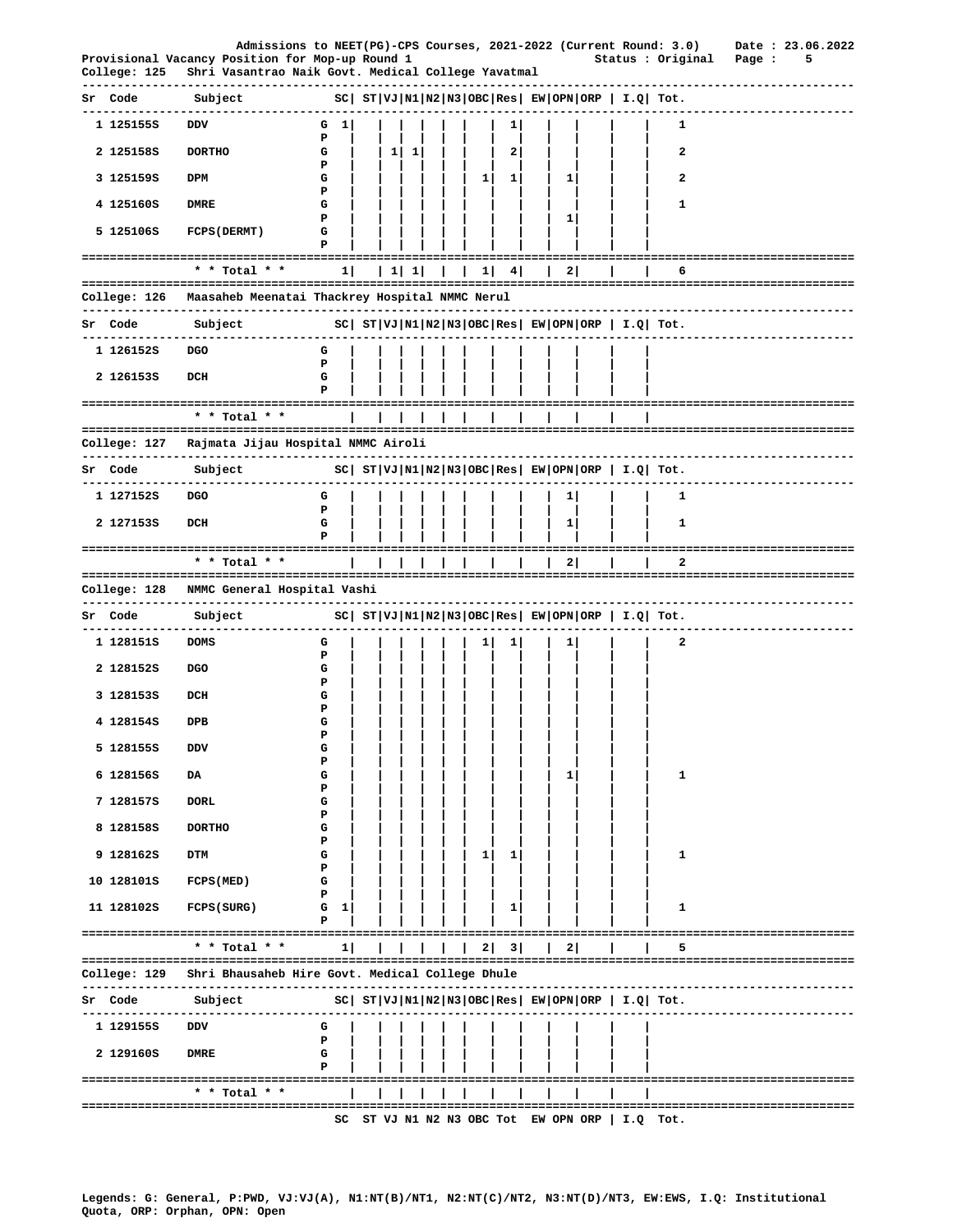|                           | Admissions to NEET(PG)-CPS Courses, 2021-2022 (Current Round: 3.0)                                    |             |          |           |  |    |                 |              |                                   |     |                                                              | Date: 23.06.2022                       |  |
|---------------------------|-------------------------------------------------------------------------------------------------------|-------------|----------|-----------|--|----|-----------------|--------------|-----------------------------------|-----|--------------------------------------------------------------|----------------------------------------|--|
| College: 125              | Provisional Vacancy Position for Mop-up Round 1<br>Shri Vasantrao Naik Govt. Medical College Yavatmal |             |          |           |  |    |                 |              |                                   |     | Status : Original                                            | Page :<br>5                            |  |
| Sr Code<br>. <u>.</u> .   | Subject                                                                                               |             |          |           |  |    |                 |              |                                   |     | $ SC $ $ST VJ N1 N2 N3 OBC Res EW OPN ORP  I.Q  Tot.$        |                                        |  |
| 1 1251555                 | DDV                                                                                                   | 1 <br>G     |          |           |  |    | ı               |              |                                   |     | 1                                                            |                                        |  |
| 2 1251585                 | <b>DORTHO</b>                                                                                         | P<br>G<br>Р | $1\vert$ | $\vert$ 1 |  |    | 2               |              |                                   |     | 2                                                            |                                        |  |
| 3 125159S                 | DPM                                                                                                   | G           |          |           |  | 11 | $1\vert$        | $1 \mid$     |                                   |     | 2                                                            |                                        |  |
| 4 125160S                 | DMRE                                                                                                  | Ъ<br>G      |          |           |  |    |                 |              |                                   |     | 1                                                            |                                        |  |
| 5 125106S                 | FCPS (DERMT)                                                                                          | P<br>G      |          |           |  |    |                 | $\mathbf{1}$ |                                   |     |                                                              |                                        |  |
|                           |                                                                                                       | Р           |          |           |  |    |                 |              |                                   |     |                                                              | -------------------------------------  |  |
|                           | * * Total * *                                                                                         | 1           |          | 1111      |  |    | $1 \mid 4 \mid$ | 2            |                                   |     | 6                                                            |                                        |  |
|                           | -------------------------------------                                                                 |             |          |           |  |    |                 |              |                                   |     |                                                              | ------------------------------         |  |
| Sr Code                   | Subject                                                                                               |             |          |           |  |    |                 |              |                                   |     | $ SC $ $ST VJ N1 N2 N3 OBC Res EW OPN ORP I.Q Tot.$          |                                        |  |
| 1 126152S                 | DGO                                                                                                   | G           |          |           |  |    |                 |              |                                   |     |                                                              |                                        |  |
| 2 1261535                 | DCH                                                                                                   | Ъ<br>G      |          |           |  |    |                 |              |                                   |     |                                                              |                                        |  |
|                           | ====================================                                                                  |             |          |           |  |    |                 |              |                                   |     |                                                              |                                        |  |
|                           | * * Total * *                                                                                         |             |          |           |  |    |                 |              |                                   |     |                                                              |                                        |  |
| College: 127              | Rajmata Jijau Hospital NMMC Airoli                                                                    |             |          |           |  |    |                 |              |                                   |     |                                                              |                                        |  |
| Sr Code<br>-------------- | Subject                                                                                               |             |          |           |  |    |                 |              |                                   |     | $ SC $ $ST VJ N1 N2 N3 OBC Res $ $EW OPN ORP $ $I.Q $ $Tot.$ |                                        |  |
| 1 127152S                 | <b>DGO</b>                                                                                            | G           |          |           |  |    |                 | 1            |                                   |     | 1                                                            |                                        |  |
| 2 1271535                 | DCH                                                                                                   | P<br>G      |          |           |  |    |                 | $\mathbf{1}$ |                                   |     | 1                                                            |                                        |  |
|                           | ------------------------------------                                                                  | Р           |          |           |  |    |                 |              |                                   |     |                                                              | -------------------------------------- |  |
|                           | * * Total * *                                                                                         |             |          |           |  |    |                 | 2            |                                   |     | 2                                                            |                                        |  |
| College: 128              | NMMC General Hospital Vashi                                                                           |             |          |           |  |    |                 |              |                                   |     |                                                              |                                        |  |
| Sr Code                   | Subject                                                                                               |             |          |           |  |    |                 |              |                                   |     | $ SC $ $ST VJ N1 N2 N3 OBC Res EW OPN ORP  I.Q  Tot.$        |                                        |  |
| 1 128151S                 | <b>DOMS</b>                                                                                           | G<br>Р      |          |           |  |    |                 | 1            |                                   |     | 2                                                            |                                        |  |
| 2 1281525                 | <b>DGO</b>                                                                                            | G           |          |           |  |    |                 |              |                                   |     |                                                              |                                        |  |
| 3 1281535                 | DCH                                                                                                   | P<br>G      |          |           |  |    |                 |              |                                   |     |                                                              |                                        |  |
| 4 128154S                 | DPB                                                                                                   | Р<br>G      |          |           |  |    |                 |              |                                   |     |                                                              |                                        |  |
| 5 1281555                 | DDV                                                                                                   | P<br>G      |          |           |  |    |                 |              |                                   |     |                                                              |                                        |  |
|                           |                                                                                                       | Р           |          |           |  |    |                 |              |                                   |     |                                                              |                                        |  |
| 6 128156S                 | DA                                                                                                    | G<br>Р      |          |           |  |    |                 | 1            |                                   |     | 1                                                            |                                        |  |
| 7 128157S                 | <b>DORL</b>                                                                                           | G<br>Р      |          |           |  |    |                 |              |                                   |     |                                                              |                                        |  |
| 8 1281585                 | <b>DORTHO</b>                                                                                         | G           |          |           |  |    |                 |              |                                   |     |                                                              |                                        |  |
| 9 1281625                 | DTM                                                                                                   | Р<br>G      |          |           |  | 1  | 1               |              |                                   |     | 1                                                            |                                        |  |
| 10 128101S                | FCPS (MED)                                                                                            | ъ<br>G      |          |           |  |    |                 |              |                                   |     |                                                              |                                        |  |
| 11 128102S                | FCPS (SURG)                                                                                           | Р<br>G<br>1 |          |           |  |    | ı               |              |                                   |     | 1                                                            |                                        |  |
|                           | ------------------------------------                                                                  | P           |          |           |  |    |                 |              |                                   |     |                                                              |                                        |  |
|                           | * * Total * *                                                                                         | 1           |          |           |  | 21 | 3               | 2            |                                   |     | 5                                                            |                                        |  |
| College: 129              | Shri Bhausaheb Hire Govt. Medical College Dhule                                                       |             |          |           |  |    |                 |              |                                   |     |                                                              |                                        |  |
| Sr Code                   | Subject                                                                                               |             |          |           |  |    |                 |              |                                   |     | $ SC $ $ST VJ N1 N2 N3 OBC Res $ $EW OPN ORP$   $I.Q$ Tot.   |                                        |  |
| 1 1291555                 | DDV                                                                                                   | G           |          |           |  |    |                 |              |                                   |     |                                                              |                                        |  |
| 2 129160S                 | <b>DMRE</b>                                                                                           | P<br>G      |          |           |  |    |                 |              |                                   |     |                                                              |                                        |  |
|                           |                                                                                                       | Р           |          |           |  |    |                 |              |                                   |     |                                                              |                                        |  |
|                           | * * Total * *<br>----------------------------------                                                   |             |          |           |  |    |                 |              |                                   |     |                                                              | =================================      |  |
|                           |                                                                                                       | sc          |          |           |  |    |                 |              | ST VJ N1 N2 N3 OBC Tot EW OPN ORP | I.Q | Tot.                                                         |                                        |  |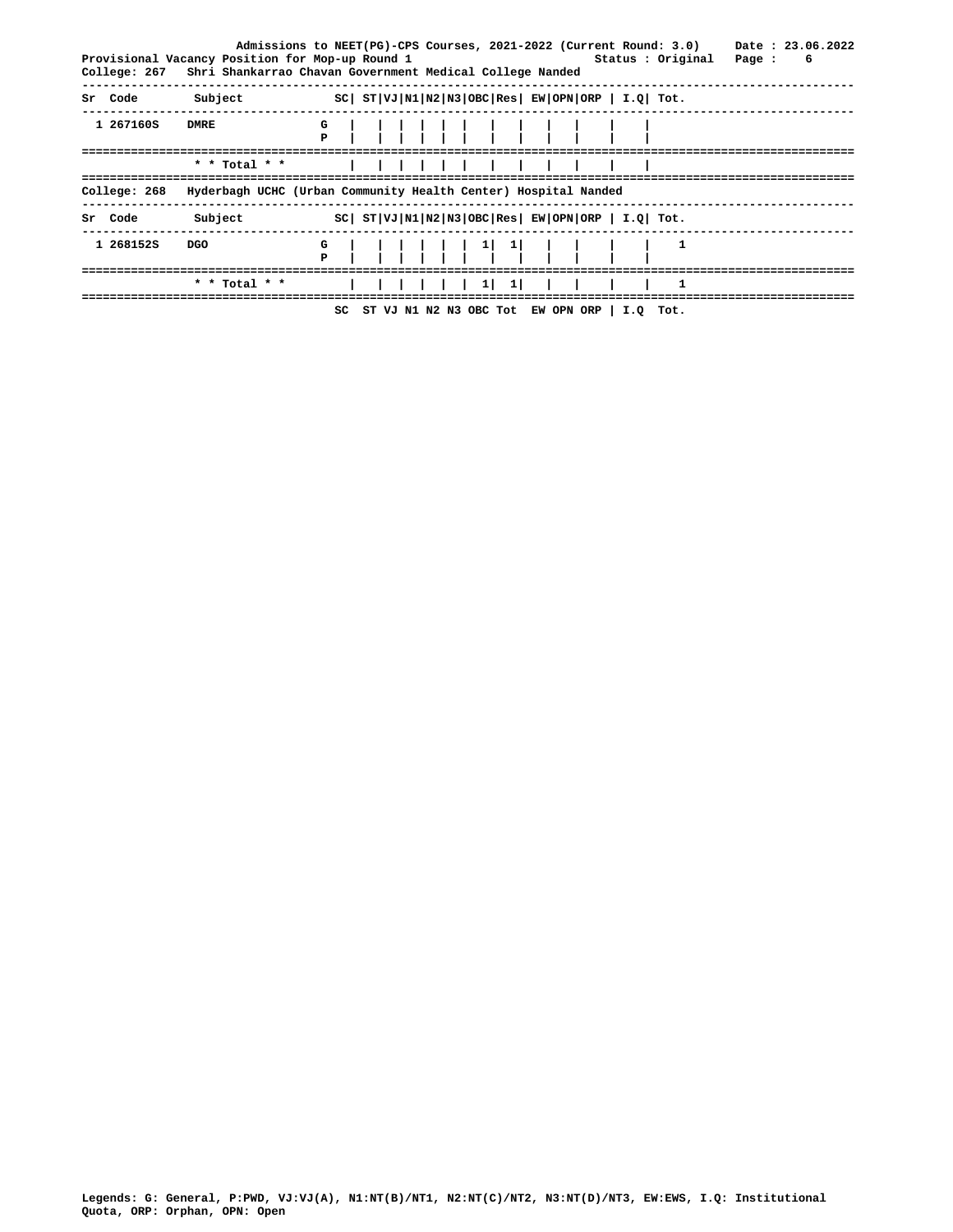|                |               | Admissions to NEET(PG)-CPS Courses, 2021-2022 (Current Round: 3.0)<br>Provisional Vacancy Position for Mop-up Round 1<br>Status : Original<br>College: 267 Shri Shankarrao Chavan Government Medical College Nanded | Date: 23.06.2022<br>Page :<br>6 |
|----------------|---------------|---------------------------------------------------------------------------------------------------------------------------------------------------------------------------------------------------------------------|---------------------------------|
| Sr Code        | Subject       | $ SC $ $ST VJ N1 N2 N3 OBC Res $ $EW OPN ORP$   $I.Q$   $Tot.$                                                                                                                                                      |                                 |
| 1 267160S      | <b>DMRE</b>   |                                                                                                                                                                                                                     |                                 |
|                | * * Total * * |                                                                                                                                                                                                                     |                                 |
| College: 268   |               | Hyderbagh UCHC (Urban Community Health Center) Hospital Nanded                                                                                                                                                      |                                 |
| <b>Sr</b> Code | Subject       | $ SC $ $ST VJ N1 N2 N3 OBC Res $ $EW OPN ORP$   $I.Q$   $Tot.$                                                                                                                                                      |                                 |
| 1 2681525      | DGO           |                                                                                                                                                                                                                     |                                 |
|                |               |                                                                                                                                                                                                                     |                                 |
|                |               | SC ST VJ N1 N2 N3 OBC Tot EW OPN ORP   I.Q Tot.                                                                                                                                                                     |                                 |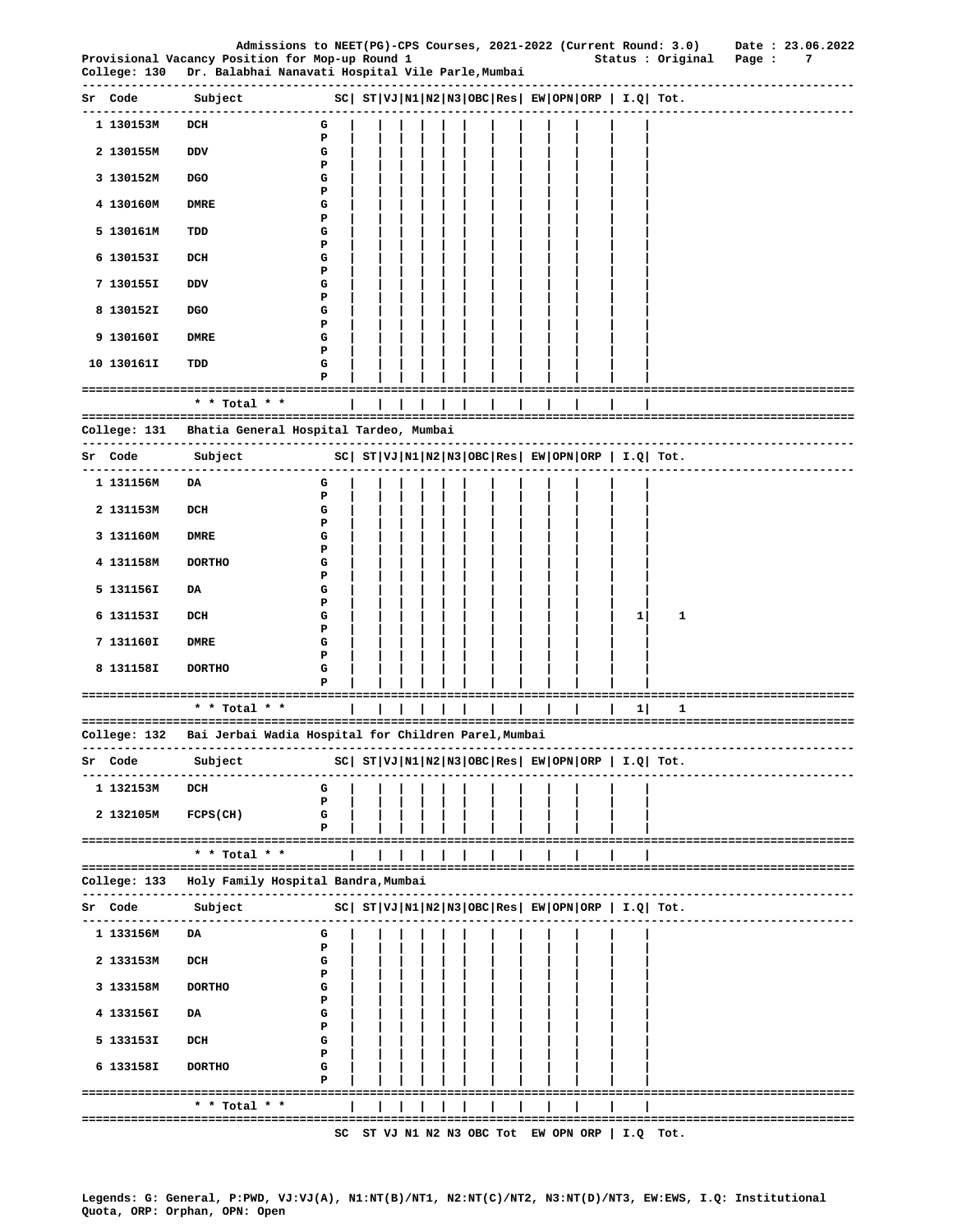|                           | Provisional Vacancy Position for Mop-up Round 1<br>College: 130   Dr. Balabhai Nanavati Hospital Vile Parle,Mumbai |                                                                     |  |  |                |  |  |              | Status : Original Page :                                    | Admissions to NEET(PG)-CPS Courses, 2021-2022 (Current Round: 3.0) Date : 23.06.2022<br>7 |
|---------------------------|--------------------------------------------------------------------------------------------------------------------|---------------------------------------------------------------------|--|--|----------------|--|--|--------------|-------------------------------------------------------------|-------------------------------------------------------------------------------------------|
| ----------<br>Sr Code     | ---------------<br>Subject                                                                                         | $ SC $ $ST VJ N1 N2 N3 OBC Res $ $EW OPN ORP$   $I.Q$ Tot.          |  |  |                |  |  |              |                                                             |                                                                                           |
| ------------<br>1 130153M | -------------<br>DCH                                                                                               | G                                                                   |  |  |                |  |  |              |                                                             |                                                                                           |
| 2 130155M                 | DDV                                                                                                                | Р<br>G                                                              |  |  |                |  |  |              |                                                             |                                                                                           |
| 3 130152M                 | <b>DGO</b>                                                                                                         | Р<br>G                                                              |  |  |                |  |  |              |                                                             |                                                                                           |
| 4 130160M                 | <b>DMRE</b>                                                                                                        | Р<br>G                                                              |  |  |                |  |  |              |                                                             |                                                                                           |
| 5 130161M                 | TDD                                                                                                                | Р<br>G                                                              |  |  |                |  |  |              |                                                             |                                                                                           |
| 6 130153I                 | DCH                                                                                                                | Р<br>G                                                              |  |  |                |  |  |              |                                                             |                                                                                           |
| 7 130155I                 | DDV                                                                                                                | Р<br>G                                                              |  |  |                |  |  |              |                                                             |                                                                                           |
| 8 130152I                 | <b>DGO</b>                                                                                                         | Р<br>G                                                              |  |  |                |  |  |              |                                                             |                                                                                           |
| 9 130160I                 | DMRE                                                                                                               | Р<br>G                                                              |  |  |                |  |  |              |                                                             |                                                                                           |
| 10 130161I                | TDD                                                                                                                | Р<br>G                                                              |  |  |                |  |  |              |                                                             |                                                                                           |
|                           | ====================================                                                                               | Р                                                                   |  |  | ============== |  |  |              |                                                             |                                                                                           |
|                           | * * Total * *                                                                                                      |                                                                     |  |  |                |  |  |              |                                                             |                                                                                           |
|                           | College: 131 - Bhatia General Hospital Tardeo, Mumbai                                                              |                                                                     |  |  |                |  |  |              |                                                             |                                                                                           |
| Sr Code                   | Subject<br>--------------------------                                                                              | $SC \mid ST VJ N1 N2 N3 OBC Res \mid EW OPN ORP \mid I.Q \mid Tot.$ |  |  |                |  |  |              |                                                             |                                                                                           |
| 1 131156M                 | DA                                                                                                                 | G                                                                   |  |  |                |  |  |              |                                                             |                                                                                           |
| 2 131153M                 | DCH                                                                                                                | Р<br>G                                                              |  |  |                |  |  |              |                                                             |                                                                                           |
| 3 131160M                 | DMRE                                                                                                               | Р<br>G                                                              |  |  |                |  |  |              |                                                             |                                                                                           |
| 4 131158M                 | <b>DORTHO</b>                                                                                                      | Р<br>G                                                              |  |  |                |  |  |              |                                                             |                                                                                           |
| 5 131156I                 | DA                                                                                                                 | Р<br>G                                                              |  |  |                |  |  |              |                                                             |                                                                                           |
| 6 131153I                 | DCH                                                                                                                | Р<br>G                                                              |  |  |                |  |  | $\mathbf{1}$ | 1                                                           |                                                                                           |
| 7 131160I                 | <b>DMRE</b>                                                                                                        | Р<br>G                                                              |  |  |                |  |  |              |                                                             |                                                                                           |
| 8 131158I                 | <b>DORTHO</b>                                                                                                      | Р<br>G                                                              |  |  |                |  |  |              |                                                             |                                                                                           |
|                           | -------------------------------------                                                                              | P                                                                   |  |  |                |  |  |              |                                                             | --------------------------------------                                                    |
|                           | * * Total * *                                                                                                      |                                                                     |  |  |                |  |  | 11           | 1                                                           |                                                                                           |
| College: 132              | Bai Jerbai Wadia Hospital for Children Parel, Mumbai                                                               |                                                                     |  |  |                |  |  |              |                                                             |                                                                                           |
| Sr Code<br>.              | Subject<br>-----------                                                                                             |                                                                     |  |  |                |  |  |              | $ SC $ $ST VJ N1 N2 N3 OBC Res EW OPN ORP  I.Q  Tot.$       |                                                                                           |
| 1 132153M                 | DCH                                                                                                                | G<br>Р                                                              |  |  |                |  |  |              |                                                             |                                                                                           |
| 2 132105M                 | $FCPS$ (CH)                                                                                                        | G<br>Р                                                              |  |  |                |  |  |              |                                                             |                                                                                           |
|                           | $*$ * Total * *                                                                                                    |                                                                     |  |  |                |  |  |              |                                                             |                                                                                           |
|                           | College: 133   Holy Family Hospital Bandra,Mumbai                                                                  |                                                                     |  |  |                |  |  |              |                                                             |                                                                                           |
| Sr Code                   | Subject                                                                                                            |                                                                     |  |  |                |  |  |              | $ SC $ $ST VJ N1 N2 N3 OBC Res $ $EW OPN ORP $ $I.Q$ $Tot.$ |                                                                                           |
| 1 133156M                 | -------------<br>DA                                                                                                | G                                                                   |  |  |                |  |  |              |                                                             |                                                                                           |
| 2 133153M                 | DCH                                                                                                                | Р<br>G                                                              |  |  |                |  |  |              |                                                             |                                                                                           |
|                           |                                                                                                                    | Р                                                                   |  |  |                |  |  |              |                                                             |                                                                                           |
| 3 133158M                 | <b>DORTHO</b>                                                                                                      | G<br>Р                                                              |  |  |                |  |  |              |                                                             |                                                                                           |
| 4 133156I                 | DA                                                                                                                 | G<br>Р                                                              |  |  |                |  |  |              |                                                             |                                                                                           |
| 5 133153I                 | DCH                                                                                                                | G<br>Р                                                              |  |  |                |  |  |              |                                                             |                                                                                           |
| 6 133158I                 | <b>DORTHO</b>                                                                                                      | G<br>Р                                                              |  |  |                |  |  |              |                                                             |                                                                                           |
|                           | ------------------------------------<br>* * Total * *                                                              |                                                                     |  |  |                |  |  |              |                                                             |                                                                                           |
|                           |                                                                                                                    | SC                                                                  |  |  |                |  |  |              | ST VJ N1 N2 N3 OBC Tot EW OPN ORP   I.Q Tot.                | ==================================                                                        |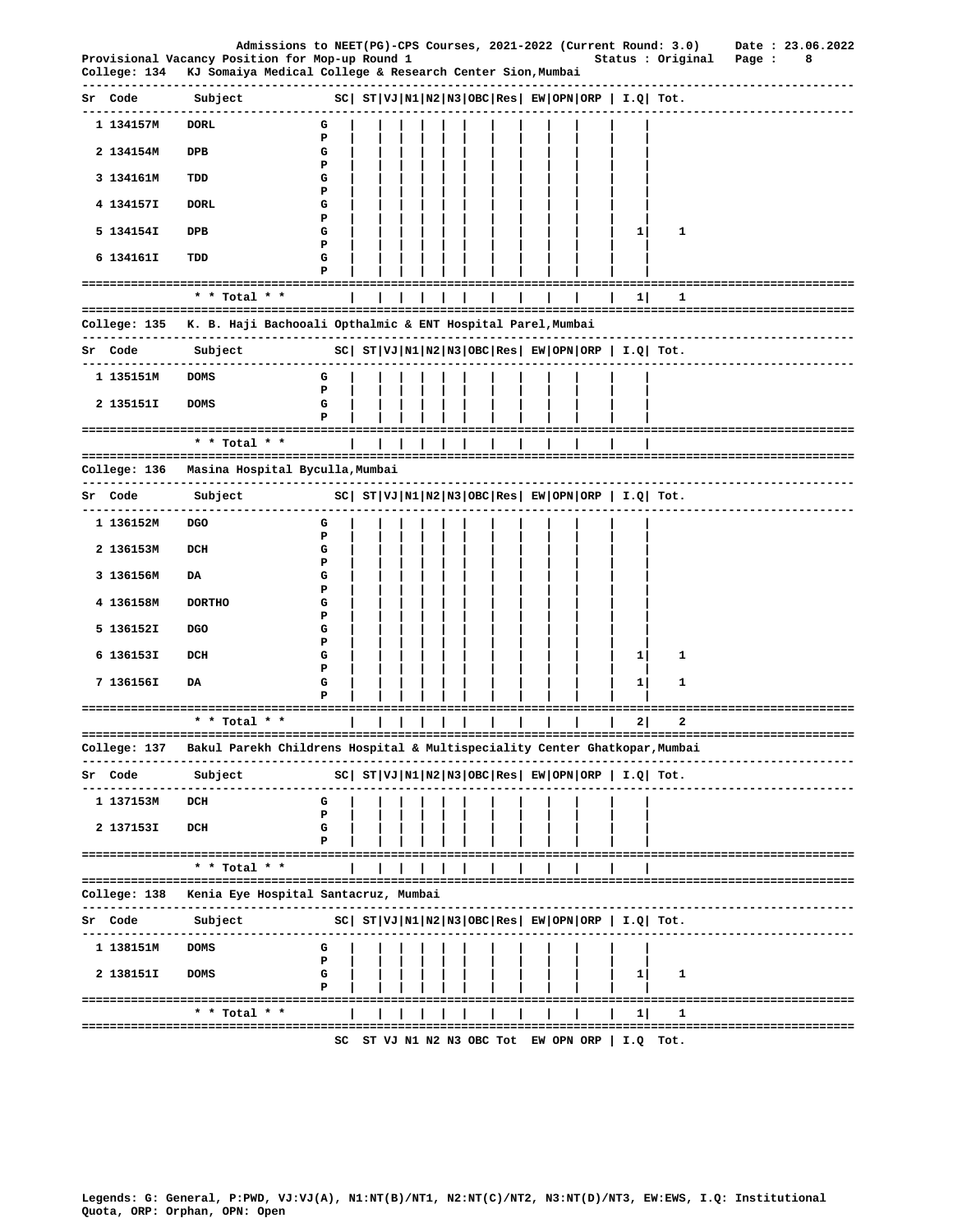|                            | Admissions to NEET(PG)-CPS Courses, 2021-2022 (Current Round: 3.0)                                           |                  |  |  |  |  |  |                                                             |                                                                                                 |                             | Date: 23.06.2022     |
|----------------------------|--------------------------------------------------------------------------------------------------------------|------------------|--|--|--|--|--|-------------------------------------------------------------|-------------------------------------------------------------------------------------------------|-----------------------------|----------------------|
| College: 134               | Provisional Vacancy Position for Mop-up Round 1<br>KJ Somaiya Medical College & Research Center Sion, Mumbai |                  |  |  |  |  |  |                                                             | Status : Original                                                                               | Page :                      | 8                    |
| Sr Code                    | Subject                                                                                                      |                  |  |  |  |  |  |                                                             | $ SC $ $ST VJ N1 N2 N3 OBC Res $ $EW OPN ORP $ $I.Q$ $Tot.$                                     |                             |                      |
| 1 134157M                  | <b>DORL</b>                                                                                                  | G                |  |  |  |  |  |                                                             |                                                                                                 |                             | -------------------- |
|                            |                                                                                                              | P                |  |  |  |  |  |                                                             |                                                                                                 |                             |                      |
| 2 134154M                  | DPB                                                                                                          | G<br>Р           |  |  |  |  |  |                                                             |                                                                                                 |                             |                      |
| 3 134161M                  | TDD                                                                                                          | G                |  |  |  |  |  |                                                             |                                                                                                 |                             |                      |
| 4 134157I                  | <b>DORL</b>                                                                                                  | Р<br>G           |  |  |  |  |  |                                                             |                                                                                                 |                             |                      |
| 5 134154I                  | DPB                                                                                                          | P<br>G           |  |  |  |  |  | 11                                                          | 1                                                                                               |                             |                      |
|                            |                                                                                                              | Ъ                |  |  |  |  |  |                                                             |                                                                                                 |                             |                      |
| 6 134161I                  | TDD                                                                                                          | G<br>Р           |  |  |  |  |  |                                                             |                                                                                                 |                             |                      |
|                            | * * Total * *                                                                                                |                  |  |  |  |  |  | =====<br>11                                                 | 1                                                                                               |                             |                      |
|                            | College: 135 K. B. Haji Bachooali Opthalmic & ENT Hospital Parel, Mumbai                                     |                  |  |  |  |  |  |                                                             |                                                                                                 |                             |                      |
| Sr Code                    | ------------------------------------<br>Subject                                                              |                  |  |  |  |  |  |                                                             | --------------------------------<br>$ SC $ $ST VJ N1 N2 N3 OBC Res $ $EW OPN ORP $ $I.Q$ $Tot.$ |                             |                      |
|                            |                                                                                                              |                  |  |  |  |  |  |                                                             |                                                                                                 |                             |                      |
| 1 135151M                  | <b>DOMS</b>                                                                                                  | G<br>P           |  |  |  |  |  |                                                             |                                                                                                 |                             |                      |
| 2 135151I                  | <b>DOMS</b>                                                                                                  | G<br>P           |  |  |  |  |  |                                                             |                                                                                                 |                             |                      |
|                            | * * Total * *                                                                                                |                  |  |  |  |  |  |                                                             |                                                                                                 |                             |                      |
|                            | College: 136 Masina Hospital Byculla, Mumbai                                                                 |                  |  |  |  |  |  |                                                             |                                                                                                 |                             |                      |
|                            | -------------------------------------                                                                        |                  |  |  |  |  |  |                                                             |                                                                                                 |                             |                      |
| Sr Code<br>------------    | Subject                                                                                                      |                  |  |  |  |  |  |                                                             | $ SC $ $ST VJ N1 N2 N3 OBC Res EW OPN ORP  I.Q  Tot.$                                           | ------------------------    |                      |
| 1 136152M                  | <b>DGO</b>                                                                                                   | G<br>P           |  |  |  |  |  |                                                             |                                                                                                 |                             |                      |
| 2 136153M                  | DCH                                                                                                          | G                |  |  |  |  |  |                                                             |                                                                                                 |                             |                      |
| 3 136156M                  | DA                                                                                                           | Ъ<br>G           |  |  |  |  |  |                                                             |                                                                                                 |                             |                      |
| 4 136158M                  | <b>DORTHO</b>                                                                                                | Р<br>G           |  |  |  |  |  |                                                             |                                                                                                 |                             |                      |
|                            |                                                                                                              | Р                |  |  |  |  |  |                                                             |                                                                                                 |                             |                      |
| 5 136152I                  | <b>DGO</b>                                                                                                   | G<br>P           |  |  |  |  |  |                                                             |                                                                                                 |                             |                      |
| 6 136153I                  | DCH                                                                                                          | G<br>Р           |  |  |  |  |  | 1                                                           | 1                                                                                               |                             |                      |
| 7 136156I                  | DA                                                                                                           | G                |  |  |  |  |  | 1                                                           | 1                                                                                               |                             |                      |
| -------------------------- |                                                                                                              | Р<br>=========== |  |  |  |  |  | --------------------                                        |                                                                                                 | =========================== |                      |
|                            | * * Total * *                                                                                                |                  |  |  |  |  |  | 2                                                           | 2                                                                                               |                             |                      |
| College: 137               | Bakul Parekh Childrens Hospital & Multispeciality Center Ghatkopar, Mumbai                                   |                  |  |  |  |  |  |                                                             |                                                                                                 |                             |                      |
| Code<br>Sr                 | Subject                                                                                                      |                  |  |  |  |  |  | $ SC $ $ST VJ N1 N2 N3 OBC Res $ $EW OPN ORP $ $I.Q$ $Tot.$ |                                                                                                 |                             |                      |
| 1 137153M                  | DCH                                                                                                          | G                |  |  |  |  |  |                                                             |                                                                                                 |                             |                      |
| 2 137153I                  | DCH                                                                                                          | Р<br>G           |  |  |  |  |  |                                                             |                                                                                                 |                             |                      |
|                            |                                                                                                              | Р                |  |  |  |  |  |                                                             |                                                                                                 |                             |                      |
|                            | * * Total * *                                                                                                |                  |  |  |  |  |  |                                                             |                                                                                                 |                             |                      |
| College: 138               | Kenia Eye Hospital Santacruz, Mumbai                                                                         |                  |  |  |  |  |  |                                                             |                                                                                                 |                             |                      |
| Code<br>sr                 | Subject                                                                                                      |                  |  |  |  |  |  | $ SC $ $ST VJ N1 N2 N3 OBC Res EW OPN ORP   I.Q  Tot.$      |                                                                                                 |                             |                      |
| 1 138151M                  | <b>DOMS</b>                                                                                                  | G                |  |  |  |  |  |                                                             |                                                                                                 |                             |                      |
| 2 138151I                  | <b>DOMS</b>                                                                                                  | Р<br>G           |  |  |  |  |  | 1                                                           | 1                                                                                               |                             |                      |
| =========================  |                                                                                                              | Р                |  |  |  |  |  |                                                             |                                                                                                 |                             |                      |
|                            | * * Total * *                                                                                                |                  |  |  |  |  |  | 1                                                           | 1                                                                                               |                             |                      |
|                            |                                                                                                              |                  |  |  |  |  |  | SC ST VJ N1 N2 N3 OBC Tot EW OPN ORP   I.Q Tot.             |                                                                                                 |                             |                      |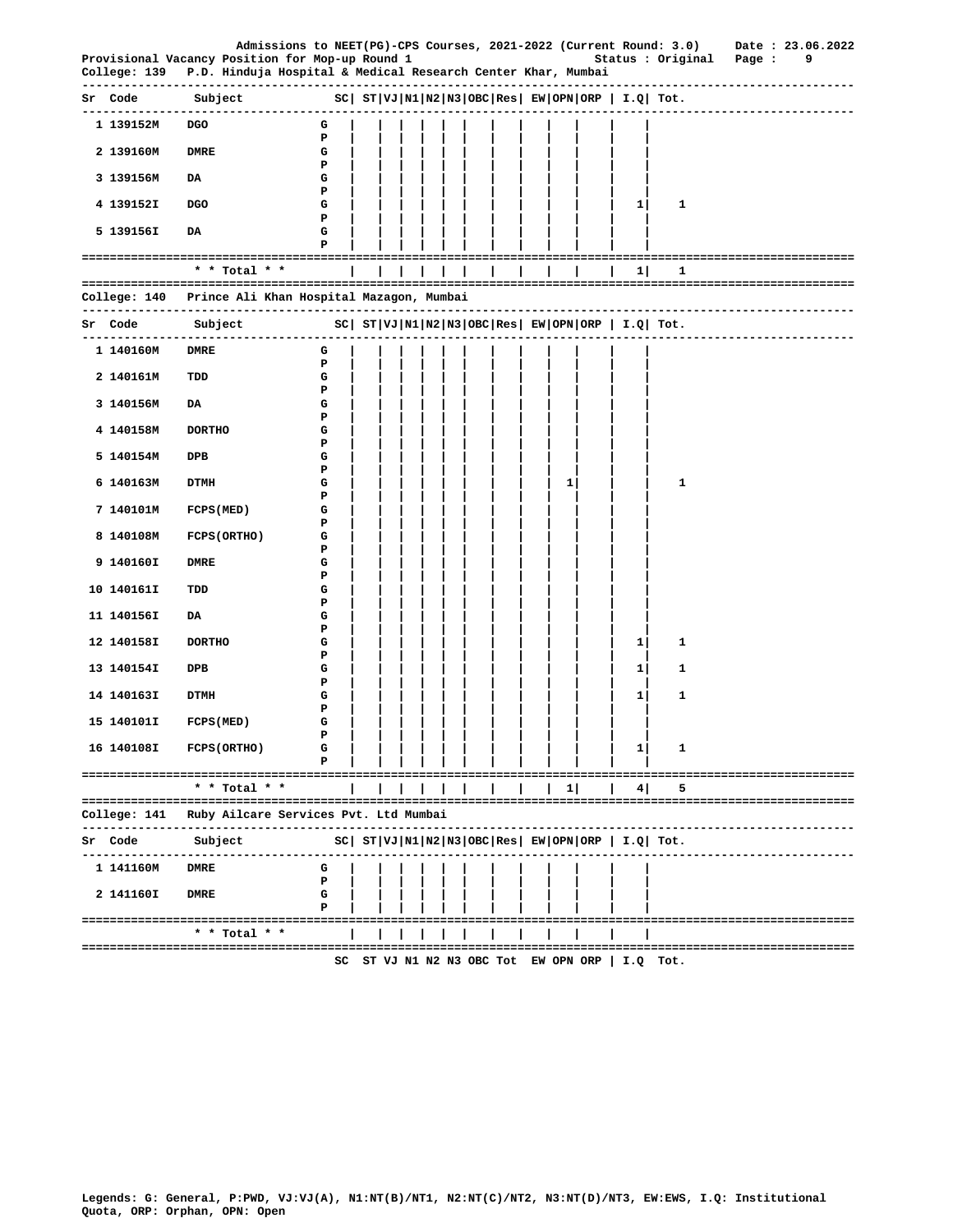|                             |                                                                                                                 | Admissions to NEET(PG)-CPS Courses, 2021-2022 (Current Round: 3.0)   |  |  |  |  |          |   |                                                                | Date: 23.06.2022                      |
|-----------------------------|-----------------------------------------------------------------------------------------------------------------|----------------------------------------------------------------------|--|--|--|--|----------|---|----------------------------------------------------------------|---------------------------------------|
| College: 139                | Provisional Vacancy Position for Mop-up Round 1<br>P.D. Hinduja Hospital & Medical Research Center Khar, Mumbai |                                                                      |  |  |  |  |          |   |                                                                | Status : Original Page :<br>9         |
| Sr Code                     | Subject                                                                                                         | $ SC $ ST $ VJ $ N1 $ N2 N3 $ OBC Res $ EW $ OPN $ ORP $ I.Q $ Tot.$ |  |  |  |  |          |   |                                                                | ------------------------------------- |
| 1 139152M                   | <b>DGO</b>                                                                                                      | G                                                                    |  |  |  |  |          |   |                                                                |                                       |
| 2 139160M                   | <b>DMRE</b>                                                                                                     | Р<br>G<br>Р                                                          |  |  |  |  |          |   |                                                                |                                       |
| 3 139156M                   | DA                                                                                                              | G<br>Р                                                               |  |  |  |  |          |   |                                                                |                                       |
| 4 139152I                   | <b>DGO</b>                                                                                                      | G<br>Р                                                               |  |  |  |  |          | 1 | 1                                                              |                                       |
| 5 139156I                   | DA                                                                                                              | G<br>P                                                               |  |  |  |  |          |   |                                                                |                                       |
|                             |                                                                                                                 |                                                                      |  |  |  |  |          |   |                                                                |                                       |
|                             | * * Total * *                                                                                                   |                                                                      |  |  |  |  |          | 1 | 1                                                              |                                       |
|                             | College: 140 Prince Ali Khan Hospital Mazagon, Mumbai                                                           |                                                                      |  |  |  |  |          |   |                                                                |                                       |
| Sr Code                     | Subject<br>-------------------------------------                                                                | $ SC $ $ST VJ N1 N2 N3 OBC Res EW OPN ORP I.Q Tot.$                  |  |  |  |  |          |   |                                                                |                                       |
| 1 140160M                   | DMRE                                                                                                            | G<br>Р                                                               |  |  |  |  |          |   |                                                                |                                       |
| 2 140161M                   | TDD                                                                                                             | G<br>Р                                                               |  |  |  |  |          |   |                                                                |                                       |
| 3 140156M                   | DA                                                                                                              | G<br>Р                                                               |  |  |  |  |          |   |                                                                |                                       |
| 4 140158M                   | <b>DORTHO</b>                                                                                                   | G<br>Р                                                               |  |  |  |  |          |   |                                                                |                                       |
| 5 140154M                   | DPB                                                                                                             | G<br>Р                                                               |  |  |  |  |          |   |                                                                |                                       |
| 6 140163M                   | <b>DTMH</b>                                                                                                     | G<br>Р                                                               |  |  |  |  | 1        |   | 1                                                              |                                       |
| 7 140101M                   | FCPS (MED)                                                                                                      | G<br>P                                                               |  |  |  |  |          |   |                                                                |                                       |
| 8 140108M                   | <b>FCPS (ORTHO)</b>                                                                                             | G<br>Р                                                               |  |  |  |  |          |   |                                                                |                                       |
| 9 140160I                   | DMRE                                                                                                            | G<br>Р                                                               |  |  |  |  |          |   |                                                                |                                       |
| 10 140161I                  | TDD                                                                                                             | G<br>Р                                                               |  |  |  |  |          |   |                                                                |                                       |
| 11 140156I                  | DA                                                                                                              | G<br>Р                                                               |  |  |  |  |          |   |                                                                |                                       |
| 12 140158I                  | <b>DORTHO</b>                                                                                                   | G<br>Р                                                               |  |  |  |  |          | 1 | 1                                                              |                                       |
| 13 140154I                  | DPB                                                                                                             | G<br>Р                                                               |  |  |  |  |          | 1 | 1                                                              |                                       |
| 14 140163I                  | <b>DTMH</b>                                                                                                     | G<br>Р                                                               |  |  |  |  |          | 1 | 1                                                              |                                       |
| 15 140101I                  | FCPS (MED)                                                                                                      | G<br>P                                                               |  |  |  |  |          |   |                                                                |                                       |
| 16 140108I                  | FCPS (ORTHO)                                                                                                    | G<br>P                                                               |  |  |  |  |          | 1 | 1                                                              |                                       |
|                             |                                                                                                                 |                                                                      |  |  |  |  |          |   |                                                                |                                       |
|                             | * * Total * *                                                                                                   |                                                                      |  |  |  |  | $1\vert$ | 4 | 5                                                              |                                       |
| College: 141<br>----------- | Ruby Ailcare Services Pvt. Ltd Mumbai                                                                           | -----------------                                                    |  |  |  |  |          |   |                                                                |                                       |
| Sr Code                     | Subject                                                                                                         |                                                                      |  |  |  |  |          |   | $ SC $ $ST VJ N1 N2 N3 OBC Res $ $EW OPN ORP$   $I.Q$   $Tot.$ |                                       |
| 1 141160M                   | <b>DMRE</b>                                                                                                     | G<br>Р                                                               |  |  |  |  |          |   |                                                                |                                       |
| 2 141160I                   | <b>DMRE</b>                                                                                                     | G<br>Р                                                               |  |  |  |  |          |   |                                                                |                                       |
|                             | --------------------------------------<br>* * Total * *                                                         |                                                                      |  |  |  |  |          |   |                                                                | -------------------------------       |
|                             |                                                                                                                 | SC                                                                   |  |  |  |  |          |   | ST VJ N1 N2 N3 OBC Tot EW OPN ORP   I.Q Tot.                   |                                       |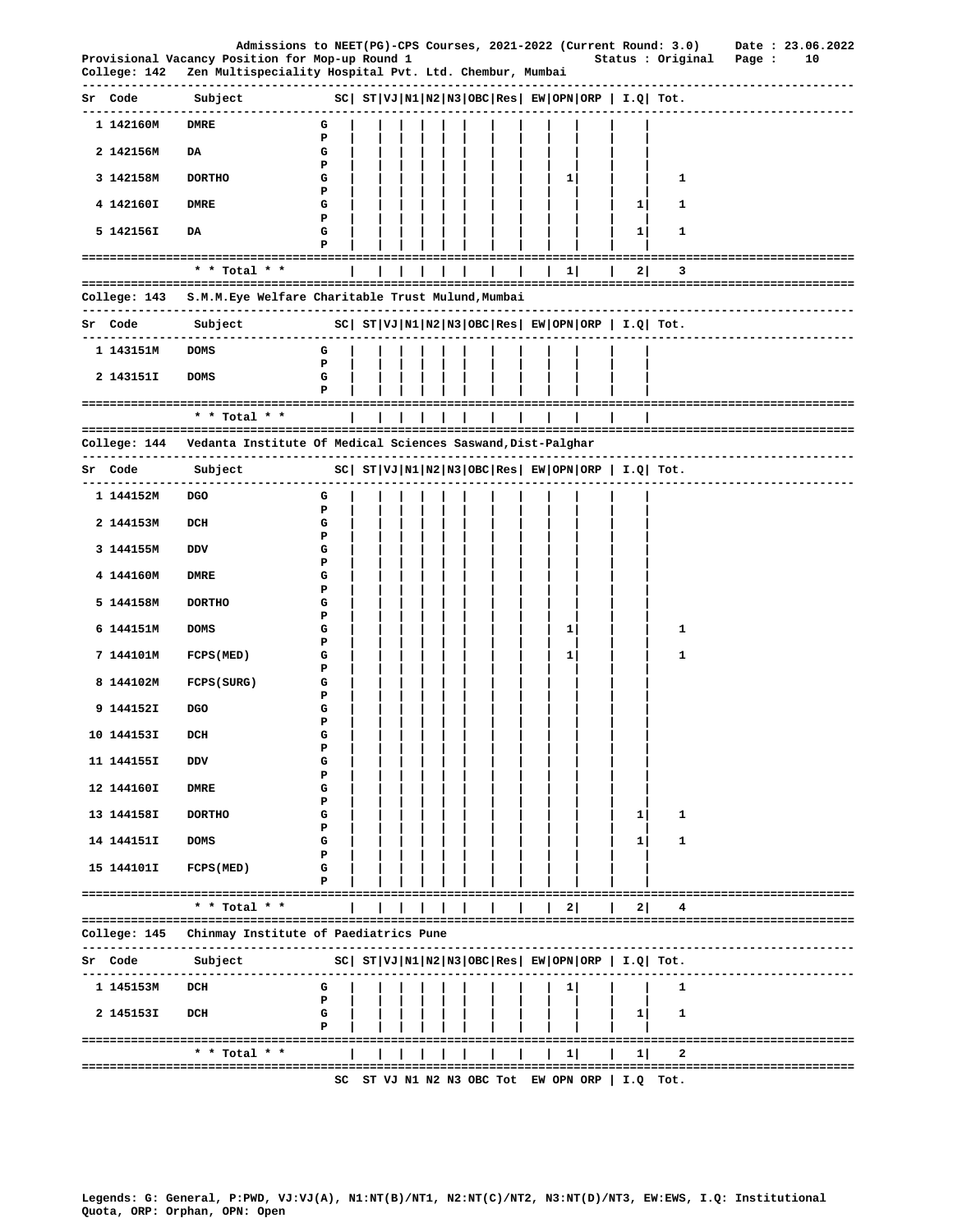|                          | Admissions to NEET(PG)-CPS Courses, 2021-2022 (Current Round: 3.0)                                        |                                                       |  |  |  |  |              |              |                                                       | Date: 23.06.2022              |
|--------------------------|-----------------------------------------------------------------------------------------------------------|-------------------------------------------------------|--|--|--|--|--------------|--------------|-------------------------------------------------------|-------------------------------|
| College: 142             | Provisional Vacancy Position for Mop-up Round 1<br>Zen Multispeciality Hospital Pvt. Ltd. Chembur, Mumbai |                                                       |  |  |  |  |              |              | Status : Original                                     | Page :<br>10                  |
| Sr Code                  | Subject                                                                                                   | $ SC $ $ST VJ N1 N2 N3 OBC Res EW OPN ORP  I.Q  Tot.$ |  |  |  |  |              |              |                                                       |                               |
| 1 142160M                | <b>DMRE</b>                                                                                               | G                                                     |  |  |  |  |              |              |                                                       |                               |
| 2 142156M                | DA                                                                                                        | Р<br>G                                                |  |  |  |  |              |              |                                                       |                               |
| 3 142158M                | <b>DORTHO</b>                                                                                             | Р<br>G                                                |  |  |  |  | 11           |              | 1                                                     |                               |
| 4 142160I                | <b>DMRE</b>                                                                                               | Р<br>G                                                |  |  |  |  |              | 1            | 1                                                     |                               |
| 5 142156I                | DA                                                                                                        | Р<br>G                                                |  |  |  |  |              | $\mathbf{1}$ | 1                                                     |                               |
|                          | ======================================                                                                    | Р                                                     |  |  |  |  |              |              |                                                       | ======================        |
|                          | * * Total * *                                                                                             |                                                       |  |  |  |  | 1            | 2            | 3                                                     |                               |
|                          | College: 143 S.M.M.Eye Welfare Charitable Trust Mulund,Mumbai                                             |                                                       |  |  |  |  |              |              |                                                       | ----------------------------- |
| Sr Code                  | Subject<br>--------------------------------                                                               |                                                       |  |  |  |  |              |              | $ SC $ $ST VJ N1 N2 N3 OBC Res EW OPN ORP I.Q Tot.$   |                               |
| 1 143151M                | <b>DOMS</b>                                                                                               | G<br>Р                                                |  |  |  |  |              |              |                                                       |                               |
| 2 143151I                | <b>DOMS</b>                                                                                               | G                                                     |  |  |  |  |              |              |                                                       |                               |
|                          | ------------------------------------<br>* * Total * *                                                     |                                                       |  |  |  |  |              |              |                                                       |                               |
|                          |                                                                                                           |                                                       |  |  |  |  |              |              |                                                       |                               |
|                          | College: 144     Vedanta Institute Of Medical Sciences Saswand, Dist-Palghar                              |                                                       |  |  |  |  |              |              |                                                       |                               |
| Sr Code                  | Subject                                                                                                   | $ SC $ $ST VJ N1 N2 N3 OBC Res EW OPN ORP  I.Q  Tot.$ |  |  |  |  |              |              |                                                       |                               |
| 1 144152M                | DGO                                                                                                       | G<br>Р                                                |  |  |  |  |              |              |                                                       |                               |
| 2 144153M                | DCH                                                                                                       | G<br>Р                                                |  |  |  |  |              |              |                                                       |                               |
| 3 144155M                | DDV                                                                                                       | G<br>Р                                                |  |  |  |  |              |              |                                                       |                               |
| 4 144160M                | DMRE                                                                                                      | G                                                     |  |  |  |  |              |              |                                                       |                               |
| 5 144158M                | <b>DORTHO</b>                                                                                             | Р<br>G<br>Р                                           |  |  |  |  |              |              |                                                       |                               |
| 6 144151M                | <b>DOMS</b>                                                                                               | G                                                     |  |  |  |  | 1            |              | 1                                                     |                               |
| 7 144101M                | FCPS (MED)                                                                                                | Р<br>G                                                |  |  |  |  | $\mathbf{1}$ |              | 1                                                     |                               |
| 8 144102M                | FCPS (SURG)                                                                                               | Р<br>G                                                |  |  |  |  |              |              |                                                       |                               |
| 9 144152I                | DGO                                                                                                       | Р<br>G                                                |  |  |  |  |              |              |                                                       |                               |
| 10 144153I               | $_{\rm DCH}$                                                                                              | Р<br>G                                                |  |  |  |  |              |              |                                                       |                               |
| 11 144155I               | DDV                                                                                                       | Р<br>G                                                |  |  |  |  |              |              |                                                       |                               |
| 12 144160I               | <b>DMRE</b>                                                                                               | Р<br>G                                                |  |  |  |  |              |              |                                                       |                               |
| 13 144158I               | <b>DORTHO</b>                                                                                             | Р<br>G                                                |  |  |  |  |              | $\mathbf{1}$ | 1                                                     |                               |
| 14 144151I               | <b>DOMS</b>                                                                                               | Р<br>G                                                |  |  |  |  |              | 1            | 1                                                     |                               |
| 15 144101I               | FCPS (MED)                                                                                                | Р<br>G                                                |  |  |  |  |              |              |                                                       |                               |
|                          | ====================================                                                                      | Р                                                     |  |  |  |  |              |              |                                                       |                               |
|                          | * * Total * *                                                                                             |                                                       |  |  |  |  | 2            | 2            |                                                       |                               |
| College: 145             | Chinmay Institute of Paediatrics Pune                                                                     |                                                       |  |  |  |  |              |              |                                                       |                               |
| Sr Code                  | Subject                                                                                                   |                                                       |  |  |  |  |              |              | $ SC $ $ST VJ N1 N2 N3 OBC Res EW OPN ORP  I.Q  Tot.$ |                               |
| -----------<br>1 145153M | DCH                                                                                                       | G                                                     |  |  |  |  | $\mathbf{1}$ |              | 1                                                     |                               |
| 2 145153I                | DCH                                                                                                       | Р<br>G                                                |  |  |  |  |              | $1\vert$     | 1                                                     |                               |
|                          | ===================================                                                                       | Р                                                     |  |  |  |  |              |              |                                                       |                               |
|                          | * * Total * *                                                                                             |                                                       |  |  |  |  | 1            | 1            | 2                                                     |                               |
|                          |                                                                                                           |                                                       |  |  |  |  |              |              | SC ST VJ N1 N2 N3 OBC Tot EW OPN ORP   I.Q Tot.       |                               |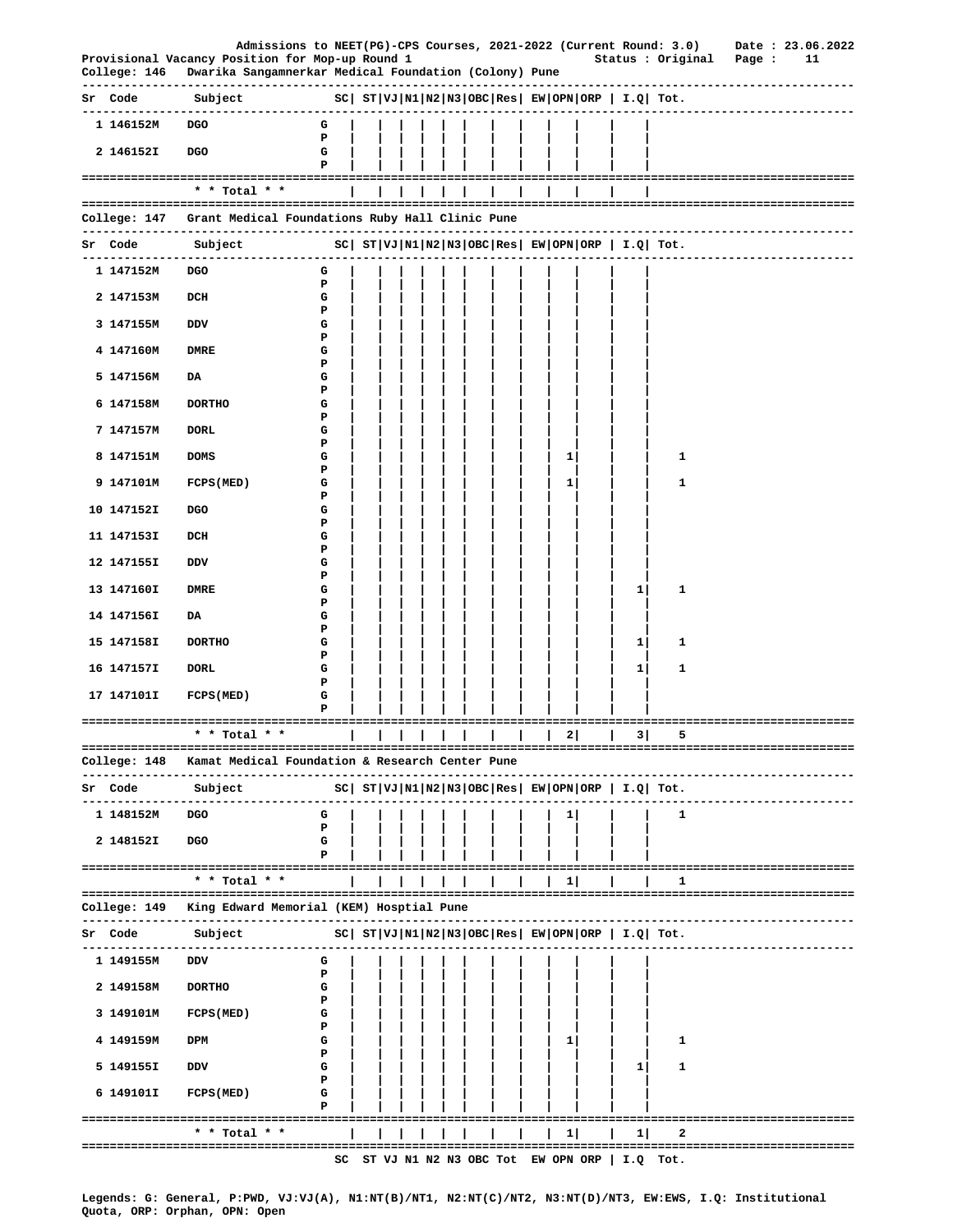|                              | Admissions to NEET(PG)-CPS Courses, 2021-2022 (Current Round: 3.0) Date: 23.06.2022<br>Provisional Vacancy Position for Mop-up Round 1 |        |  |  |  |  |              |                                             | Status : Original                                                                     | Page : | 11                        |
|------------------------------|----------------------------------------------------------------------------------------------------------------------------------------|--------|--|--|--|--|--------------|---------------------------------------------|---------------------------------------------------------------------------------------|--------|---------------------------|
|                              | College: 146 Dwarika Sangamnerkar Medical Foundation (Colony) Pune                                                                     |        |  |  |  |  |              |                                             |                                                                                       |        |                           |
|                              | Sr Code Subject<br>$ SC $ $ST VJ N1 N2 N3 OBC Res EW OPN ORP I.Q Tot.$<br>------------------------------                               |        |  |  |  |  |              |                                             |                                                                                       |        |                           |
| 1 146152M                    | DGO                                                                                                                                    | G      |  |  |  |  |              |                                             |                                                                                       |        |                           |
| 2 146152I                    | <b>DGO</b>                                                                                                                             | P<br>G |  |  |  |  |              |                                             |                                                                                       |        |                           |
|                              |                                                                                                                                        | Р      |  |  |  |  |              |                                             |                                                                                       |        |                           |
|                              | * * Total * *                                                                                                                          |        |  |  |  |  |              |                                             |                                                                                       |        |                           |
|                              | College: 147   Grant Medical Foundations Ruby Hall Clinic Pune                                                                         |        |  |  |  |  |              |                                             |                                                                                       |        |                           |
| Sr Code                      | Subject<br>-----------------------------                                                                                               |        |  |  |  |  |              |                                             | SC   ST   VJ   N1   N2   N3   OBC   Res   EW   OPN   ORP   I.Q   Tot.                 |        | ------------------------- |
| 1 147152M                    | DGO                                                                                                                                    | G<br>P |  |  |  |  |              |                                             |                                                                                       |        |                           |
| 2 147153M                    | DCH                                                                                                                                    | G      |  |  |  |  |              |                                             |                                                                                       |        |                           |
| 3 147155M                    | <b>DDV</b>                                                                                                                             | Р<br>G |  |  |  |  |              |                                             |                                                                                       |        |                           |
| 4 147160M                    | <b>DMRE</b>                                                                                                                            | Р<br>G |  |  |  |  |              |                                             |                                                                                       |        |                           |
| 5 147156M                    | DA                                                                                                                                     | Р<br>G |  |  |  |  |              |                                             |                                                                                       |        |                           |
| 6 147158M                    | <b>DORTHO</b>                                                                                                                          | P<br>G |  |  |  |  |              |                                             |                                                                                       |        |                           |
| 7 147157M                    | <b>DORL</b>                                                                                                                            | Р<br>G |  |  |  |  |              |                                             |                                                                                       |        |                           |
| 8 147151M                    | <b>DOMS</b>                                                                                                                            | Р<br>G |  |  |  |  | $\mathbf{1}$ |                                             | 1                                                                                     |        |                           |
| 9 147101M                    | FCPS (MED)                                                                                                                             | Ъ<br>G |  |  |  |  | 1            |                                             | 1                                                                                     |        |                           |
|                              |                                                                                                                                        | Р      |  |  |  |  |              |                                             |                                                                                       |        |                           |
| 10 147152I                   | <b>DGO</b>                                                                                                                             | G<br>ъ |  |  |  |  |              |                                             |                                                                                       |        |                           |
| 11 147153I                   | DCH                                                                                                                                    | G<br>Ъ |  |  |  |  |              |                                             |                                                                                       |        |                           |
| 12 147155I                   | DDV                                                                                                                                    | G<br>Р |  |  |  |  |              |                                             |                                                                                       |        |                           |
| 13 147160I                   | DMRE                                                                                                                                   | G<br>Ъ |  |  |  |  |              | 1                                           | 1                                                                                     |        |                           |
| 14 147156I                   | DA                                                                                                                                     | G<br>Р |  |  |  |  |              |                                             |                                                                                       |        |                           |
| 15 147158I                   | <b>DORTHO</b>                                                                                                                          | G<br>Р |  |  |  |  |              | 11                                          | 1                                                                                     |        |                           |
| 16 147157I                   | <b>DORL</b>                                                                                                                            | G      |  |  |  |  |              | 1                                           | 1                                                                                     |        |                           |
| 17 147101I                   | FCPS (MED)                                                                                                                             | P<br>G |  |  |  |  |              |                                             |                                                                                       |        |                           |
|                              |                                                                                                                                        | P      |  |  |  |  |              |                                             |                                                                                       |        |                           |
|                              | * * Total * *                                                                                                                          | 11111  |  |  |  |  |              | $\vert$ $\vert$ $\vert$ 2 $\vert$ 3 $\vert$ | 5.                                                                                    |        |                           |
| College: 148<br>------------ | Kamat Medical Foundation & Research Center Pune<br>------------------                                                                  |        |  |  |  |  |              |                                             |                                                                                       |        |                           |
| Sr Code<br>-------------     | Subject<br>---------------                                                                                                             |        |  |  |  |  |              |                                             | $ SC $ $ST VJ N1 N2 N3 OBC Res EW OPN ORP  I.Q  Tot.$                                 |        | ---------------------     |
| 1 148152M                    | <b>DGO</b>                                                                                                                             | G<br>Р |  |  |  |  | 1            |                                             | 1                                                                                     |        |                           |
| 2 148152I                    | DGO                                                                                                                                    | G      |  |  |  |  |              |                                             |                                                                                       |        |                           |
|                              |                                                                                                                                        | Р      |  |  |  |  |              |                                             |                                                                                       |        |                           |
|                              | * * Total * *                                                                                                                          |        |  |  |  |  | 1            |                                             | 1                                                                                     |        |                           |
|                              | College: 149   King Edward Memorial (KEM) Hosptial Pune<br>---------------                                                             |        |  |  |  |  |              |                                             |                                                                                       |        |                           |
| Sr Code<br>---------         | Subject<br>------------                                                                                                                |        |  |  |  |  |              |                                             | $SC  ST VJ N1 N2 N3 OBC Res  EW OPN ORP   I.Q  Tot.$                                  |        |                           |
| 1 149155M                    | DDV                                                                                                                                    | G<br>Р |  |  |  |  |              |                                             |                                                                                       |        |                           |
| 2 149158M                    | <b>DORTHO</b>                                                                                                                          | G<br>P |  |  |  |  |              |                                             |                                                                                       |        |                           |
| 3 149101M                    | FCPS (MED)                                                                                                                             | G      |  |  |  |  |              |                                             |                                                                                       |        |                           |
| 4 149159M                    | DPM                                                                                                                                    | Р<br>G |  |  |  |  | 1            |                                             | 1                                                                                     |        |                           |
| 5 149155I                    | DDV                                                                                                                                    | P<br>G |  |  |  |  |              | 11                                          | 1                                                                                     |        |                           |
| 6 149101I                    | <b>FCPS (MED)</b>                                                                                                                      | Р<br>G |  |  |  |  |              |                                             |                                                                                       |        |                           |
|                              | ======================================                                                                                                 | P      |  |  |  |  |              |                                             |                                                                                       |        |                           |
|                              | * * Total * *<br>===============================                                                                                       |        |  |  |  |  | 11           | 11                                          | 2                                                                                     |        |                           |
|                              |                                                                                                                                        |        |  |  |  |  |              |                                             | ==================================<br>SC ST VJ N1 N2 N3 OBC Tot EW OPN ORP   I.Q Tot. |        |                           |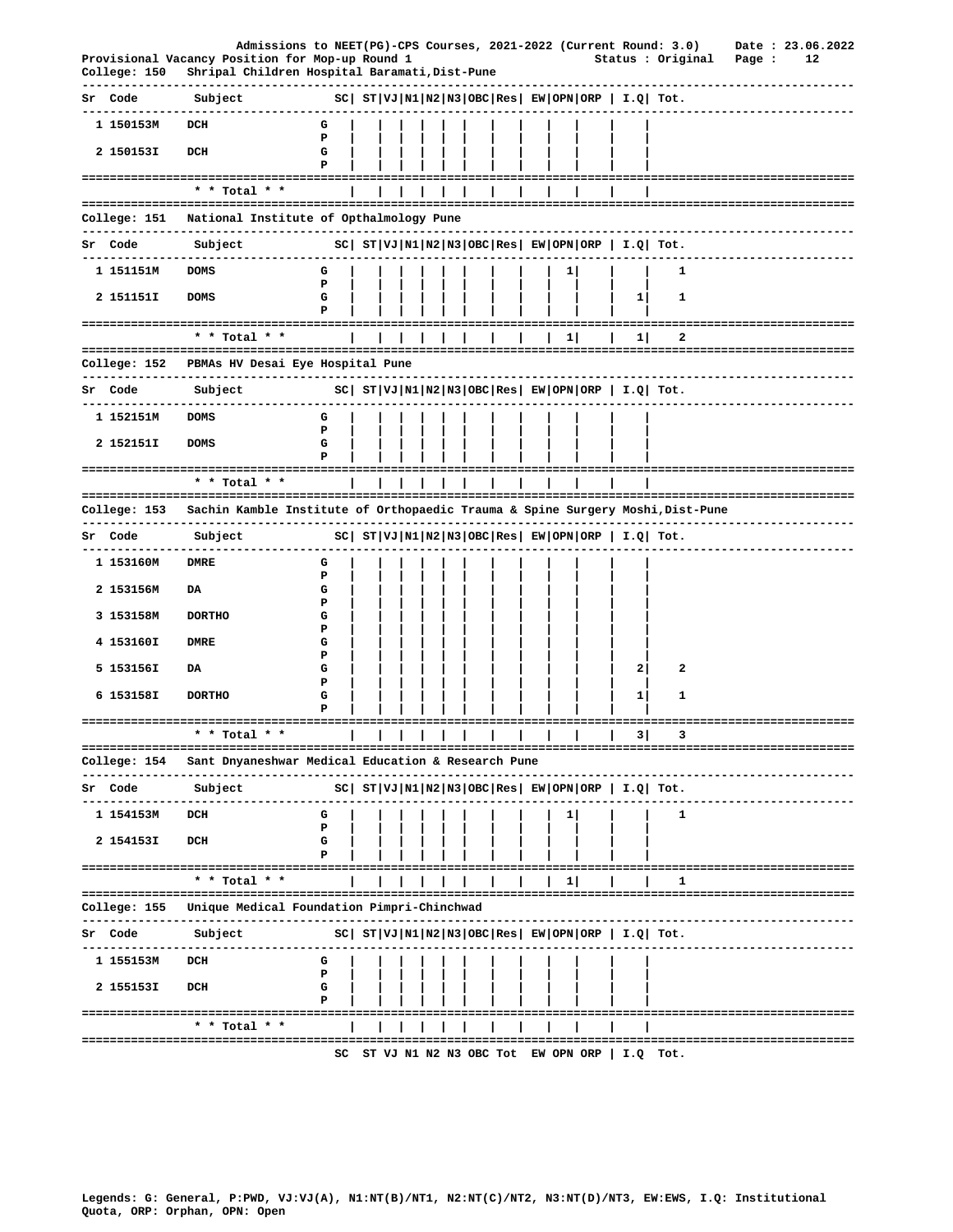|                | Admissions to NEET(PG)-CPS Courses, 2021-2022 (Current Round: 3.0)                                                     |                                                              |  |  |  |                    |              |                                                            |                                                            |        | Date: 23.06.2022 |  |
|----------------|------------------------------------------------------------------------------------------------------------------------|--------------------------------------------------------------|--|--|--|--------------------|--------------|------------------------------------------------------------|------------------------------------------------------------|--------|------------------|--|
| College: 150   | Provisional Vacancy Position for Mop-up Round 1<br>Shripal Children Hospital Baramati, Dist-Pune                       |                                                              |  |  |  |                    |              |                                                            | Status : Original                                          | Page : | 12               |  |
| Sr Code        | Subject                                                                                                                | $SC ST VJ N1 N2 N3 OBC Res EW OPN ORP I.Q Tot.$              |  |  |  |                    |              |                                                            |                                                            |        |                  |  |
| 1 150153M      | DCH                                                                                                                    | G                                                            |  |  |  |                    |              |                                                            |                                                            |        |                  |  |
| 2 150153I      | DCH                                                                                                                    | P<br>G<br>P                                                  |  |  |  |                    |              |                                                            |                                                            |        |                  |  |
|                | ------------------------------------<br>* * Total * *                                                                  |                                                              |  |  |  |                    |              |                                                            |                                                            |        |                  |  |
| College: 151   | National Institute of Opthalmology Pune                                                                                |                                                              |  |  |  |                    |              |                                                            |                                                            |        |                  |  |
| Sr Code        | Subject                                                                                                                | $ SC $ $ST VJ N1 N2 N3 OBC Res EW OPN ORP  I.Q  Tot.$        |  |  |  |                    |              |                                                            |                                                            |        |                  |  |
| 1 151151M      | .<br><b>DOMS</b>                                                                                                       | G                                                            |  |  |  |                    | 1            |                                                            | 1                                                          |        |                  |  |
| 2 151151I      | <b>DOMS</b>                                                                                                            | P<br>G<br>P                                                  |  |  |  |                    |              | 1                                                          | 1                                                          |        |                  |  |
|                |                                                                                                                        |                                                              |  |  |  |                    |              |                                                            |                                                            |        |                  |  |
|                | * * Total * *                                                                                                          |                                                              |  |  |  |                    | 1            | 1                                                          | 2                                                          |        |                  |  |
|                | College: 152 PBMAs HV Desai Eye Hospital Pune                                                                          |                                                              |  |  |  |                    |              |                                                            | -----------------------------                              |        |                  |  |
| Sr Code        | Subject                                                                                                                | $ SC $ $ST VJ N1 N2 N3 OBC Res $ $EW OPN ORP $ $I.Q $ $Tot.$ |  |  |  |                    |              |                                                            |                                                            |        |                  |  |
| 1 152151M      | <b>DOMS</b>                                                                                                            | G<br>P                                                       |  |  |  |                    |              |                                                            |                                                            |        |                  |  |
| 2 152151I      | <b>DOMS</b>                                                                                                            | G<br>P                                                       |  |  |  |                    |              |                                                            |                                                            |        |                  |  |
|                | * * Total * *                                                                                                          |                                                              |  |  |  |                    |              |                                                            |                                                            |        |                  |  |
| College: 153   | Sachin Kamble Institute of Orthopaedic Trauma & Spine Surgery Moshi, Dist-Pune<br>------------------------------------ |                                                              |  |  |  |                    |              |                                                            |                                                            |        |                  |  |
| <b>Sr</b> Code | Subject                                                                                                                |                                                              |  |  |  |                    |              |                                                            | $ SC $ $ST VJ N1 N2 N3 OBC Res $ $EW OPN ORP$   $I.Q$ Tot. |        |                  |  |
| 1 153160M      | ----------<br>DMRE                                                                                                     | G                                                            |  |  |  |                    |              |                                                            |                                                            |        |                  |  |
| 2 153156M      | DA                                                                                                                     | P<br>G                                                       |  |  |  |                    |              |                                                            |                                                            |        |                  |  |
| 3 153158M      | <b>DORTHO</b>                                                                                                          | Р<br>G                                                       |  |  |  |                    |              |                                                            |                                                            |        |                  |  |
| 4 153160I      | <b>DMRE</b>                                                                                                            | Р<br>G                                                       |  |  |  |                    |              |                                                            |                                                            |        |                  |  |
| 5 153156I      | DA                                                                                                                     | P<br>G                                                       |  |  |  |                    |              | 2                                                          | 2                                                          |        |                  |  |
| 6 153158I      | <b>DORTHO</b>                                                                                                          | P<br>G                                                       |  |  |  |                    |              | $\mathbf{1}$                                               | 1                                                          |        |                  |  |
|                |                                                                                                                        |                                                              |  |  |  |                    |              |                                                            |                                                            |        |                  |  |
|                | * * Total * *                                                                                                          |                                                              |  |  |  |                    |              |                                                            | $\overline{\phantom{a}}$ 3                                 |        |                  |  |
| College: 154   | Sant Dnyaneshwar Medical Education & Research Pune<br>-----------<br>----------------                                  |                                                              |  |  |  |                    |              |                                                            |                                                            |        |                  |  |
| Sr Code        | Subject<br>. _ _ _ _ _ _ _ _ _ _ _ _ _ _                                                                               |                                                              |  |  |  |                    |              | $ SC $ $ST VJ N1 N2 N3 OBC Res EW OPN ORP  I.Q  Tot.$      |                                                            |        |                  |  |
| 1 154153M      | DCH                                                                                                                    | G<br>Р                                                       |  |  |  |                    | $\mathbf{1}$ |                                                            | 1                                                          |        |                  |  |
| 2 154153I      | DCH                                                                                                                    | G<br>Р                                                       |  |  |  |                    |              |                                                            |                                                            |        |                  |  |
|                | * * Total * *                                                                                                          |                                                              |  |  |  |                    | 1            |                                                            | 1                                                          |        |                  |  |
|                |                                                                                                                        |                                                              |  |  |  | ================== |              |                                                            |                                                            |        |                  |  |
|                | College: 155 Unique Medical Foundation Pimpri-Chinchwad<br>--------------                                              |                                                              |  |  |  |                    |              |                                                            |                                                            |        |                  |  |
| Sr Code        | Subject<br>.<br>--------------                                                                                         |                                                              |  |  |  |                    |              | $ SC $ $ST VJ N1 N2 N3 OBC Res $ $EW OPN ORP$   $I.Q$ Tot. |                                                            |        |                  |  |
| 1 155153M      | DCH                                                                                                                    | G<br>Р                                                       |  |  |  |                    |              |                                                            |                                                            |        |                  |  |
| 2 155153I      | DCH                                                                                                                    | G                                                            |  |  |  |                    |              |                                                            |                                                            |        |                  |  |
|                | ======================================<br>* * Total * *                                                                |                                                              |  |  |  |                    |              |                                                            | --------------------------------------                     |        |                  |  |
|                |                                                                                                                        |                                                              |  |  |  |                    |              | SC ST VJ N1 N2 N3 OBC Tot EW OPN ORP   I.Q Tot.            |                                                            |        |                  |  |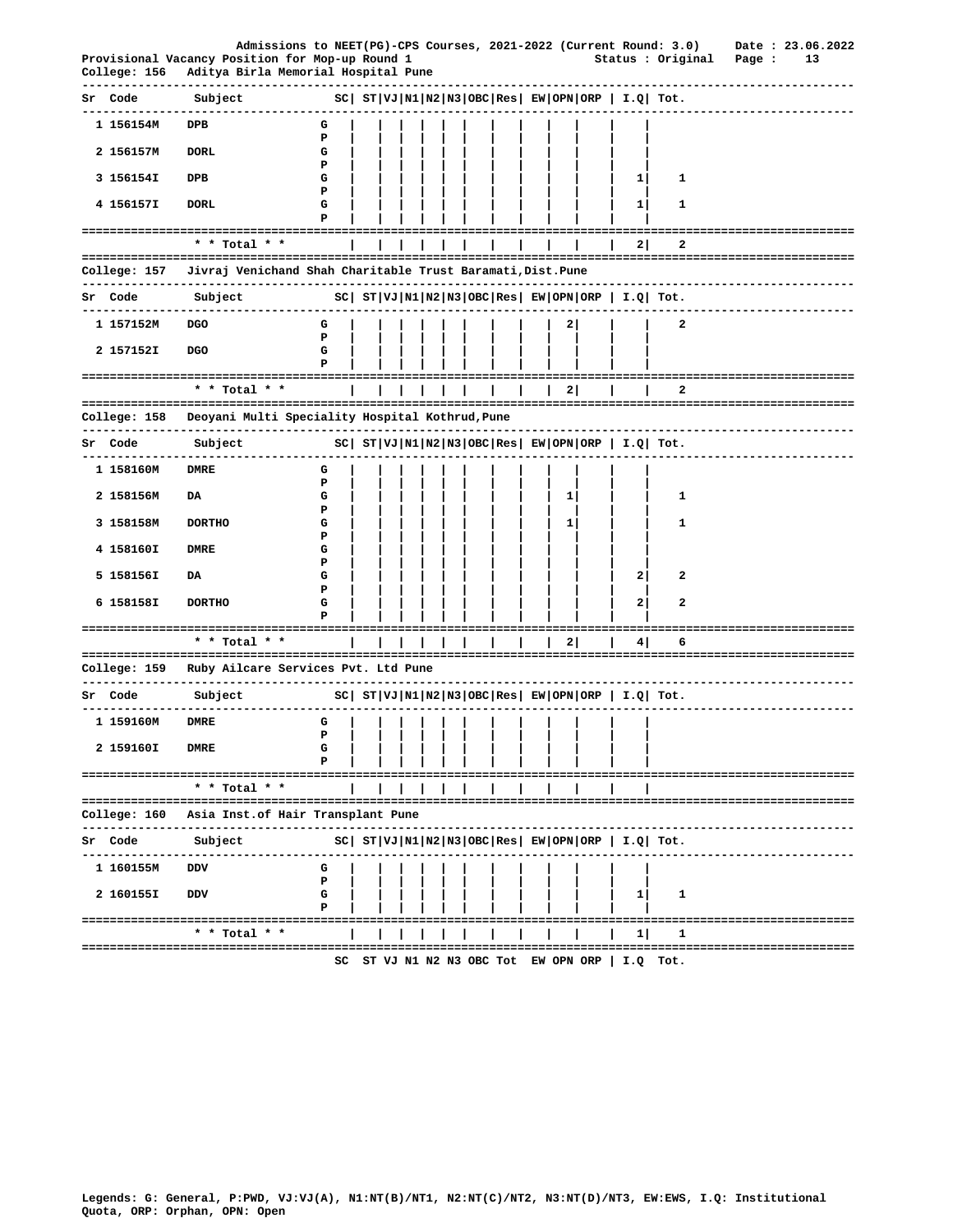|    |              | Provisional Vacancy Position for Mop-up Round 1                                           |             |  |  |  |  |   |                      | Admissions to NEET(PG)-CPS Courses, 2021-2022 (Current Round: 3.0)<br>Status : Original | Page : | Date: 23.06.2022<br>13 |
|----|--------------|-------------------------------------------------------------------------------------------|-------------|--|--|--|--|---|----------------------|-----------------------------------------------------------------------------------------|--------|------------------------|
|    | College: 156 | Aditya Birla Memorial Hospital Pune                                                       |             |  |  |  |  |   |                      |                                                                                         |        |                        |
|    | Sr Code      | Subject                                                                                   |             |  |  |  |  |   |                      | $ SC $ $ST VJ N1 N2 N3 OBC Res EW OPN ORP  I.Q  Tot.$                                   |        |                        |
|    | 1 156154M    | DPB                                                                                       | G           |  |  |  |  |   |                      |                                                                                         |        |                        |
|    | 2 156157M    | <b>DORL</b>                                                                               | Ъ<br>G<br>Р |  |  |  |  |   |                      |                                                                                         |        |                        |
|    | 3 156154I    | DPB                                                                                       | G           |  |  |  |  |   | 11                   | 1                                                                                       |        |                        |
|    | 4 156157I    | <b>DORL</b>                                                                               | Р<br>G<br>P |  |  |  |  |   | 1                    | 1                                                                                       |        |                        |
|    |              | =====================<br>* * Total * *                                                    |             |  |  |  |  |   | ==============<br>21 | 2                                                                                       |        |                        |
|    |              |                                                                                           |             |  |  |  |  |   |                      |                                                                                         |        |                        |
|    | College: 157 | Jivraj Venichand Shah Charitable Trust Baramati, Dist. Pune                               |             |  |  |  |  |   |                      | --------------------                                                                    |        |                        |
| Sr | Code         | Subject                                                                                   |             |  |  |  |  |   |                      | $ SC $ $ST VJ N1 N2 N3 OBC Res $ $EW OPN ORP$   $I.Q$ Tot.                              |        |                        |
|    | 1 157152M    | <b>DGO</b>                                                                                | G<br>P      |  |  |  |  |   |                      | 2                                                                                       |        |                        |
|    | 2 157152I    | <b>DGO</b>                                                                                | G<br>Р      |  |  |  |  |   |                      |                                                                                         |        |                        |
|    |              | * * Total * *                                                                             |             |  |  |  |  | 2 |                      | --------------------------------------<br>2                                             |        |                        |
|    | College: 158 | Deoyani Multi Speciality Hospital Kothrud, Pune<br>-------------------------------------- |             |  |  |  |  |   |                      | ---------------------                                                                   |        |                        |
|    | Sr Code      | Subject                                                                                   |             |  |  |  |  |   |                      | $ SC $ $ST VJ N1 N2 N3 OBC Res EW OPN ORP  I.Q  Tot.$                                   |        |                        |
|    | 1 158160M    | <b>DMRE</b>                                                                               | G           |  |  |  |  |   |                      |                                                                                         |        |                        |
|    | 2 158156M    | DA                                                                                        | Р<br>G      |  |  |  |  | 1 |                      | 1                                                                                       |        |                        |
|    | 3 158158M    | <b>DORTHO</b>                                                                             | ъ<br>G<br>Р |  |  |  |  | 1 |                      | 1                                                                                       |        |                        |
|    | 4 158160I    | <b>DMRE</b>                                                                               | G<br>Р      |  |  |  |  |   |                      |                                                                                         |        |                        |
|    | 5 158156I    | DA                                                                                        | G<br>Р      |  |  |  |  |   | 2                    | 2                                                                                       |        |                        |
|    | 6 158158I    | <b>DORTHO</b>                                                                             | G           |  |  |  |  |   | $\mathbf{2}$         | 2                                                                                       |        |                        |
|    |              | ======================================<br>* * Total * *                                   |             |  |  |  |  | 2 | 4                    | 6                                                                                       |        |                        |
|    | College: 159 | Ruby Ailcare Services Pvt. Ltd Pune                                                       |             |  |  |  |  |   |                      |                                                                                         |        |                        |
|    |              | -------------------                                                                       |             |  |  |  |  |   |                      |                                                                                         |        |                        |
|    | Sr Code      | Subject                                                                                   |             |  |  |  |  |   |                      | $ SC $ $ST VJ N1 N2 N3 OBC Res EW OPN ORP   I.Q  Tot.$                                  |        |                        |
|    | 1 159160M    | <b>DMRE</b>                                                                               | G<br>P      |  |  |  |  |   |                      |                                                                                         |        |                        |
|    | 2 159160I    | <b>DMRE</b>                                                                               | G<br>P      |  |  |  |  |   |                      |                                                                                         |        |                        |
|    |              | * * Total * *                                                                             |             |  |  |  |  |   |                      |                                                                                         |        |                        |
|    | College: 160 | Asia Inst. of Hair Transplant Pune                                                        |             |  |  |  |  |   |                      |                                                                                         |        |                        |
|    | Sr Code      | ------------<br>Subject                                                                   |             |  |  |  |  |   |                      | $ SC $ $ST VJ N1 N2 N3 OBC Res $ $EW OPN ORP $ $I.Q$ $Tot.$                             |        |                        |
|    |              |                                                                                           |             |  |  |  |  |   |                      |                                                                                         |        |                        |
|    | 1 160155M    | <b>DDV</b>                                                                                | G<br>P      |  |  |  |  |   |                      |                                                                                         |        |                        |
|    | 2 160155I    | DDV                                                                                       | G<br>P      |  |  |  |  |   | 11                   | 1                                                                                       |        |                        |
|    |              | * * Total * *                                                                             |             |  |  |  |  |   | 11                   | ==================================<br>1                                                 |        |                        |
|    |              |                                                                                           |             |  |  |  |  |   |                      |                                                                                         |        |                        |
|    |              |                                                                                           | sc          |  |  |  |  |   |                      | ST VJ N1 N2 N3 OBC Tot EW OPN ORP $ $ I.Q Tot.                                          |        |                        |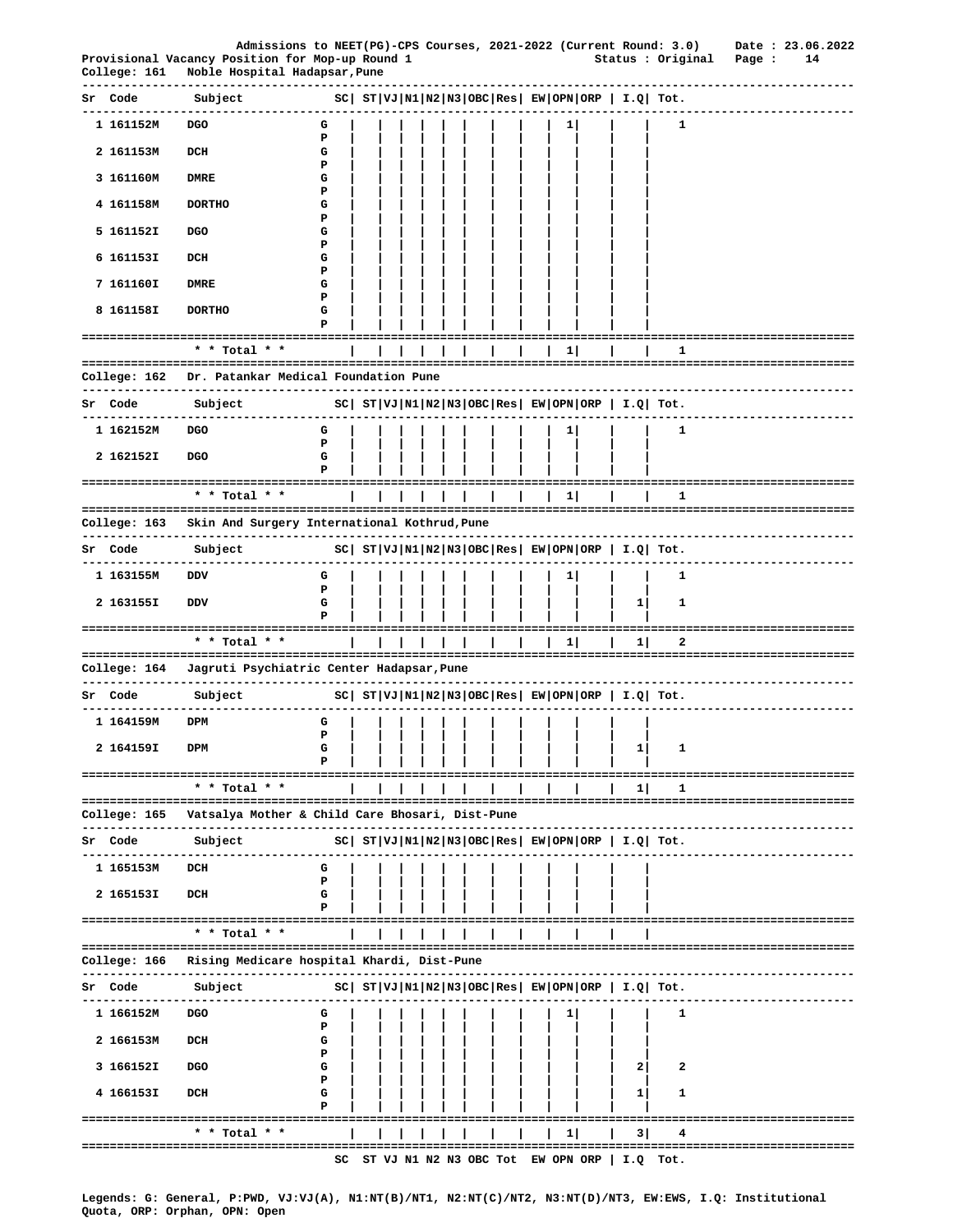| Admissions to NEET(PG)-CPS Courses, 2021-2022 (Current Round: 3.0) |                               | Date: 23.06.2022 |
|--------------------------------------------------------------------|-------------------------------|------------------|
| Provisional Vacancy Position for Mop-up Round 1                    | Status : Original<br>. Page : | - 14             |
| College: 161 Noble Hospital Hadapsar Pupe                          |                               |                  |

| correde: тот           | MODIE HOSPITAI HAGAPSAI, Fune                                                  |        |  |  |  |  |   |                                                            |   |                                |
|------------------------|--------------------------------------------------------------------------------|--------|--|--|--|--|---|------------------------------------------------------------|---|--------------------------------|
| Sr Code                | Subject                                                                        |        |  |  |  |  |   | $ SC $ $ST VJ N1 N2 N3 OBC Res EW OPN ORP  I.Q  Tot.$      |   |                                |
| 1 161152M              | DGO                                                                            | G      |  |  |  |  |   |                                                            | 1 |                                |
| 2 161153M              | DCH                                                                            | Ъ<br>G |  |  |  |  |   |                                                            |   |                                |
| 3 161160M              | <b>DMRE</b>                                                                    | P<br>G |  |  |  |  |   |                                                            |   |                                |
| 4 161158M              | <b>DORTHO</b>                                                                  | Р<br>G |  |  |  |  |   |                                                            |   |                                |
| 5 161152I              | <b>DGO</b>                                                                     | Р<br>G |  |  |  |  |   |                                                            |   |                                |
| 6 161153I              | DCH                                                                            | P<br>G |  |  |  |  |   |                                                            |   |                                |
| 7 161160I              | DMRE                                                                           | Р<br>G |  |  |  |  |   |                                                            |   |                                |
| 8 161158I              | <b>DORTHO</b>                                                                  | Р<br>G |  |  |  |  |   |                                                            |   |                                |
|                        | ==========================                                                     | P      |  |  |  |  |   |                                                            |   |                                |
|                        | * * Total * *                                                                  |        |  |  |  |  | 1 |                                                            | 1 |                                |
|                        | College: 162 Dr. Patankar Medical Foundation Pune                              |        |  |  |  |  |   |                                                            |   |                                |
| Sr Code                | Subject                                                                        |        |  |  |  |  |   | $ SC $ $ST VJ N1 N2 N3 OBC Res EW OPN ORP  I.Q  Tot.$      |   |                                |
| 1 162152M              | DGO                                                                            | G<br>P |  |  |  |  |   |                                                            | 1 |                                |
| 2 162152I              | <b>DGO</b>                                                                     | G<br>Р |  |  |  |  |   |                                                            |   |                                |
| ============           | ===========<br>* * Total * *                                                   |        |  |  |  |  | 1 |                                                            | 1 |                                |
| College: 163           | Skin And Surgery International Kothrud, Pune                                   |        |  |  |  |  |   |                                                            |   |                                |
| -----------<br>Sr Code | ---------------<br>Subject                                                     |        |  |  |  |  |   | $ SC $ $ST VJ N1 N2 N3 OBC Res EW OPN ORP  I.Q  Tot.$      |   |                                |
| 1 163155M              | <b>DDV</b>                                                                     | G      |  |  |  |  | 1 |                                                            | 1 |                                |
| 2 163155I              | DDV                                                                            | P<br>G |  |  |  |  |   | $\mathbf{1}$                                               | 1 |                                |
|                        |                                                                                | Р      |  |  |  |  |   |                                                            |   |                                |
|                        | * * Total * *                                                                  |        |  |  |  |  | 1 | 1                                                          | 2 |                                |
|                        | College: 164 Jagruti Psychiatric Center Hadapsar, Pune<br><br>---------------- |        |  |  |  |  |   |                                                            |   |                                |
| Sr Code                | Subject                                                                        |        |  |  |  |  |   | $SC  ST VJ N1 N2 N3 OBC Res  EW OPN ORP   I.Q  Tot.$       |   |                                |
| 1 164159M              | DPM                                                                            | G<br>P |  |  |  |  |   |                                                            |   |                                |
| 2 164159I              | DPM                                                                            | G<br>P |  |  |  |  |   | 1                                                          | 1 |                                |
| ===============        | * * Total * *                                                                  |        |  |  |  |  |   | 1                                                          | 1 | -------------------------      |
|                        |                                                                                |        |  |  |  |  |   |                                                            |   |                                |
|                        | College: 165   Vatsalya Mother & Child Care Bhosari, Dist-Pune                 |        |  |  |  |  |   |                                                            |   | ----------------------------   |
| Sr Code<br>----------- | Subject<br>-----------                                                         |        |  |  |  |  |   | $ SC $ $ST VJ N1 N2 N3 OBC Res EW OPN ORP  I.Q  Tot.$      |   |                                |
| 1 165153M              | DCH                                                                            | G<br>P |  |  |  |  |   |                                                            |   |                                |
| 2 165153I              | DCH                                                                            | G<br>P |  |  |  |  |   |                                                            |   |                                |
|                        | * * Total * *                                                                  |        |  |  |  |  |   |                                                            |   |                                |
|                        | College: 166   Rising Medicare hospital Khardi, Dist-Pune                      |        |  |  |  |  |   |                                                            |   |                                |
| ---------<br>Sr Code   | --------------<br>Subject                                                      |        |  |  |  |  |   | $ SC $ $ST VJ N1 N2 N3 OBC Res $ $EW OPN ORP$   $I.Q$ Tot. |   |                                |
| 1 166152M              | DGO                                                                            | G      |  |  |  |  | 1 |                                                            | 1 |                                |
| 2 166153M              | DCH                                                                            | Р<br>G |  |  |  |  |   |                                                            |   |                                |
| 3 166152I              | DGO                                                                            | Р<br>G |  |  |  |  |   | 2                                                          | 2 |                                |
| 4 166153I              | DCH                                                                            | P<br>G |  |  |  |  |   | 1                                                          | 1 |                                |
|                        | ------------------------------------                                           | P      |  |  |  |  |   |                                                            |   | ============================== |
|                        | * * Total * *<br>================                                              |        |  |  |  |  | 1 | 3                                                          | 4 | ============================   |
|                        |                                                                                | SC     |  |  |  |  |   | ST VJ N1 N2 N3 OBC Tot EW OPN ORP   I.Q Tot.               |   |                                |

Legends: G: General, P:PWD, VJ:VJ(A), N1:NT(B)/NT1, N2:NT(C)/NT2, N3:NT(D)/NT3, EW:EWS, I.Q: Institutional Quota, ORP: Orphan, OPN: Open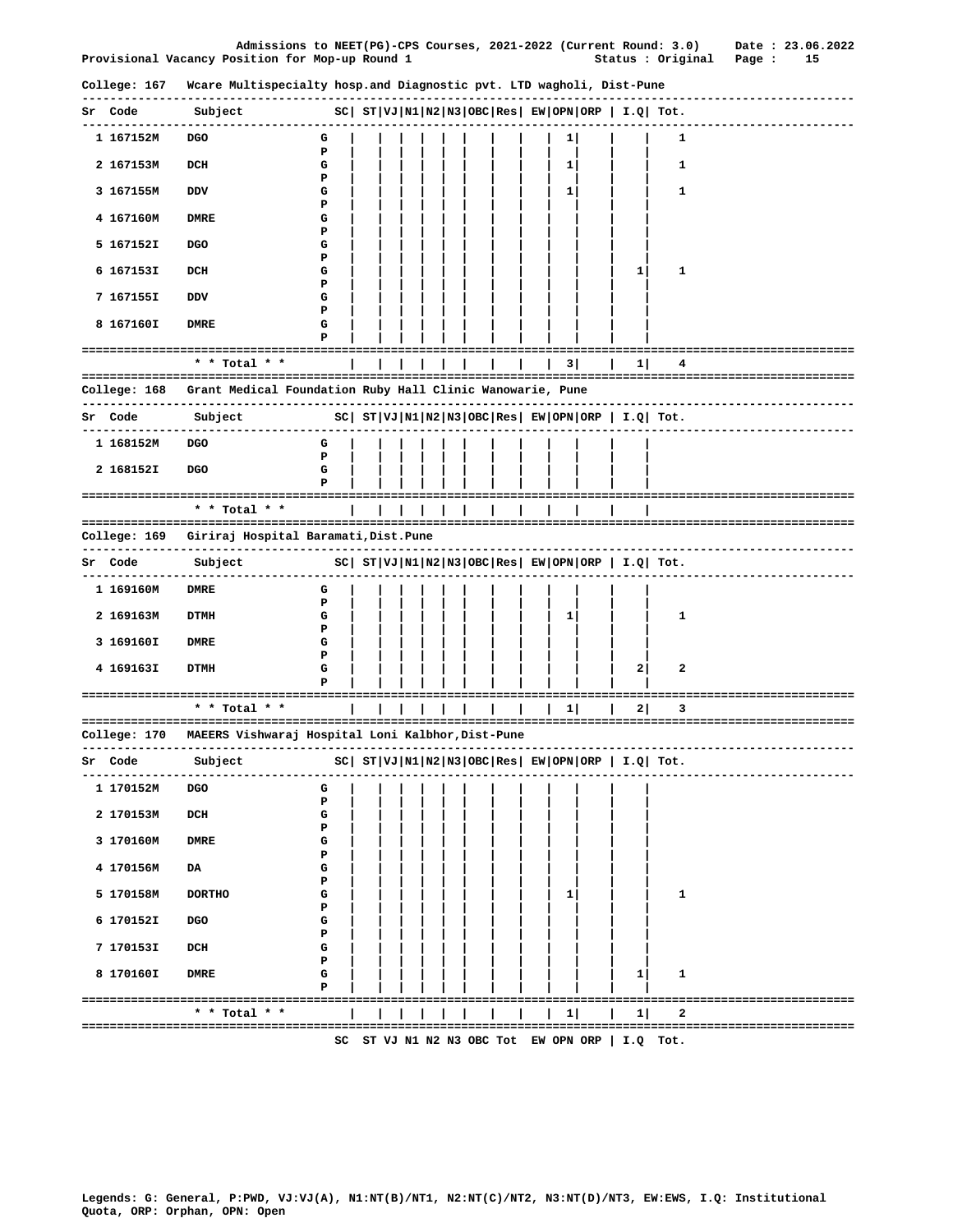|                                                 | Admissions to NEET(PG)-CPS Courses, 2021-2022 (Current Round: 3.0) | Date: 23.06.2022 |
|-------------------------------------------------|--------------------------------------------------------------------|------------------|
| Provisional Vacancy Position for Mop-up Round 1 | Status : Original Page :                                           |                  |

|                              | College: 167 Wcare Multispecialty hosp.and Diagnostic pvt. LTD wagholi, Dist-Pune          |                                                              |  |  |  |           |              |                                                       |                                |
|------------------------------|--------------------------------------------------------------------------------------------|--------------------------------------------------------------|--|--|--|-----------|--------------|-------------------------------------------------------|--------------------------------|
| Sr Code                      | ---------------<br>Subject                                                                 | SC  ST VJ N1 N2 N3 OBC Res  EW OPN ORP   I.Q  Tot.           |  |  |  |           |              |                                                       |                                |
| . _ _ _ _ _ _ _<br>1 167152M | <b>DGO</b>                                                                                 | G                                                            |  |  |  | 1         |              | 1                                                     |                                |
| 2 167153M                    | DCH                                                                                        | Р<br>G                                                       |  |  |  | 1         |              | 1                                                     |                                |
| 3 167155M                    | DDV                                                                                        | Р<br>G                                                       |  |  |  | 1         |              | 1                                                     |                                |
| 4 167160M                    | <b>DMRE</b>                                                                                | Р<br>G                                                       |  |  |  |           |              |                                                       |                                |
| 5 167152I                    | <b>DGO</b>                                                                                 | P<br>G<br>Р                                                  |  |  |  |           |              |                                                       |                                |
| 6 167153I                    | DCH                                                                                        | G<br>Р                                                       |  |  |  |           | $\mathbf{1}$ | 1                                                     |                                |
| 7 167155I                    | DDV                                                                                        | G<br>₽                                                       |  |  |  |           |              |                                                       |                                |
| 8 167160I                    | DMRE                                                                                       | G<br>P                                                       |  |  |  |           |              |                                                       |                                |
|                              | ==========================                                                                 |                                                              |  |  |  |           |              |                                                       |                                |
|                              | * * Total * *                                                                              |                                                              |  |  |  | 3 I       | 1            | 4                                                     |                                |
| College: 168                 | Grant Medical Foundation Ruby Hall Clinic Wanowarie, Pune<br>----------------------------- |                                                              |  |  |  |           |              |                                                       |                                |
| Sr Code                      | Subject                                                                                    |                                                              |  |  |  |           |              | $ SC $ $ST VJ N1 N2 N3 OBC Res EW OPN ORP  I.Q  Tot.$ |                                |
| 1 168152M                    | <b>DGO</b>                                                                                 | G<br>Р                                                       |  |  |  |           |              |                                                       |                                |
| 2 168152I                    | <b>DGO</b>                                                                                 | G<br>P                                                       |  |  |  |           |              |                                                       |                                |
|                              | =================================<br>* * Total * *                                         |                                                              |  |  |  |           |              |                                                       |                                |
|                              | College: 169 - Giriraj Hospital Baramati,Dist.Pune                                         |                                                              |  |  |  |           |              |                                                       |                                |
| Sr Code                      | Subject                                                                                    | $ SC $ $ST VJ N1 N2 N3 OBC Res $ $EW OPN ORP $ $I.Q $ $Tot.$ |  |  |  |           |              |                                                       | -----------------------------  |
| 1 169160M                    | DMRE                                                                                       | G                                                            |  |  |  |           |              |                                                       |                                |
| 2 169163M                    | <b>DTMH</b>                                                                                | ъ<br>G                                                       |  |  |  | ı         |              | 1                                                     |                                |
| 3 169160I                    | <b>DMRE</b>                                                                                | Р<br>G<br>P                                                  |  |  |  |           |              |                                                       |                                |
| 4 169163I                    | DTMH                                                                                       | G<br>Р                                                       |  |  |  |           | $\mathbf{2}$ | 2                                                     |                                |
|                              |                                                                                            |                                                              |  |  |  |           |              |                                                       |                                |
|                              | * * Total * *                                                                              |                                                              |  |  |  | 11        | 2            | 3                                                     |                                |
|                              | College: 170   MAEERS Vishwaraj Hospital Loni Kalbhor,Dist-Pune                            |                                                              |  |  |  |           |              |                                                       | ------------------------------ |
| Sr Code                      | Subject                                                                                    | $ SC $ $ST VJ N1 N2 N3 OBC Res EW OPN ORP  I.Q  Tot.$        |  |  |  |           |              |                                                       |                                |
| 1 170152M                    | DGO                                                                                        | G<br>Р                                                       |  |  |  |           |              |                                                       |                                |
| 2 170153M                    | DCH                                                                                        | G<br>Р                                                       |  |  |  |           |              |                                                       |                                |
| 3 170160M                    | <b>DMRE</b>                                                                                | G<br>₽                                                       |  |  |  |           |              |                                                       |                                |
| 4 170156M                    | DA                                                                                         | G<br>Р                                                       |  |  |  |           |              |                                                       |                                |
| 5 170158M                    | <b>DORTHO</b>                                                                              | G<br>Р                                                       |  |  |  | 11        |              | 1                                                     |                                |
| 6 170152I                    | <b>DGO</b>                                                                                 | G<br>Р                                                       |  |  |  |           |              |                                                       |                                |
| 7 170153I                    | DCH                                                                                        | G<br>Р                                                       |  |  |  |           |              |                                                       |                                |
| 8 170160I                    | DMRE                                                                                       | G<br>Р                                                       |  |  |  |           | 1            | 1                                                     |                                |
|                              | * * Total * *                                                                              |                                                              |  |  |  | $1 \vert$ | 1            | 2                                                     |                                |
|                              |                                                                                            |                                                              |  |  |  |           |              |                                                       |                                |

SC ST VJ N1 N2 N3 OBC Tot EW OPN ORP | I.Q Tot.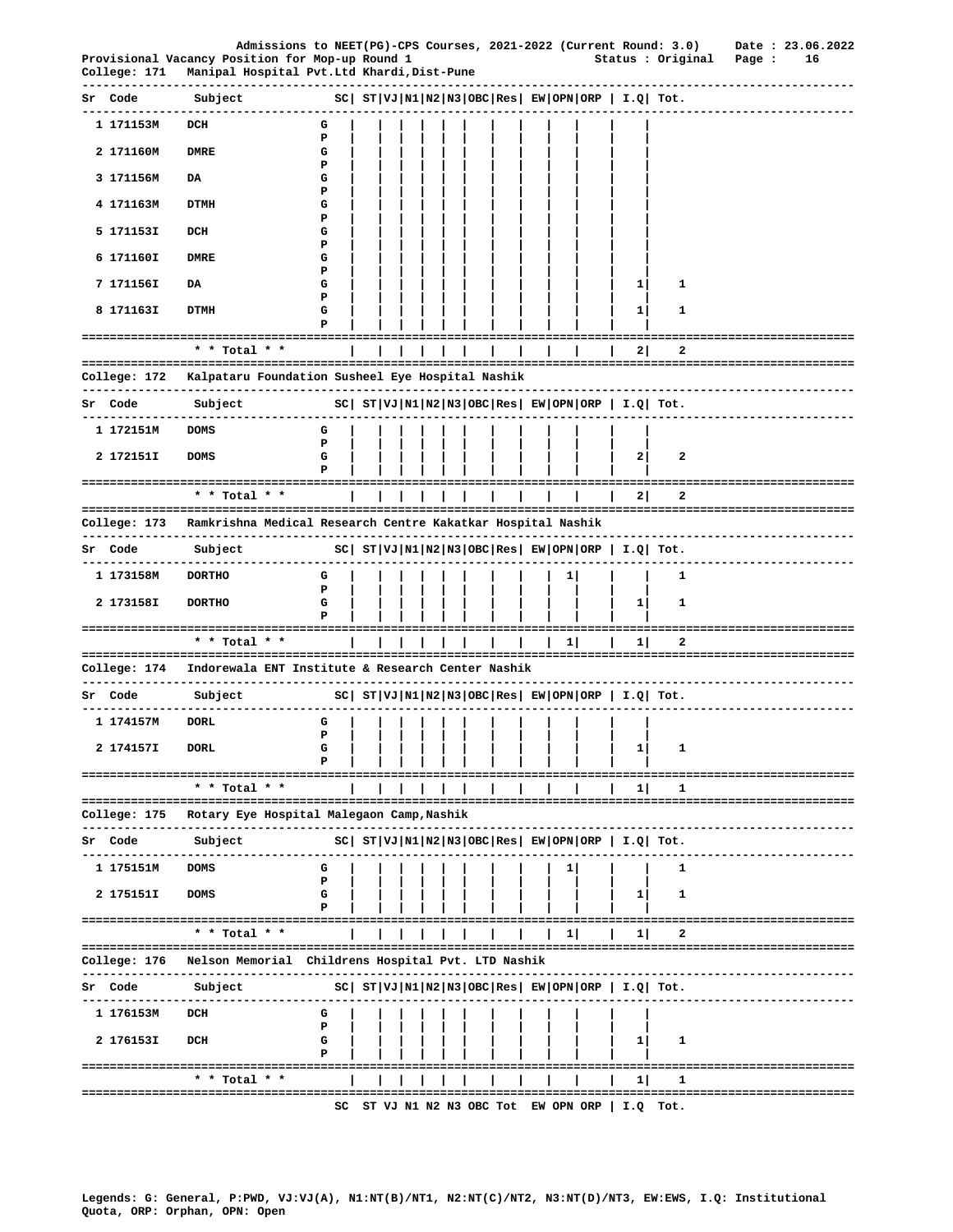| College: 171            | Admissions to NEET(PG)-CPS Courses, 2021-2022 (Current Round: 3.0)<br>Provisional Vacancy Position for Mop-up Round 1<br>Manipal Hospital Pvt.Ltd Khardi,Dist-Pune |             |  |                                   |  |  |    | ------------------                                                    | Status : Original              | Date: 23.06.2022<br>Page :<br>16<br>-------------------- |
|-------------------------|--------------------------------------------------------------------------------------------------------------------------------------------------------------------|-------------|--|-----------------------------------|--|--|----|-----------------------------------------------------------------------|--------------------------------|----------------------------------------------------------|
| Code                    | Subject                                                                                                                                                            |             |  |                                   |  |  |    | $ SC $ $ST VJ N1 N2 N3 OBC Res $ $EW OPN ORP$   $I.Q$   $Tot.$        |                                |                                                          |
| 1 171153M               | DCH                                                                                                                                                                | G           |  |                                   |  |  |    |                                                                       |                                |                                                          |
| 2 171160M               | <b>DMRE</b>                                                                                                                                                        | P<br>G<br>Р |  |                                   |  |  |    |                                                                       |                                |                                                          |
| 3 171156M               | DA                                                                                                                                                                 | G<br>Р      |  |                                   |  |  |    |                                                                       |                                |                                                          |
| 4 171163M               | DTMH                                                                                                                                                               | G<br>Ъ      |  |                                   |  |  |    |                                                                       |                                |                                                          |
| 5 171153I               | DCH                                                                                                                                                                | G           |  |                                   |  |  |    |                                                                       |                                |                                                          |
| 6 171160I               | DMRE                                                                                                                                                               | Р<br>G      |  |                                   |  |  |    |                                                                       |                                |                                                          |
| 7 171156I               | DA                                                                                                                                                                 | Р<br>G      |  |                                   |  |  |    | 1                                                                     | 1                              |                                                          |
| 8 171163I               | DTMH                                                                                                                                                               | P<br>G<br>Р |  |                                   |  |  |    | 1                                                                     | 1                              |                                                          |
|                         | -------------------------------------                                                                                                                              |             |  |                                   |  |  |    |                                                                       |                                | ==============================                           |
|                         | $*$ * Total * *                                                                                                                                                    |             |  |                                   |  |  |    | 2                                                                     | 2                              |                                                          |
| ------------            | College: 172 Kalpataru Foundation Susheel Eye Hospital Nashik<br>------------------                                                                                |             |  | . _ _ _ _ _ _ _ _ _ _ _ _ _ _ _ _ |  |  |    |                                                                       |                                | -------------------------------                          |
| Sr Code                 | Subject                                                                                                                                                            |             |  |                                   |  |  |    | $SC ST VJ N1 N2 N3 OBC Res EW OPN ORP I.Q Tot.$                       |                                |                                                          |
| 1 172151M               | <b>DOMS</b>                                                                                                                                                        | G           |  |                                   |  |  |    |                                                                       |                                |                                                          |
| 2 172151I               | <b>DOMS</b>                                                                                                                                                        | P<br>G      |  |                                   |  |  |    | 2                                                                     | $\mathbf{2}$                   |                                                          |
|                         | =====================================<br>* * Total * *                                                                                                             |             |  |                                   |  |  |    | 2                                                                     | 2                              | ==========================                               |
| College: 173            | Ramkrishna Medical Research Centre Kakatkar Hospital Nashik                                                                                                        |             |  |                                   |  |  |    |                                                                       |                                |                                                          |
| Sr Code                 | Subject                                                                                                                                                            |             |  |                                   |  |  |    | $ SC $ ST $ VJ $ N $1 N2 N3 $ OBC $ Res $ EW $ OPN $ ORP $ I.Q $ Tot. |                                | -----------------------                                  |
| ----------<br>1 173158M | <b>DORTHO</b>                                                                                                                                                      | G           |  |                                   |  |  | ı  |                                                                       | 1                              |                                                          |
| 2 173158I               | <b>DORTHO</b>                                                                                                                                                      | Р<br>G<br>Р |  |                                   |  |  |    | $\mathbf{1}$                                                          | 1                              |                                                          |
|                         | * * Total * *                                                                                                                                                      |             |  |                                   |  |  | 1  | 11                                                                    | 2                              |                                                          |
| College: 174            | Indorewala ENT Institute & Research Center Nashik                                                                                                                  |             |  |                                   |  |  |    |                                                                       |                                |                                                          |
| Sr Code                 | --------------------<br>Subject                                                                                                                                    |             |  |                                   |  |  |    | $ SC $ $ST VJ N1 N2 N3 OBC Res $ $EW OPN ORP$   $I.Q$ Tot.            |                                |                                                          |
| 1 174157M               | <b>DORL</b>                                                                                                                                                        | G           |  |                                   |  |  |    |                                                                       |                                |                                                          |
| 2 174157I               | <b>DORL</b>                                                                                                                                                        | P<br>G      |  |                                   |  |  |    | 1                                                                     | 1                              |                                                          |
|                         | ====================================                                                                                                                               | Р           |  |                                   |  |  |    |                                                                       |                                | =======================                                  |
|                         | * * Total * *<br>======================================                                                                                                            |             |  |                                   |  |  |    | 1                                                                     | 1                              | ============================                             |
| College: 175            | Rotary Eye Hospital Malegaon Camp, Nashik                                                                                                                          |             |  |                                   |  |  |    |                                                                       |                                |                                                          |
| Code<br>Sr              | Subject                                                                                                                                                            |             |  |                                   |  |  |    | $ SC $ $ST VJ N1 N2 N3 OBC Res EW OPN ORP  I.Q  Tot.$                 |                                |                                                          |
| 1 175151M               | <b>DOMS</b>                                                                                                                                                        | G           |  |                                   |  |  | п. |                                                                       | 1                              |                                                          |
| 2 175151I               | <b>DOMS</b>                                                                                                                                                        | Р<br>G      |  |                                   |  |  |    | 1                                                                     | 1                              |                                                          |
|                         | ----------------------------------<br>* * Total * *                                                                                                                |             |  |                                   |  |  | 11 | 11                                                                    | 2                              |                                                          |
| College: 176            | :==================================<br>Nelson Memorial Childrens Hospital Pvt. LTD Nashik                                                                          |             |  |                                   |  |  |    |                                                                       |                                |                                                          |
| Sr Code                 | ------------------------------------<br>Subject                                                                                                                    |             |  |                                   |  |  |    | $ SC $ $ST VJ N1 N2 N3 OBC Res EW OPN ORP   I.Q  Tot.$                | ------------------------------ |                                                          |
| 1 176153M               | DCH                                                                                                                                                                | G           |  |                                   |  |  |    |                                                                       |                                |                                                          |
| 2 176153I               | DCH                                                                                                                                                                | P<br>G      |  |                                   |  |  |    | 1                                                                     | 1                              |                                                          |
|                         | -----------------                                                                                                                                                  | Р           |  |                                   |  |  |    |                                                                       |                                |                                                          |
|                         | * * Total * *<br>==================                                                                                                                                |             |  |                                   |  |  |    | $\mathbf{1}$                                                          | 1                              |                                                          |
|                         |                                                                                                                                                                    |             |  |                                   |  |  |    |                                                                       |                                |                                                          |

SC ST VJ N1 N2 N3 OBC Tot EW OPN ORP | I.Q Tot.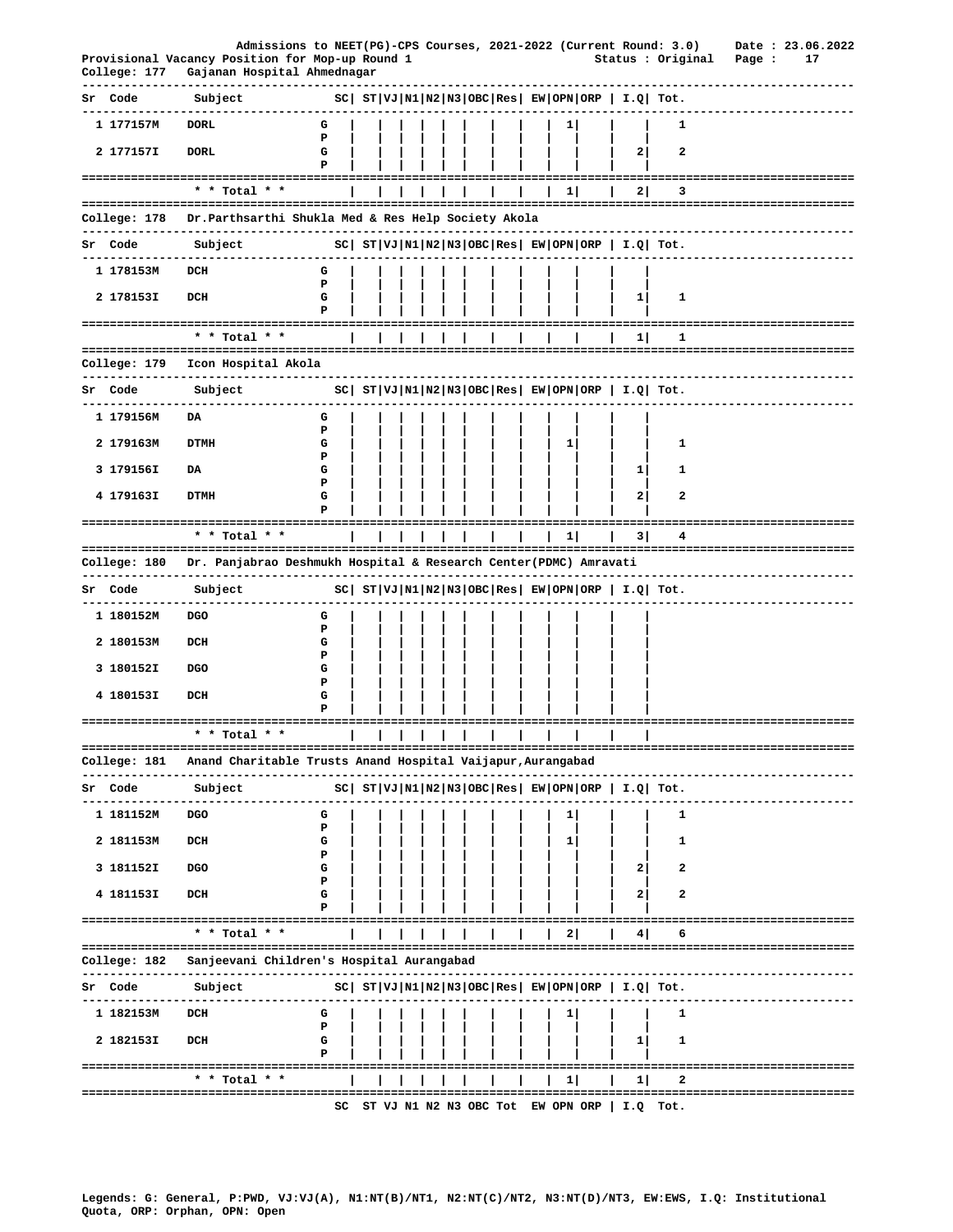|    |                          | Admissions to NEET(PG)-CPS Courses, 2021-2022 (Current Round: 3.0)<br>Provisional Vacancy Position for Mop-up Round 1 |             |    |  |  |  |                        |                |                                                                | Status : Original                                          |                                      | Date: 23.06.2022<br>Page : | 17   |
|----|--------------------------|-----------------------------------------------------------------------------------------------------------------------|-------------|----|--|--|--|------------------------|----------------|----------------------------------------------------------------|------------------------------------------------------------|--------------------------------------|----------------------------|------|
|    | -----------              | College: 177 Gajanan Hospital Ahmednagar<br>--------------------                                                      |             |    |  |  |  | ---------------------- |                |                                                                |                                                            | ----------------------------------   |                            |      |
|    | Sr Code<br>----------    | Subject                                                                                                               |             |    |  |  |  |                        |                | $ SC $ $ST VJ N1 N2 N3 OBC Res $ $EW OPN ORP$   $I.Q$   $Tot.$ |                                                            |                                      |                            |      |
|    | 1 177157M                | <b>DORL</b>                                                                                                           | G           |    |  |  |  |                        | $\mathbf{1}$   |                                                                | 1                                                          |                                      |                            |      |
|    | 2 177157I                | <b>DORL</b>                                                                                                           | P<br>G<br>Р |    |  |  |  |                        |                | 2                                                              | $\mathbf{2}$                                               |                                      |                            |      |
|    |                          | -------------------------------------<br>* * Total * *                                                                |             |    |  |  |  |                        | 1 <sup>1</sup> | 2                                                              | 3                                                          |                                      |                            |      |
|    |                          | College: 178    Dr.Parthsarthi Shukla Med & Res Help Society Akola                                                    |             |    |  |  |  |                        |                |                                                                |                                                            |                                      |                            |      |
|    | Sr Code                  | -------------------<br>Subject                                                                                        |             |    |  |  |  |                        |                | $ SC $ $ST VJ N1 N2 N3 OBC Res $ $EW OPN ORP$   $I.Q$ Tot.     |                                                            |                                      |                            |      |
|    | 1 178153M                | DCH                                                                                                                   |             |    |  |  |  |                        |                |                                                                |                                                            |                                      |                            |      |
|    |                          |                                                                                                                       | G<br>P      |    |  |  |  |                        |                |                                                                |                                                            |                                      |                            |      |
|    | 2 178153I                | DCH                                                                                                                   | G<br>P      |    |  |  |  |                        |                | $\mathbf{1}$                                                   | 1                                                          |                                      |                            |      |
|    |                          | * * Total * *                                                                                                         |             |    |  |  |  |                        |                | 1                                                              | 1                                                          |                                      |                            |      |
|    | College: 179             | Icon Hospital Akola                                                                                                   |             |    |  |  |  |                        |                |                                                                |                                                            |                                      |                            |      |
|    | Sr Code                  | Subject                                                                                                               |             |    |  |  |  |                        |                |                                                                | $ SC $ $ST VJ N1 N2 N3 OBC Res $ $EW OPN ORP$   $I.Q$ Tot. | ---------------------------          |                            |      |
|    | 1 179156M                | DA                                                                                                                    | G           |    |  |  |  |                        |                |                                                                |                                                            |                                      |                            |      |
|    |                          |                                                                                                                       | Р           |    |  |  |  |                        |                |                                                                |                                                            |                                      |                            |      |
|    | 2 179163M                | <b>DTMH</b>                                                                                                           | G<br>Р      |    |  |  |  |                        | $\mathbf{1}$   |                                                                | 1                                                          |                                      |                            |      |
|    | 3 179156I                | DA                                                                                                                    | G<br>P      |    |  |  |  |                        |                | 1                                                              | 1                                                          |                                      |                            |      |
|    | 4 179163I                | <b>DTMH</b>                                                                                                           | G<br>Р      |    |  |  |  |                        |                | 2                                                              | 2                                                          |                                      |                            |      |
|    |                          | * * Total * *                                                                                                         |             |    |  |  |  |                        | $1 \vert$      | 3                                                              | 4                                                          | ----------------------------------   |                            |      |
|    |                          | College: 180    Dr. Panjabrao Deshmukh Hospital & Research Center(PDMC) Amravati                                      |             |    |  |  |  |                        |                |                                                                |                                                            |                                      |                            |      |
|    | . <u>.</u>               | ----------------                                                                                                      |             |    |  |  |  |                        |                |                                                                |                                                            | -----------------------------------  |                            |      |
|    | Sr Code                  | Subject                                                                                                               |             |    |  |  |  |                        |                | $ SC $ $ST VJ N1 N2 N3 OBC Res $ $EW OPN ORP$   $I.Q$ Tot.     |                                                            |                                      |                            |      |
|    | 1 180152M                | DGO                                                                                                                   | G<br>Р      |    |  |  |  |                        |                |                                                                |                                                            |                                      |                            |      |
|    | 2 180153M                | DCH                                                                                                                   | G<br>Ъ      |    |  |  |  |                        |                |                                                                |                                                            |                                      |                            |      |
|    | 3 180152I                | <b>DGO</b>                                                                                                            | G           |    |  |  |  |                        |                |                                                                |                                                            |                                      |                            |      |
|    | 4 180153I                | DCH                                                                                                                   | Р<br>G      |    |  |  |  |                        |                |                                                                |                                                            |                                      |                            |      |
|    |                          |                                                                                                                       |             |    |  |  |  |                        |                |                                                                |                                                            |                                      |                            |      |
|    |                          | * * Total * *                                                                                                         |             |    |  |  |  |                        |                |                                                                |                                                            |                                      |                            | ==== |
|    | College: 181<br>-------- | Anand Charitable Trusts Anand Hospital Vaijapur, Aurangabad<br>-------------                                          |             |    |  |  |  |                        |                |                                                                |                                                            |                                      |                            |      |
| Sr | Code                     | Subject                                                                                                               |             |    |  |  |  |                        |                | $ SC $ $ST VJ N1 N2 N3 OBC Res EW OPN ORP   I.Q  Tot.$         |                                                            |                                      |                            |      |
|    | 1 181152M                | DGO                                                                                                                   | G           |    |  |  |  |                        | $\mathbf{1}$   |                                                                | 1                                                          |                                      |                            |      |
|    | 2 181153M                | DCH                                                                                                                   | Р<br>G      |    |  |  |  |                        | ı              |                                                                | 1                                                          |                                      |                            |      |
|    | 3 181152I                | DGO                                                                                                                   | Р<br>G      |    |  |  |  |                        |                | 2                                                              | 2                                                          |                                      |                            |      |
|    | 4 181153I                | DCH                                                                                                                   | Р<br>G      |    |  |  |  |                        |                | 2                                                              | 2                                                          |                                      |                            |      |
|    |                          |                                                                                                                       |             |    |  |  |  |                        |                |                                                                |                                                            |                                      |                            |      |
|    |                          | ====================================<br>* * Total * *                                                                 |             |    |  |  |  |                        | 2              | 4                                                              | 6                                                          | =========================            |                            |      |
|    | College: 182             | Sanjeevani Children's Hospital Aurangabad                                                                             |             |    |  |  |  |                        |                |                                                                |                                                            |                                      |                            |      |
|    |                          |                                                                                                                       |             |    |  |  |  |                        |                |                                                                |                                                            | ------------------------------------ |                            |      |
|    | Sr Code                  | Subject                                                                                                               |             |    |  |  |  |                        |                | $ SC $ $ST VJ N1 N2 N3 OBC Res EW OPN ORP   I.Q  Tot.$         |                                                            |                                      |                            |      |
|    | 1 182153M                | DCH                                                                                                                   | G<br>P      |    |  |  |  |                        | ı              |                                                                | 1                                                          |                                      |                            |      |
|    | 2 182153I                | DCH                                                                                                                   | G<br>P      |    |  |  |  |                        |                | $\mathbf{1}$                                                   | 1                                                          |                                      |                            |      |
|    |                          | ====================================<br>* * Total * *                                                                 |             |    |  |  |  |                        |                | 11                                                             | 2                                                          |                                      |                            |      |
|    |                          | =======================                                                                                               |             |    |  |  |  |                        | $\mathbf{1}$   |                                                                |                                                            | ===============================      |                            |      |
|    |                          |                                                                                                                       |             | SC |  |  |  |                        |                | ST VJ N1 N2 N3 OBC Tot EW OPN ORP   I.Q Tot.                   |                                                            |                                      |                            |      |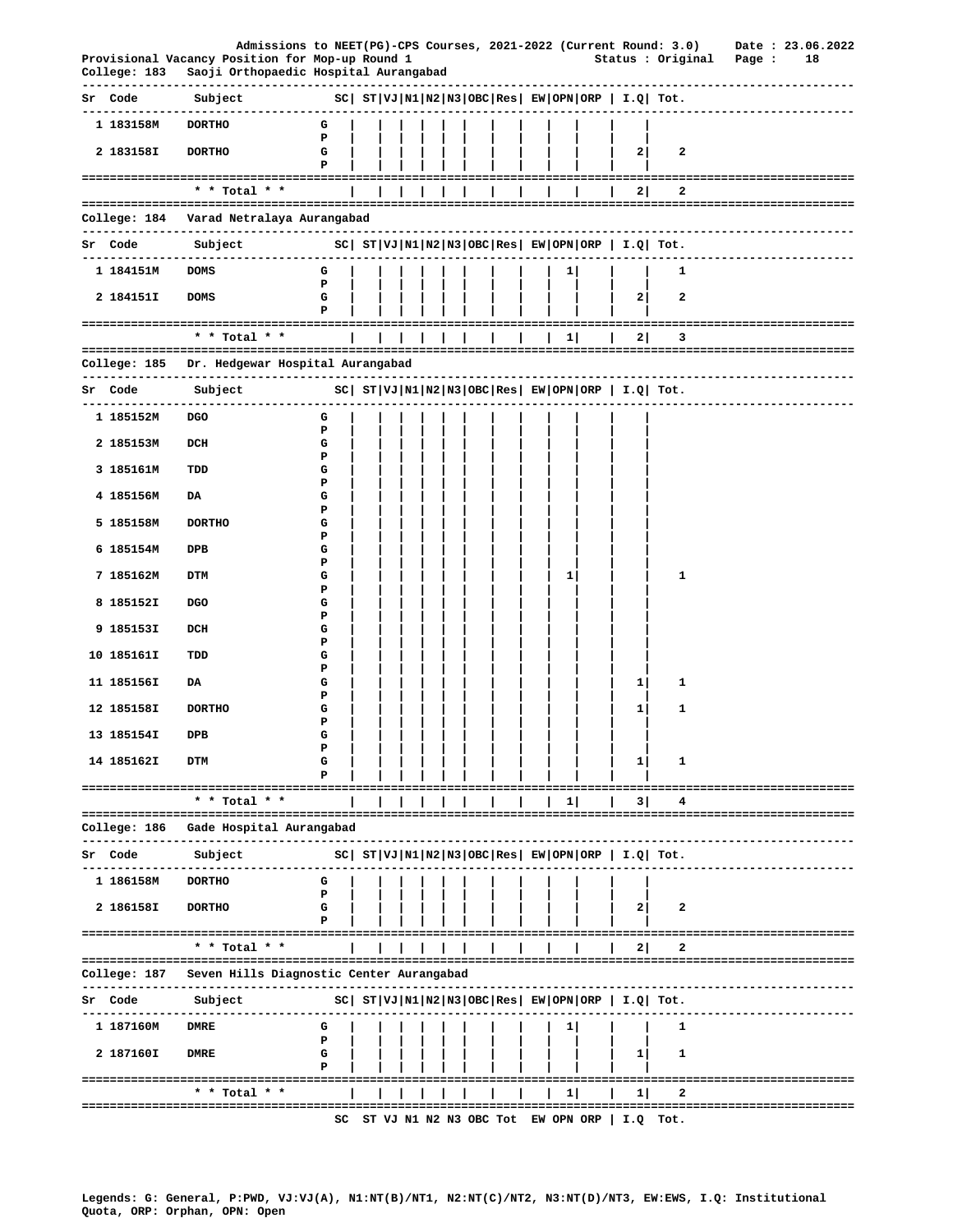|                 | Admissions to NEET(PG)-CPS Courses, 2021-2022 (Current Round: 3.0) Date : 23.06.2022                                                                                                                                                                                         |                   |  |   |  |  |           |                                                        |              |                               |    |
|-----------------|------------------------------------------------------------------------------------------------------------------------------------------------------------------------------------------------------------------------------------------------------------------------------|-------------------|--|---|--|--|-----------|--------------------------------------------------------|--------------|-------------------------------|----|
|                 | Provisional Vacancy Position for Mop-up Round 1<br>College: 183 Saoji Orthopaedic Hospital Aurangabad                                                                                                                                                                        |                   |  |   |  |  |           |                                                        |              | Status : Original Page :      | 18 |
| Sr Code Subject | $SC \left[ ST \left  VJ \left  N1 \left  N2 \left  N3 \left  {OBC} \right  Res \right. \right  \right. \right. \left. EW \left  OPN \left  {ORP} \right. \right  \right. \right. \left. T \cdot Q \left  T \cdot C \right  \right]$<br>------------------------------------- |                   |  |   |  |  |           |                                                        |              | -------------------------     |    |
| 1 183158M       | <b>DORTHO</b>                                                                                                                                                                                                                                                                | G                 |  |   |  |  |           |                                                        |              |                               |    |
| 2 183158I       | <b>DORTHO</b>                                                                                                                                                                                                                                                                | P<br>G<br>Р       |  |   |  |  |           | 2                                                      | 2            |                               |    |
|                 | * * Total * *                                                                                                                                                                                                                                                                |                   |  | . |  |  |           | 2                                                      | 2            |                               |    |
|                 |                                                                                                                                                                                                                                                                              |                   |  |   |  |  |           |                                                        |              |                               |    |
|                 | College: 184 Varad Netralaya Aurangabad                                                                                                                                                                                                                                      |                   |  |   |  |  |           |                                                        |              |                               |    |
|                 |                                                                                                                                                                                                                                                                              |                   |  |   |  |  |           |                                                        |              | -----------------------       |    |
| 1 184151M DOMS  |                                                                                                                                                                                                                                                                              | G<br>$\mathbf{P}$ |  |   |  |  | 1         |                                                        | 1            |                               |    |
| 2 184151I       | <b>DOMS</b>                                                                                                                                                                                                                                                                  | G<br>Р            |  |   |  |  |           | 2                                                      | $\mathbf{2}$ |                               |    |
|                 | * * Total * *                                                                                                                                                                                                                                                                |                   |  | . |  |  | $1 \vert$ | 2                                                      | 3            |                               |    |
|                 | College: 185 Dr. Hedgewar Hospital Aurangabad                                                                                                                                                                                                                                |                   |  |   |  |  |           |                                                        |              |                               |    |
| Sr Code Subject | $ SC $ $ST VJ N1 N2 N3 OBC Res $ $EW OPN ORP $ $I.Q $ $Tot.$                                                                                                                                                                                                                 |                   |  |   |  |  |           |                                                        |              | --------------------------    |    |
| 1 185152M       | -------------------------------<br>DGO                                                                                                                                                                                                                                       | G                 |  |   |  |  |           |                                                        |              |                               |    |
| 2 185153M       | DCH                                                                                                                                                                                                                                                                          | Р<br>G            |  |   |  |  |           |                                                        |              |                               |    |
| 3 185161M       | TDD                                                                                                                                                                                                                                                                          | Р<br>G            |  |   |  |  |           |                                                        |              |                               |    |
| 4 185156M       | DA                                                                                                                                                                                                                                                                           | Р<br>G            |  |   |  |  |           |                                                        |              |                               |    |
| 5 185158M       | <b>DORTHO</b>                                                                                                                                                                                                                                                                | Р<br>G            |  |   |  |  |           |                                                        |              |                               |    |
| 6 185154M       | DPB                                                                                                                                                                                                                                                                          | Р<br>G            |  |   |  |  |           |                                                        |              |                               |    |
| 7 185162M       | DTM                                                                                                                                                                                                                                                                          | Р<br>G            |  |   |  |  | 1         |                                                        | 1            |                               |    |
| 8 185152I       | DGO                                                                                                                                                                                                                                                                          | Р<br>G            |  |   |  |  |           |                                                        |              |                               |    |
| 9 185153I       | DCH                                                                                                                                                                                                                                                                          | Р<br>G            |  |   |  |  |           |                                                        |              |                               |    |
|                 |                                                                                                                                                                                                                                                                              | Р                 |  |   |  |  |           |                                                        |              |                               |    |
| 10 185161I      | TDD                                                                                                                                                                                                                                                                          | G<br>Р            |  |   |  |  |           |                                                        |              |                               |    |
| 11 185156I      | DA                                                                                                                                                                                                                                                                           | G<br>Р            |  |   |  |  |           | 1                                                      | 1            |                               |    |
| 12 185158I      | <b>DORTHO</b>                                                                                                                                                                                                                                                                | G<br>Р            |  |   |  |  |           | 1                                                      | 1            |                               |    |
| 13 185154I      | DPB                                                                                                                                                                                                                                                                          | G<br>Р            |  |   |  |  |           |                                                        |              |                               |    |
| 14 185162I      | DTM                                                                                                                                                                                                                                                                          | G                 |  |   |  |  |           | 1                                                      | 1            |                               |    |
|                 | ==================================<br>* * Total * *                                                                                                                                                                                                                          |                   |  |   |  |  | $1 \mid$  | 31                                                     | 4            |                               |    |
| College: 186    | Gade Hospital Aurangabad                                                                                                                                                                                                                                                     |                   |  |   |  |  |           |                                                        |              |                               |    |
| Sr Code         | Subject                                                                                                                                                                                                                                                                      |                   |  |   |  |  |           | $ SC $ $ST VJ N1 N2 N3 OBC Res EW OPN ORP  I.Q  Tot.$  |              |                               |    |
| 1 186158M       | <b>DORTHO</b>                                                                                                                                                                                                                                                                | G                 |  |   |  |  |           |                                                        |              |                               |    |
| 2 186158I       | <b>DORTHO</b>                                                                                                                                                                                                                                                                | P<br>G            |  |   |  |  |           | 2                                                      | 2            |                               |    |
|                 | ---------------------------------                                                                                                                                                                                                                                            | Р                 |  |   |  |  |           |                                                        |              |                               |    |
|                 | * * Total * *                                                                                                                                                                                                                                                                |                   |  |   |  |  |           | 21                                                     | 2            |                               |    |
| College: 187    | Seven Hills Diagnostic Center Aurangabad                                                                                                                                                                                                                                     |                   |  |   |  |  |           |                                                        |              |                               |    |
| Sr Code         | Subject                                                                                                                                                                                                                                                                      |                   |  |   |  |  |           | $ SC $ $ST VJ N1 N2 N3 OBC Res EW OPN ORP   I.Q  Tot.$ |              |                               |    |
| 1 187160M       | <b>DMRE</b>                                                                                                                                                                                                                                                                  | G<br>P            |  |   |  |  |           |                                                        | 1            |                               |    |
| 2 187160I       | <b>DMRE</b>                                                                                                                                                                                                                                                                  | G<br>Р            |  |   |  |  |           | 1                                                      | 1            |                               |    |
|                 |                                                                                                                                                                                                                                                                              |                   |  |   |  |  |           |                                                        |              |                               |    |
|                 | * * Total * *<br>=============================                                                                                                                                                                                                                               |                   |  |   |  |  | $1 \mid$  | 11                                                     | 2            | ----------------------------- |    |
|                 |                                                                                                                                                                                                                                                                              |                   |  |   |  |  |           | SC ST VJ N1 N2 N3 OBC Tot EW OPN ORP   I.Q Tot.        |              |                               |    |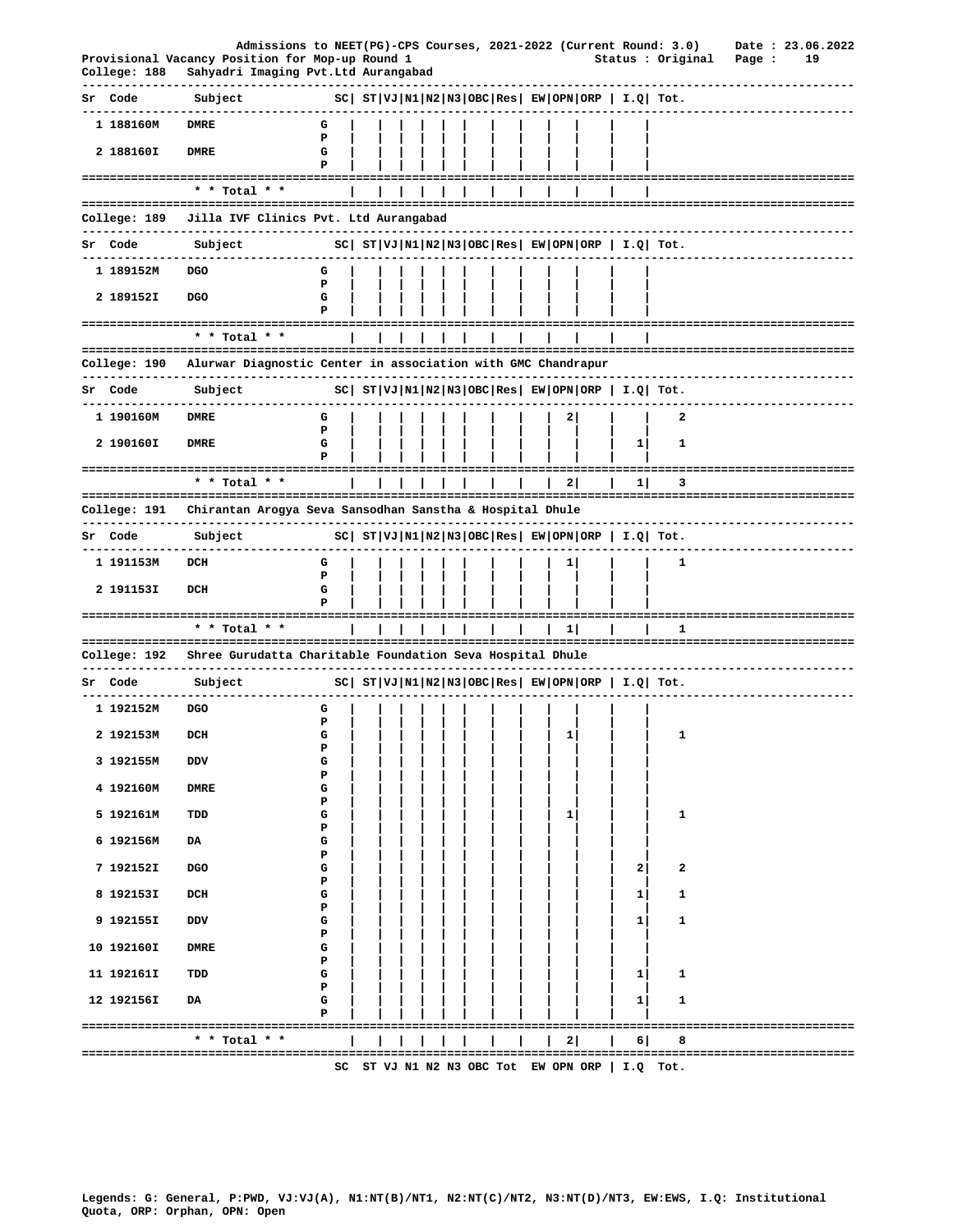|              | Admissions to NEET(PG)-CPS Courses, 2021-2022 (Current Round: 3.0)                     |        |  |  |                |         |                |                                                        |                                                       |                                       | Date: 23.06.2022 |  |
|--------------|----------------------------------------------------------------------------------------|--------|--|--|----------------|---------|----------------|--------------------------------------------------------|-------------------------------------------------------|---------------------------------------|------------------|--|
| College: 188 | Provisional Vacancy Position for Mop-up Round 1<br>Sahyadri Imaging Pvt.Ltd Aurangabad |        |  |  |                |         |                |                                                        | Status : Original                                     | Page :                                | 19               |  |
| Sr Code      | Subject                                                                                |        |  |  |                |         |                | $SC ST VJ N1 N2 N3 OBC Res EW OPN ORP I.Q Tot.$        |                                                       |                                       |                  |  |
| 1 188160M    | <b>DMRE</b>                                                                            | G<br>Р |  |  |                |         |                |                                                        |                                                       |                                       |                  |  |
| 2 188160I    | DMRE                                                                                   | G<br>Р |  |  |                |         |                |                                                        |                                                       |                                       |                  |  |
|              | ----------------------------------<br>* * Total * *                                    |        |  |  |                |         |                |                                                        |                                                       |                                       |                  |  |
| College: 189 | Jilla IVF Clinics Pvt. Ltd Aurangabad                                                  |        |  |  |                |         |                |                                                        |                                                       |                                       |                  |  |
| Sr Code      | Subject                                                                                |        |  |  |                |         |                | $ SC $ $ST VJ N1 N2 N3 OBC Res EW OPN ORP   I.Q  Tot.$ |                                                       |                                       |                  |  |
| 1 189152M    | <b>DGO</b>                                                                             | G      |  |  |                |         |                |                                                        |                                                       |                                       |                  |  |
| 2 189152I    | <b>DGO</b>                                                                             | P<br>G |  |  |                |         |                |                                                        |                                                       |                                       |                  |  |
|              |                                                                                        | P      |  |  |                |         |                |                                                        |                                                       |                                       |                  |  |
|              | --------------------------<br>* * Total * *                                            |        |  |  |                |         |                |                                                        | ===============                                       |                                       |                  |  |
| College: 190 | Alurwar Diagnostic Center in association with GMC Chandrapur                           |        |  |  |                |         |                |                                                        |                                                       |                                       |                  |  |
| Sr Code      | Subject                                                                                |        |  |  |                |         |                |                                                        | $ SC $ $ST VJ N1 N2 N3 OBC Res EW OPN ORP  I.Q  Tot.$ |                                       |                  |  |
| 1 190160M    | <b>DMRE</b>                                                                            | G      |  |  |                |         | $\mathbf{2}$   |                                                        | 2                                                     |                                       |                  |  |
| 2 190160I    | <b>DMRE</b>                                                                            | Р<br>G |  |  |                |         |                | 1                                                      | 1                                                     |                                       |                  |  |
|              |                                                                                        | Р      |  |  |                |         |                |                                                        |                                                       |                                       |                  |  |
|              | $*$ * Total * *                                                                        |        |  |  |                |         | 2              | 11                                                     | 3                                                     |                                       |                  |  |
| College: 191 | Chirantan Arogya Seva Sansodhan Sanstha & Hospital Dhule                               |        |  |  |                |         |                |                                                        |                                                       |                                       |                  |  |
| Sr Code      | -------------<br>Subject                                                               |        |  |  |                |         |                |                                                        | $ SC $ $ST VJ N1 N2 N3 OBC Res EW OPN ORP  I.Q  Tot.$ |                                       |                  |  |
| 1 191153M    | DCH                                                                                    | G      |  |  |                |         | $1 \mid$       |                                                        | 1                                                     |                                       |                  |  |
| 2 191153I    | DCH                                                                                    | P<br>G |  |  |                |         |                |                                                        |                                                       |                                       |                  |  |
|              | --------------------------------------                                                 | Р      |  |  |                |         |                |                                                        |                                                       | ===================================== |                  |  |
|              | * * Total * *                                                                          |        |  |  | ============== | ======= | 11             |                                                        | 1                                                     |                                       |                  |  |
| College: 192 | Shree Gurudatta Charitable Foundation Seva Hospital Dhule                              |        |  |  |                |         |                |                                                        |                                                       |                                       |                  |  |
| Sr Code      | Subject                                                                                |        |  |  |                |         |                | $ SC $ $ST VJ N1 N2 N3 OBC Res EW OPN ORP   I.Q  Tot.$ |                                                       |                                       |                  |  |
| 1 192152M    | <b>DGO</b>                                                                             | G<br>Р |  |  |                |         |                |                                                        |                                                       |                                       |                  |  |
| 2 192153M    | DCH                                                                                    | G<br>Р |  |  |                |         | $\mathbf{1}$   |                                                        | 1                                                     |                                       |                  |  |
| 3 192155M    | DDV                                                                                    | G      |  |  |                |         |                |                                                        |                                                       |                                       |                  |  |
| 4 192160M    | <b>DMRE</b>                                                                            | Р<br>G |  |  |                |         |                |                                                        |                                                       |                                       |                  |  |
| 5 192161M    | TDD                                                                                    | Р<br>G |  |  |                |         | 1              |                                                        | 1                                                     |                                       |                  |  |
| 6 192156M    | DA                                                                                     | Р<br>G |  |  |                |         |                |                                                        |                                                       |                                       |                  |  |
| 7 192152I    | DGO                                                                                    | Р<br>G |  |  |                |         |                | 2                                                      | 2                                                     |                                       |                  |  |
| 8 192153I    | DCH                                                                                    | Р<br>G |  |  |                |         |                | 1                                                      | 1                                                     |                                       |                  |  |
| 9 192155I    | DDV                                                                                    | P<br>G |  |  |                |         |                | 1                                                      | 1                                                     |                                       |                  |  |
| 10 192160I   | <b>DMRE</b>                                                                            | Р<br>G |  |  |                |         |                |                                                        |                                                       |                                       |                  |  |
| 11 192161I   | TDD                                                                                    | Р<br>G |  |  |                |         |                | 1                                                      | 1                                                     |                                       |                  |  |
|              |                                                                                        | Р      |  |  |                |         |                |                                                        |                                                       |                                       |                  |  |
| 12 192156I   | DA                                                                                     | G<br>P |  |  |                |         |                | $\mathbf{1}$                                           | 1                                                     |                                       |                  |  |
|              | * * Total * *                                                                          |        |  |  |                |         | 2 <sup>1</sup> | 6                                                      | 8                                                     |                                       |                  |  |
|              |                                                                                        |        |  |  |                |         |                |                                                        | SC ST VJ N1 N2 N3 OBC Tot EW OPN ORP   I.Q Tot.       |                                       |                  |  |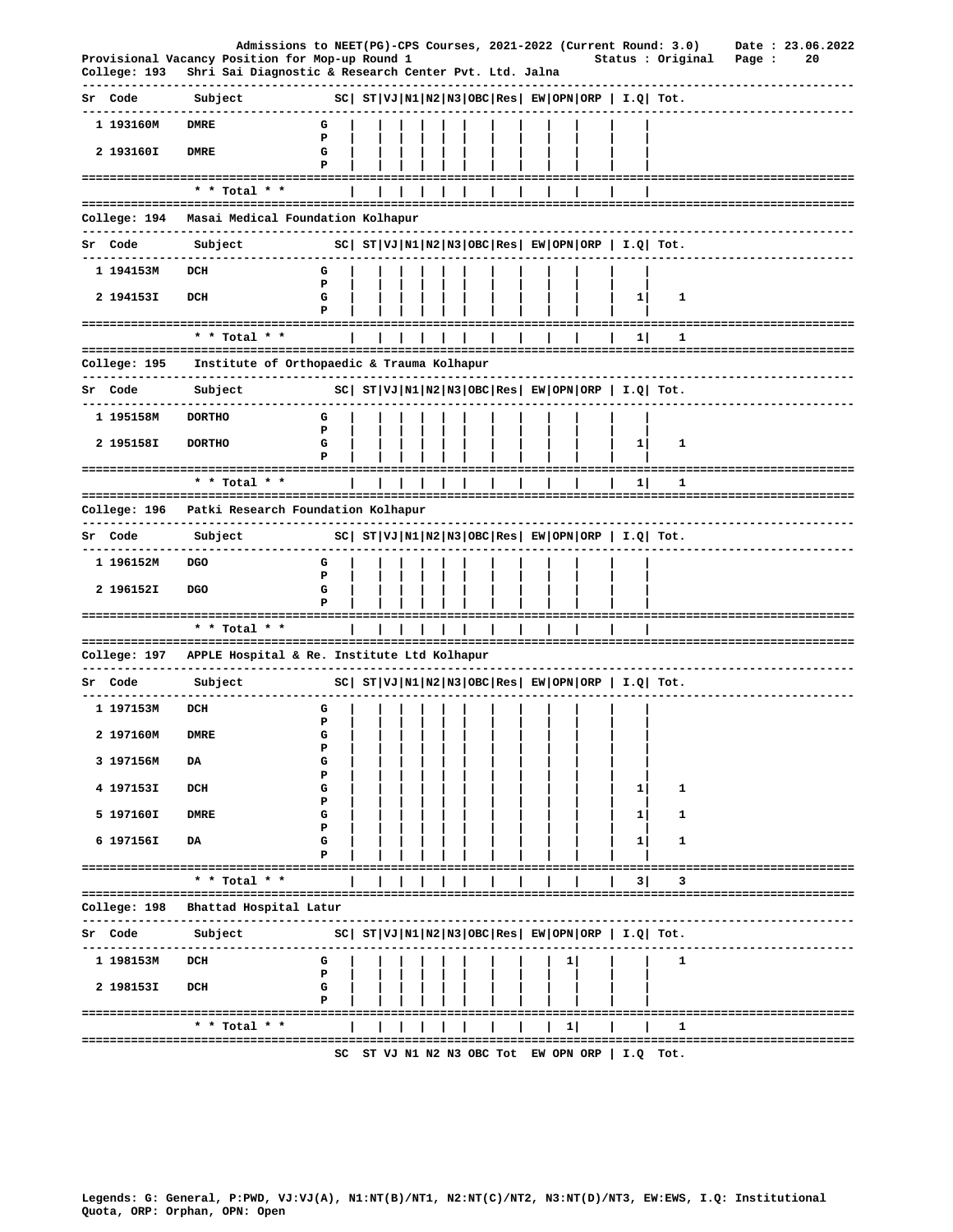|              | Admissions to NEET(PG)-CPS Courses, 2021-2022 (Current Round: 3.0)                                       |             |  |  |  |  |              |                                                 |                                                            |        |    | Date: 23.06.2022 |
|--------------|----------------------------------------------------------------------------------------------------------|-------------|--|--|--|--|--------------|-------------------------------------------------|------------------------------------------------------------|--------|----|------------------|
| College: 193 | Provisional Vacancy Position for Mop-up Round 1<br>Shri Sai Diagnostic & Research Center Pvt. Ltd. Jalna |             |  |  |  |  |              |                                                 | Status : Original                                          | Page : | 20 |                  |
| Sr Code      | Subject                                                                                                  |             |  |  |  |  |              |                                                 | $ SC $ $ST VJ N1 N2 N3 OBC Res EW OPN ORP   I.Q  Tot.$     |        |    |                  |
| 1 193160M    | <b>DMRE</b>                                                                                              | G           |  |  |  |  |              |                                                 |                                                            |        |    |                  |
| 2 193160I    | <b>DMRE</b>                                                                                              | P<br>G<br>Р |  |  |  |  |              |                                                 |                                                            |        |    |                  |
|              | ======================================<br>* * Total * *                                                  |             |  |  |  |  |              |                                                 | -------------------------                                  |        |    |                  |
| College: 194 | Masai Medical Foundation Kolhapur                                                                        |             |  |  |  |  |              |                                                 |                                                            |        |    |                  |
| Sr Code      | ------------<br>Subject                                                                                  |             |  |  |  |  |              |                                                 | $ SC $ $ST VJ N1 N2 N3 OBC Res EW OPN ORP  I.Q  Tot.$      |        |    |                  |
| 1 194153M    | DCH                                                                                                      | G           |  |  |  |  |              |                                                 |                                                            |        |    |                  |
|              |                                                                                                          | Р           |  |  |  |  |              |                                                 |                                                            |        |    |                  |
| 2 194153I    | DCH                                                                                                      | G<br>Р      |  |  |  |  |              | 1                                               | 1                                                          |        |    |                  |
|              | ----------------------------<br>* * Total * *                                                            |             |  |  |  |  |              | 1                                               | 1                                                          |        |    |                  |
| College: 195 | Institute of Orthopaedic & Trauma Kolhapur                                                               |             |  |  |  |  |              |                                                 |                                                            |        |    |                  |
| Sr Code      | --------------------------------<br>Subject                                                              |             |  |  |  |  |              |                                                 | $ SC $ $ST VJ N1 N2 N3 OBC Res $ $EW OPN ORP$   $I.Q$ Tot. |        |    |                  |
| 1 195158M    | <b>DORTHO</b>                                                                                            | G           |  |  |  |  |              |                                                 |                                                            |        |    |                  |
| 2 195158I    | <b>DORTHO</b>                                                                                            | P<br>G<br>P |  |  |  |  |              | $1\vert$                                        | 1                                                          |        |    |                  |
|              | * * Total * *                                                                                            |             |  |  |  |  |              | 1                                               | 1                                                          |        |    |                  |
| College: 196 | Patki Research Foundation Kolhapur                                                                       |             |  |  |  |  |              |                                                 |                                                            |        |    |                  |
| Sr Code      | Subject                                                                                                  |             |  |  |  |  |              |                                                 |                                                            |        |    |                  |
|              | -----------                                                                                              |             |  |  |  |  |              |                                                 | $ SC $ $ST VJ N1 N2 N3 OBC Res EW OPN ORP  I.Q  Tot.$      |        |    |                  |
| 1 196152M    | DGO                                                                                                      | G<br>P      |  |  |  |  |              |                                                 |                                                            |        |    |                  |
| 2 196152I    | <b>DGO</b>                                                                                               | G<br>P      |  |  |  |  |              |                                                 |                                                            |        |    |                  |
|              | * * Total * *                                                                                            |             |  |  |  |  |              |                                                 |                                                            |        |    |                  |
|              | College: 197 APPLE Hospital & Re. Institute Ltd Kolhapur                                                 |             |  |  |  |  |              |                                                 |                                                            |        |    |                  |
| Sr Code      | Subject                                                                                                  |             |  |  |  |  |              |                                                 | $ SC $ $ST VJ N1 N2 N3 OBC Res $ $EW OPN ORP$   $I.Q$ Tot. |        |    |                  |
| 1 197153M    | DCH                                                                                                      | G           |  |  |  |  |              |                                                 |                                                            |        |    |                  |
| 2 197160M    | DMRE                                                                                                     | Р<br>G      |  |  |  |  |              |                                                 |                                                            |        |    |                  |
|              |                                                                                                          | Р           |  |  |  |  |              |                                                 |                                                            |        |    |                  |
| 3 197156M    | DA                                                                                                       | G<br>Ъ      |  |  |  |  |              |                                                 |                                                            |        |    |                  |
| 4 197153I    | DCH                                                                                                      | G<br>P      |  |  |  |  |              | 1                                               | 1                                                          |        |    |                  |
| 5 197160I    | <b>DMRE</b>                                                                                              | G<br>P      |  |  |  |  |              | $1\vert$                                        | 1                                                          |        |    |                  |
| 6 197156I    | DA                                                                                                       | G<br>P      |  |  |  |  |              | 1                                               | 1                                                          |        |    |                  |
|              | * * Total * *                                                                                            |             |  |  |  |  |              | 3                                               | 3                                                          |        |    |                  |
| College: 198 | Bhattad Hospital Latur                                                                                   |             |  |  |  |  |              |                                                 |                                                            |        |    |                  |
| Sr Code      | -----------<br>----------------<br>Subject                                                               |             |  |  |  |  |              |                                                 | $ SC $ $ST VJ N1 N2 N3 OBC Res EW OPN ORP  I.Q  Tot.$      |        |    |                  |
| 1 198153M    | DCH                                                                                                      | G           |  |  |  |  | $\mathbf{1}$ |                                                 | 1                                                          |        |    |                  |
| 2 198153I    | DCH                                                                                                      | Р<br>G      |  |  |  |  |              |                                                 |                                                            |        |    |                  |
|              |                                                                                                          |             |  |  |  |  |              |                                                 |                                                            |        |    |                  |
|              | * * Total * *                                                                                            |             |  |  |  |  | 1            |                                                 | 1                                                          |        |    |                  |
|              | -------------------------------------                                                                    |             |  |  |  |  |              | SC ST VJ N1 N2 N3 OBC Tot EW OPN ORP   I.Q Tot. |                                                            |        |    |                  |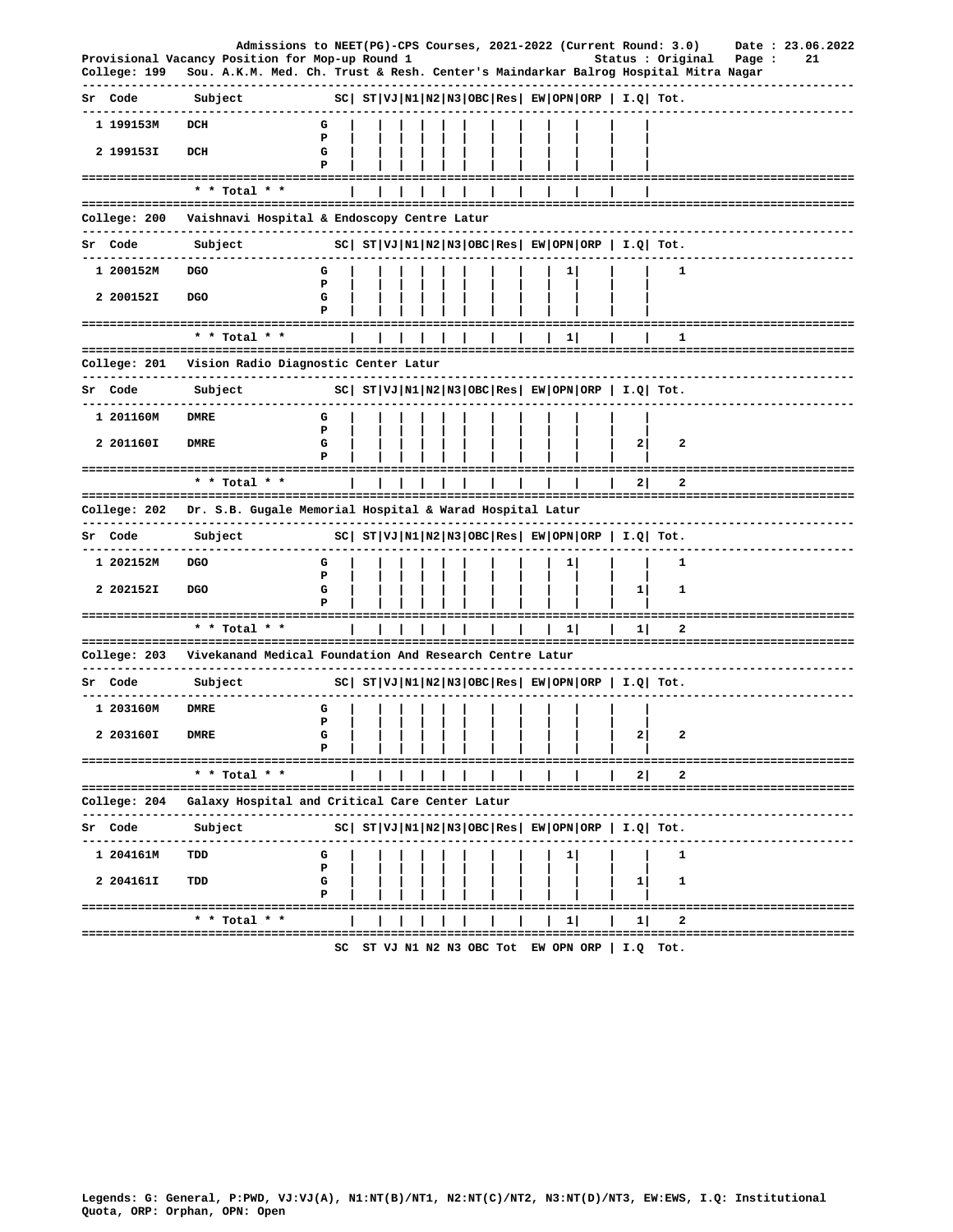|                                                                 |                 | Admissions to NEET(PG)-CPS Courses, 2021-2022 (Current Round: 3.0)                   |             |  |  |  |  |              |                                   |                |                                                            |                               |        |    | Date: 23.06.2022 |
|-----------------------------------------------------------------|-----------------|--------------------------------------------------------------------------------------|-------------|--|--|--|--|--------------|-----------------------------------|----------------|------------------------------------------------------------|-------------------------------|--------|----|------------------|
| Provisional Vacancy Position for Mop-up Round 1<br>College: 199 |                 | Sou. A.K.M. Med. Ch. Trust & Resh. Center's Maindarkar Balrog Hospital Mitra Nagar   |             |  |  |  |  |              |                                   |                | Status : Original                                          |                               | Page : | 21 |                  |
| Sr Code                                                         | Subject         |                                                                                      |             |  |  |  |  |              |                                   |                | $ SC $ $ST VJ N1 N2 N3 OBC Res EW OPN ORP   I.Q  Tot.$     |                               |        |    |                  |
| 1 199153M                                                       | DCH             |                                                                                      | G           |  |  |  |  |              |                                   |                |                                                            |                               |        |    |                  |
| 2 199153I                                                       | DCH             |                                                                                      | P<br>G<br>P |  |  |  |  |              |                                   |                |                                                            |                               |        |    |                  |
| ----------------------------------                              |                 |                                                                                      |             |  |  |  |  |              |                                   |                | ---------------------------------                          |                               |        |    |                  |
|                                                                 | * * Total * *   |                                                                                      |             |  |  |  |  |              |                                   |                |                                                            |                               |        |    |                  |
| College: 200                                                    |                 | Vaishnavi Hospital & Endoscopy Centre Latur<br>------------------------------------- |             |  |  |  |  |              |                                   |                | -------------------------                                  |                               |        |    |                  |
| Sr Code                                                         | Subject         |                                                                                      |             |  |  |  |  |              |                                   |                | $ SC $ $ST VJ N1 N2 N3 OBC Res EW OPN ORP  I.Q  Tot.$      |                               |        |    |                  |
| 1 200152M                                                       | <b>DGO</b>      |                                                                                      | G           |  |  |  |  | 1            |                                   |                | 1                                                          |                               |        |    |                  |
| 2 200152I                                                       | DGO             |                                                                                      | P<br>G      |  |  |  |  |              |                                   |                |                                                            |                               |        |    |                  |
| --------------------------------                                |                 |                                                                                      | Р           |  |  |  |  |              |                                   |                |                                                            |                               |        |    |                  |
|                                                                 | * * Total * *   |                                                                                      |             |  |  |  |  | 1            |                                   |                | ı                                                          |                               |        |    |                  |
| College: 201                                                    |                 | Vision Radio Diagnostic Center Latur                                                 |             |  |  |  |  |              |                                   |                |                                                            |                               |        |    |                  |
| Sr Code                                                         | Subject         |                                                                                      |             |  |  |  |  |              |                                   |                | $ SC $ $ST VJ N1 N2 N3 OBC Res EW OPN ORP$   $I.Q$ Tot.    |                               |        |    |                  |
| 1 201160M                                                       | <b>DMRE</b>     |                                                                                      | G           |  |  |  |  |              |                                   |                |                                                            |                               |        |    |                  |
| 2 201160I                                                       | <b>DMRE</b>     |                                                                                      | P<br>G      |  |  |  |  |              |                                   | 2              | 2                                                          |                               |        |    |                  |
| ---------------------------                                     |                 |                                                                                      | Р           |  |  |  |  |              |                                   |                |                                                            |                               |        |    |                  |
|                                                                 | $*$ * Total * * |                                                                                      |             |  |  |  |  |              |                                   | 2              | 2                                                          |                               |        |    |                  |
| College: 202<br>-----------------------------------             |                 | Dr. S.B. Gugale Memorial Hospital & Warad Hospital Latur                             |             |  |  |  |  |              |                                   |                |                                                            |                               |        |    |                  |
| Sr Code                                                         | Subject         |                                                                                      |             |  |  |  |  |              |                                   |                | $ SC $ $ST VJ N1 N2 N3 OBC Res EW OPN ORP   I.Q  Tot.$     |                               |        |    |                  |
| 1 202152M                                                       | DGO             |                                                                                      | G           |  |  |  |  | $\mathbf{1}$ |                                   |                | 1                                                          |                               |        |    |                  |
| 2 202152I                                                       | <b>DGO</b>      |                                                                                      | P<br>G      |  |  |  |  |              |                                   | 1              | 1                                                          |                               |        |    |                  |
|                                                                 |                 |                                                                                      | P           |  |  |  |  |              |                                   |                |                                                            |                               |        |    |                  |
|                                                                 | * * Total * *   |                                                                                      |             |  |  |  |  | 1            |                                   | 11             | 2                                                          |                               |        |    |                  |
| College: 203                                                    |                 | Vivekanand Medical Foundation And Research Centre Latur                              |             |  |  |  |  |              |                                   |                |                                                            |                               |        |    |                  |
| ----------<br>Sr Code                                           | Subject         | -------------                                                                        |             |  |  |  |  |              |                                   |                | $ SC $ $ST VJ N1 N2 N3 OBC Res EW OPN ORP  I.Q  Tot.$      |                               |        |    |                  |
| 1 203160M                                                       | DMRE            |                                                                                      | G           |  |  |  |  |              |                                   |                |                                                            |                               |        |    |                  |
| 2 203160I DMRE                                                  |                 |                                                                                      | Ъ<br>G      |  |  |  |  |              |                                   | 2 <sup>1</sup> | $\overline{2}$                                             |                               |        |    |                  |
| ===================================                             |                 |                                                                                      | Р           |  |  |  |  |              |                                   |                |                                                            | ==========================    |        |    |                  |
|                                                                 | * * Total * *   |                                                                                      |             |  |  |  |  |              |                                   | 2              | 2                                                          |                               |        |    |                  |
| College: 204                                                    |                 | Galaxy Hospital and Critical Care Center Latur                                       |             |  |  |  |  |              |                                   |                |                                                            |                               |        |    |                  |
| Sr Code                                                         | Subject         |                                                                                      |             |  |  |  |  |              |                                   |                | $ SC $ $ST VJ N1 N2 N3 OBC Res $ $EW OPN ORP$   $I.Q$ Tot. |                               |        |    |                  |
| 1 204161M                                                       | TDD             |                                                                                      | G           |  |  |  |  | 1            |                                   |                | 1                                                          |                               |        |    |                  |
| 2 204161I                                                       | TDD             |                                                                                      | Р<br>G      |  |  |  |  |              |                                   | 1              | 1                                                          |                               |        |    |                  |
|                                                                 |                 |                                                                                      | Р           |  |  |  |  |              |                                   |                |                                                            |                               |        |    |                  |
| ------------------------------------                            | * * Total * *   |                                                                                      |             |  |  |  |  | $\mathbf{1}$ |                                   | 11             | 2                                                          | ----------------------------- |        |    |                  |
|                                                                 |                 |                                                                                      | SC          |  |  |  |  |              | ST VJ N1 N2 N3 OBC Tot EW OPN ORP |                | I.Q Tot.                                                   |                               |        |    |                  |
|                                                                 |                 |                                                                                      |             |  |  |  |  |              |                                   |                |                                                            |                               |        |    |                  |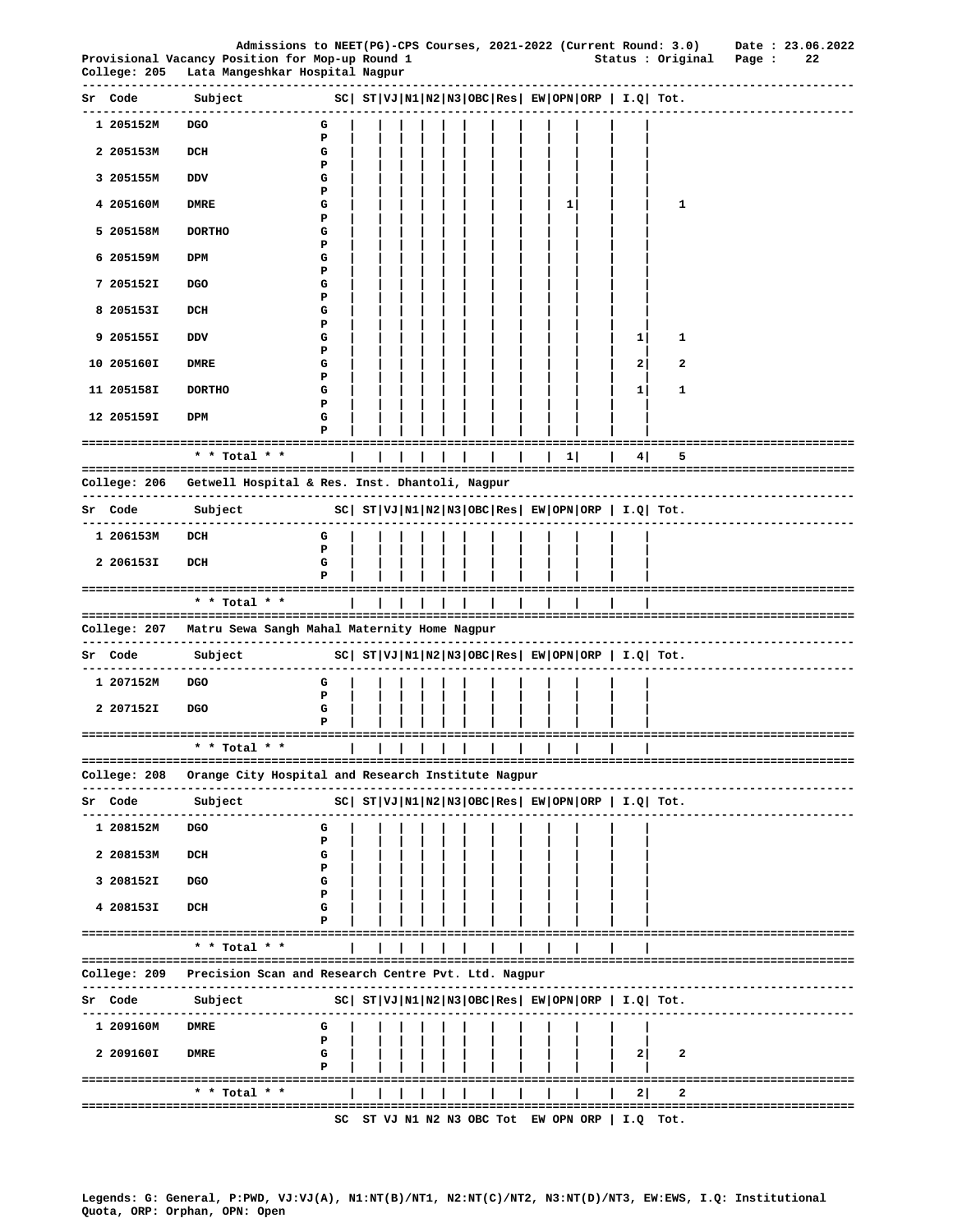|    | College: 205               | Admissions to NEET(PG)-CPS Courses, 2021-2022 (Current Round: 3.0)<br>Provisional Vacancy Position for Mop-up Round 1<br>Lata Mangeshkar Hospital Nagpur<br>-------------------------------------- |        |  |  |  |  |   |                                              | Status : Original Page :                                                                                                                                                                                            | Date: 23.06.2022               | 22 |
|----|----------------------------|----------------------------------------------------------------------------------------------------------------------------------------------------------------------------------------------------|--------|--|--|--|--|---|----------------------------------------------|---------------------------------------------------------------------------------------------------------------------------------------------------------------------------------------------------------------------|--------------------------------|----|
|    | <b>Sr</b> Code to the code | $ SC $ $ST VJ N1 N2 N3 OBC Res $ $EW OPN ORP$ $  I.Q $ $Tot.$<br>Subject                                                                                                                           |        |  |  |  |  |   |                                              |                                                                                                                                                                                                                     |                                |    |
|    | 1 205152M                  | DGO                                                                                                                                                                                                | G      |  |  |  |  |   |                                              |                                                                                                                                                                                                                     | -------------------------      |    |
|    | 2 205153M                  | DCH                                                                                                                                                                                                | Р<br>G |  |  |  |  |   |                                              |                                                                                                                                                                                                                     |                                |    |
|    | 3 205155M                  | DDV                                                                                                                                                                                                | Р<br>G |  |  |  |  |   |                                              |                                                                                                                                                                                                                     |                                |    |
|    | 4 205160M                  | <b>DMRE</b>                                                                                                                                                                                        | Р<br>G |  |  |  |  | 1 |                                              | 1                                                                                                                                                                                                                   |                                |    |
|    | 5 205158M                  | <b>DORTHO</b>                                                                                                                                                                                      | Р<br>G |  |  |  |  |   |                                              |                                                                                                                                                                                                                     |                                |    |
|    | 6 205159M                  | DPM                                                                                                                                                                                                | Р<br>G |  |  |  |  |   |                                              |                                                                                                                                                                                                                     |                                |    |
|    | 7 205152I                  | DGO                                                                                                                                                                                                | Р<br>G |  |  |  |  |   |                                              |                                                                                                                                                                                                                     |                                |    |
|    |                            |                                                                                                                                                                                                    | Р      |  |  |  |  |   |                                              |                                                                                                                                                                                                                     |                                |    |
|    | 8 205153I                  | DCH                                                                                                                                                                                                | G<br>Р |  |  |  |  |   |                                              |                                                                                                                                                                                                                     |                                |    |
|    | 9 205155I                  | DDV                                                                                                                                                                                                | G<br>Р |  |  |  |  |   | 1                                            | 1                                                                                                                                                                                                                   |                                |    |
|    | 10 205160I                 | DMRE                                                                                                                                                                                               | G<br>Р |  |  |  |  |   | 2                                            | 2                                                                                                                                                                                                                   |                                |    |
|    | 11 205158I                 | <b>DORTHO</b>                                                                                                                                                                                      | G<br>P |  |  |  |  |   | 1                                            | 1                                                                                                                                                                                                                   |                                |    |
|    | 12 205159I                 | DPM                                                                                                                                                                                                | G<br>P |  |  |  |  |   |                                              |                                                                                                                                                                                                                     |                                |    |
|    |                            | * * Total * *                                                                                                                                                                                      |        |  |  |  |  |   | 4                                            | 5                                                                                                                                                                                                                   |                                |    |
|    |                            |                                                                                                                                                                                                    |        |  |  |  |  |   |                                              |                                                                                                                                                                                                                     |                                |    |
|    |                            | College: 206 Getwell Hospital & Res. Inst. Dhantoli, Nagpur<br>--------------------------------------                                                                                              |        |  |  |  |  |   |                                              |                                                                                                                                                                                                                     |                                |    |
|    | Sr Code                    | Subject                                                                                                                                                                                            |        |  |  |  |  |   |                                              |                                                                                                                                                                                                                     | --------------------------     |    |
|    | 1 206153M                  | DCH                                                                                                                                                                                                | G<br>P |  |  |  |  |   |                                              |                                                                                                                                                                                                                     |                                |    |
|    | 2 206153I                  | DCH                                                                                                                                                                                                | G<br>Р |  |  |  |  |   |                                              |                                                                                                                                                                                                                     |                                |    |
|    |                            | * * Total * *                                                                                                                                                                                      |        |  |  |  |  |   |                                              |                                                                                                                                                                                                                     |                                |    |
|    |                            | College: 207 Matru Sewa Sangh Mahal Maternity Home Nagpur                                                                                                                                          |        |  |  |  |  |   |                                              |                                                                                                                                                                                                                     | -----------------------------  |    |
|    | Sr Code                    | Subject<br>-------------------------------                                                                                                                                                         |        |  |  |  |  |   |                                              | $ SC $ $ST VJ N1 N2 N3 OBC Res $ $EW OPN ORP $ $I.Q $ $Tot.$                                                                                                                                                        | -------------------------      |    |
|    | 1 207152M                  | DGO                                                                                                                                                                                                | G<br>Р |  |  |  |  |   |                                              |                                                                                                                                                                                                                     |                                |    |
|    | 2 207152I                  | DGO                                                                                                                                                                                                | G<br>P |  |  |  |  |   |                                              |                                                                                                                                                                                                                     |                                |    |
|    | ==================         | * * Total *                                                                                                                                                                                        |        |  |  |  |  |   |                                              |                                                                                                                                                                                                                     |                                |    |
|    | College: 208               | ---------------------------------<br>Orange City Hospital and Research Institute Nagpur                                                                                                            |        |  |  |  |  |   |                                              |                                                                                                                                                                                                                     |                                |    |
|    | Sr Code                    | Subject                                                                                                                                                                                            |        |  |  |  |  |   |                                              | $SC  ST VJ N1 N2 N3 OBC Res  EW OPN ORP   I.Q  Tot.$                                                                                                                                                                |                                |    |
|    | 1 208152M                  | <b>DGO</b>                                                                                                                                                                                         | G      |  |  |  |  |   |                                              |                                                                                                                                                                                                                     |                                |    |
|    | 2 208153M                  | DCH                                                                                                                                                                                                | P<br>G |  |  |  |  |   |                                              |                                                                                                                                                                                                                     |                                |    |
|    | 3 208152I                  | DGO                                                                                                                                                                                                | Р<br>G |  |  |  |  |   |                                              |                                                                                                                                                                                                                     |                                |    |
|    | 4 208153I                  | DCH                                                                                                                                                                                                | Р<br>G |  |  |  |  |   |                                              |                                                                                                                                                                                                                     |                                |    |
|    |                            | ------------------------------------                                                                                                                                                               | Р      |  |  |  |  |   |                                              |                                                                                                                                                                                                                     |                                |    |
|    |                            | $*$ * Total * *                                                                                                                                                                                    |        |  |  |  |  |   |                                              |                                                                                                                                                                                                                     |                                |    |
|    | College: 209               | Precision Scan and Research Centre Pvt. Ltd. Nagpur                                                                                                                                                |        |  |  |  |  |   |                                              | ==================================                                                                                                                                                                                  |                                |    |
| Sr | Code                       | Subject                                                                                                                                                                                            |        |  |  |  |  |   |                                              | $SC \left  \begin{array}{l l l} \texttt{ST} & \texttt{VI} & \texttt{NI} & \texttt{NS} & \texttt{OSC} & \texttt{Res} & \texttt{EW} & \texttt{OPN} & \texttt{ORP} & \texttt{I.Q} & \texttt{Tot.} \end{array} \right.$ |                                |    |
|    | 1 209160M                  | DMRE                                                                                                                                                                                               | G      |  |  |  |  |   |                                              |                                                                                                                                                                                                                     |                                |    |
|    | 2 209160I                  | <b>DMRE</b>                                                                                                                                                                                        | Р<br>G |  |  |  |  |   | 2                                            | 2                                                                                                                                                                                                                   |                                |    |
|    |                            | --------------------------------------                                                                                                                                                             |        |  |  |  |  |   |                                              |                                                                                                                                                                                                                     | ============================== |    |
|    |                            | * * Total * *                                                                                                                                                                                      |        |  |  |  |  |   | 21                                           | 2                                                                                                                                                                                                                   | :========================      |    |
|    |                            | -----------------------------------                                                                                                                                                                | SC     |  |  |  |  |   | ST VJ N1 N2 N3 OBC Tot EW OPN ORP   I.Q Tot. |                                                                                                                                                                                                                     |                                |    |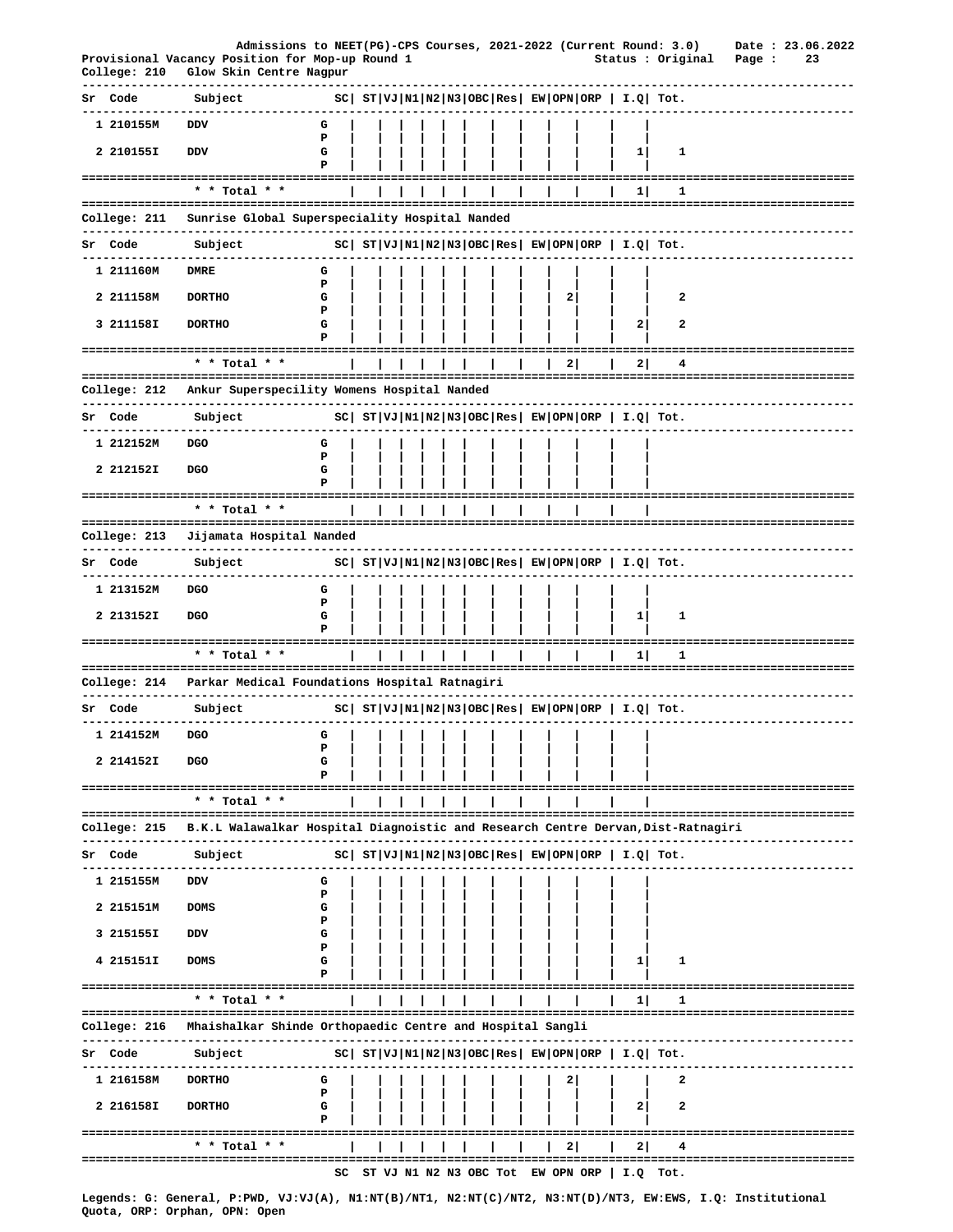|    | College: 210                       | Admissions to NEET(PG)-CPS Courses, 2021-2022 (Current Round: 3.0)<br>Provisional Vacancy Position for Mop-up Round 1<br>Glow Skin Centre Nagpur |             |  |  |  |                                   |   |                                                                | Status : Original                          | Page :                   | Date: 23.06.2022<br>23 |  |
|----|------------------------------------|--------------------------------------------------------------------------------------------------------------------------------------------------|-------------|--|--|--|-----------------------------------|---|----------------------------------------------------------------|--------------------------------------------|--------------------------|------------------------|--|
|    | Sr Code                            | Subject                                                                                                                                          |             |  |  |  |                                   |   | $ SC $ $ST VJ N1 N2 N3 OBC Res $ $EW OPN ORP$   $I.Q$   $Tot.$ |                                            |                          |                        |  |
|    | 1 210155M                          | DDV                                                                                                                                              | G           |  |  |  |                                   |   |                                                                |                                            |                          |                        |  |
|    | 2 210155I                          | DDV                                                                                                                                              | P<br>G<br>Р |  |  |  |                                   |   | $\mathbf{1}$                                                   | 1                                          |                          |                        |  |
|    |                                    | * * Total * *                                                                                                                                    |             |  |  |  |                                   |   | 1                                                              | ı                                          |                          |                        |  |
|    | College: 211                       | Sunrise Global Superspeciality Hospital Nanded                                                                                                   |             |  |  |  |                                   |   |                                                                | ======================================     |                          |                        |  |
|    | Sr Code                            |                                                                                                                                                  |             |  |  |  |                                   |   | $ SC $ $ST VJ N1 N2 N3 OBC Res $ $EW OPN ORP$   $I.Q$ Tot.     |                                            |                          |                        |  |
|    |                                    | Subject                                                                                                                                          |             |  |  |  |                                   |   |                                                                |                                            |                          |                        |  |
|    | 1 211160M                          | <b>DMRE</b>                                                                                                                                      | G<br>P      |  |  |  |                                   |   |                                                                |                                            |                          |                        |  |
|    | 2 211158M                          | <b>DORTHO</b>                                                                                                                                    | G<br>Р      |  |  |  |                                   | 2 |                                                                | 2                                          |                          |                        |  |
|    | 3 211158I                          | <b>DORTHO</b><br>---------------------------------                                                                                               | G<br>Р      |  |  |  |                                   |   | 2                                                              | 2                                          |                          |                        |  |
|    |                                    | * * Total * *                                                                                                                                    |             |  |  |  |                                   | 2 | 21                                                             | 4                                          |                          |                        |  |
|    | College: 212                       | Ankur Superspecility Womens Hospital Nanded                                                                                                      |             |  |  |  |                                   |   |                                                                |                                            |                          |                        |  |
|    | Sr Code                            | Subject                                                                                                                                          |             |  |  |  |                                   |   | $ SC $ $ST VJ N1 N2 N3 OBC Res EW OPN ORP  I.Q  Tot.$          |                                            |                          |                        |  |
|    | 1 212152M                          | <b>DGO</b>                                                                                                                                       | G           |  |  |  |                                   |   |                                                                |                                            |                          |                        |  |
|    | 2 212152I                          | <b>DGO</b>                                                                                                                                       | ъ<br>G      |  |  |  |                                   |   |                                                                |                                            |                          |                        |  |
|    |                                    | ;===========================                                                                                                                     | Р           |  |  |  |                                   |   |                                                                |                                            |                          |                        |  |
|    |                                    | * * Total * *                                                                                                                                    |             |  |  |  |                                   |   |                                                                |                                            |                          |                        |  |
|    | College: 213                       | Jijamata Hospital Nanded                                                                                                                         |             |  |  |  |                                   |   |                                                                |                                            |                          |                        |  |
|    | Sr Code                            | Subject                                                                                                                                          |             |  |  |  |                                   |   | $ SC $ $ST VJ N1 N2 N3 OBC Res EW OPN ORP  I.Q  Tot.$          |                                            |                          |                        |  |
|    | 1 213152M                          | <b>DGO</b>                                                                                                                                       | G           |  |  |  |                                   |   |                                                                |                                            |                          |                        |  |
|    | 2 213152I                          | <b>DGO</b>                                                                                                                                       | P<br>G      |  |  |  |                                   |   | 1                                                              | 1                                          |                          |                        |  |
|    |                                    |                                                                                                                                                  | P           |  |  |  |                                   |   |                                                                |                                            |                          |                        |  |
|    |                                    | * * Total * *                                                                                                                                    |             |  |  |  |                                   |   | 1                                                              | 1                                          |                          |                        |  |
|    | College: 214                       | Parkar Medical Foundations Hospital Ratnagiri                                                                                                    |             |  |  |  |                                   |   |                                                                |                                            |                          |                        |  |
|    | Sr Code                            | Subject                                                                                                                                          |             |  |  |  |                                   |   | $ SC $ $ST VJ N1 N2 N3 OBC Res EW OPN ORP  I.Q  Tot.$          |                                            |                          |                        |  |
|    | 1 214152M                          | <b>DGO</b>                                                                                                                                       | G           |  |  |  |                                   |   |                                                                |                                            |                          |                        |  |
|    | 2 214152I                          | DGO                                                                                                                                              | Р<br>G      |  |  |  |                                   |   |                                                                |                                            |                          |                        |  |
|    |                                    |                                                                                                                                                  |             |  |  |  |                                   |   |                                                                |                                            |                          |                        |  |
|    |                                    | =====================================<br>* * Total * *                                                                                           |             |  |  |  |                                   |   |                                                                |                                            |                          |                        |  |
|    | College: 215                       | B.K.L Walawalkar Hospital Diagnoistic and Research Centre Dervan, Dist-Ratnagiri                                                                 |             |  |  |  |                                   |   |                                                                |                                            |                          |                        |  |
| Sr | Code                               | Subject                                                                                                                                          |             |  |  |  |                                   |   | $ SC $ $ST VJ N1 N2 N3 OBC Res EW OPN ORP  I.Q  Tot.$          |                                            |                          |                        |  |
|    | 1 215155M                          | <b>DDV</b>                                                                                                                                       | G           |  |  |  |                                   |   |                                                                |                                            |                          |                        |  |
|    |                                    |                                                                                                                                                  | Р           |  |  |  |                                   |   |                                                                |                                            |                          |                        |  |
|    | 2 215151M                          | <b>DOMS</b>                                                                                                                                      | G<br>Р      |  |  |  |                                   |   |                                                                |                                            |                          |                        |  |
|    | 3 215155I                          | DDV                                                                                                                                              | G<br>Р      |  |  |  |                                   |   |                                                                |                                            |                          |                        |  |
|    | 4 215151I<br>===================== | <b>DOMS</b>                                                                                                                                      | G<br>P      |  |  |  |                                   |   | 1                                                              | 1                                          | ======================== |                        |  |
|    |                                    | $*$ * Total * *                                                                                                                                  |             |  |  |  |                                   |   | 11                                                             |                                            |                          |                        |  |
|    | College: 216                       | Mhaishalkar Shinde Orthopaedic Centre and Hospital Sangli                                                                                        |             |  |  |  |                                   |   |                                                                |                                            |                          |                        |  |
|    | Sr Code                            | Subject                                                                                                                                          |             |  |  |  |                                   |   | $ SC $ $ST VJ N1 N2 N3 OBC Res EW OPN ORP  I.Q  Tot.$          |                                            |                          |                        |  |
|    | 1 216158M                          | <b>DORTHO</b>                                                                                                                                    | G           |  |  |  |                                   | 2 |                                                                | 2                                          |                          |                        |  |
|    | 2 216158I                          | <b>DORTHO</b>                                                                                                                                    | Р<br>G<br>Р |  |  |  |                                   |   | $\mathbf{2}$                                                   | 2                                          |                          |                        |  |
|    |                                    | $*$ * Total * *                                                                                                                                  |             |  |  |  |                                   | 2 | 2                                                              |                                            |                          |                        |  |
|    |                                    |                                                                                                                                                  | sc          |  |  |  | ST VJ N1 N2 N3 OBC Tot EW OPN ORP |   | ========                                                       | ------------------------------<br>I.Q Tot. |                          |                        |  |
|    |                                    |                                                                                                                                                  |             |  |  |  |                                   |   |                                                                |                                            |                          |                        |  |

Legends: G: General, P:PWD, VJ:VJ(A), N1:NT(B)/NT1, N2:NT(C)/NT2, N3:NT(D)/NT3, EW:EWS, I.Q: Institutional<br>Quota, ORP: Orphan, OPN: Open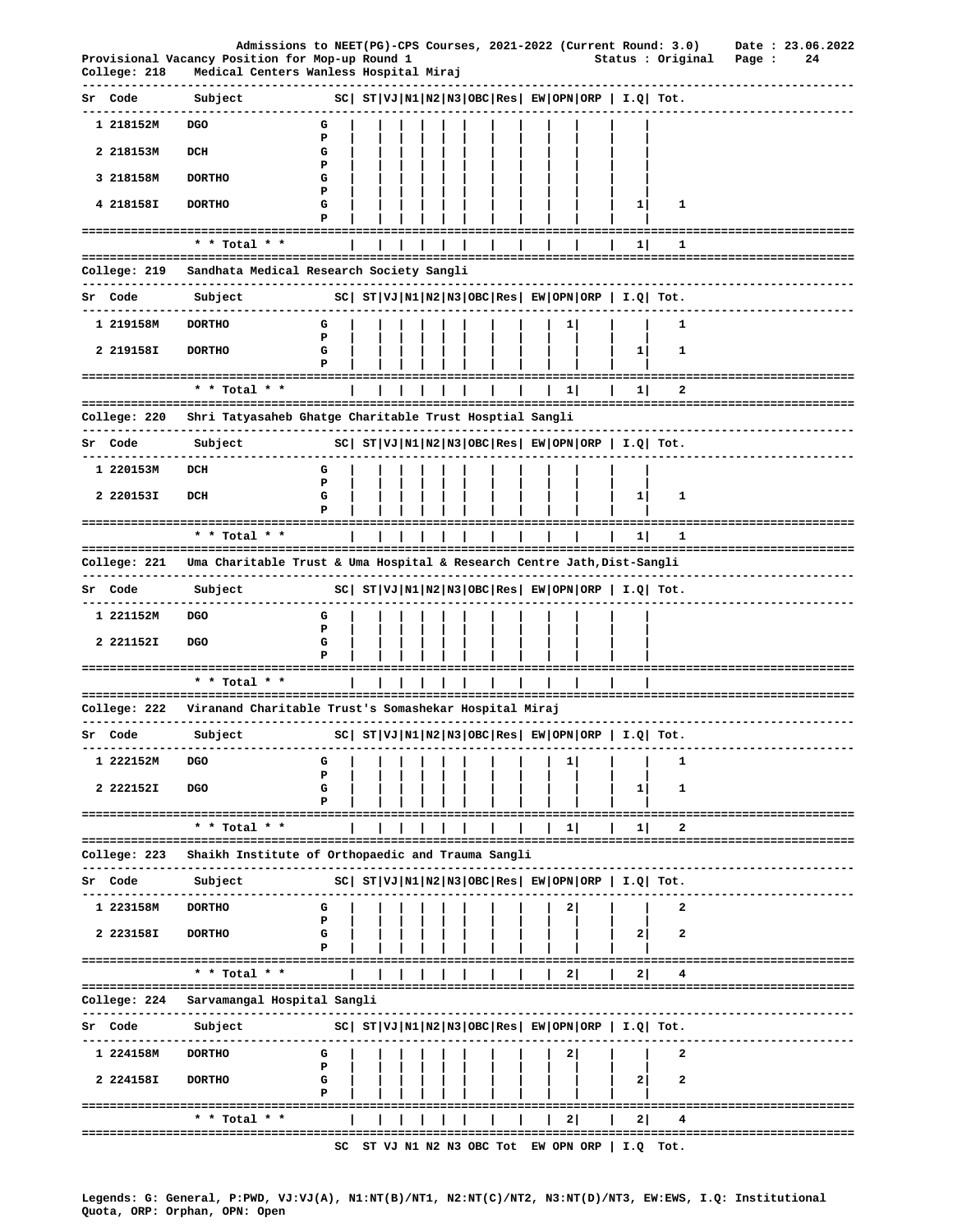|                          | Admissions to NEET(PG)-CPS Courses, 2021-2022 (Current Round: 3.0)<br>Provisional Vacancy Position for Mop-up Round 1 |        |  |  |  |  |          |                                                                | Status : Original      | Page :                               | Date: 23.06.2022<br>24 |  |
|--------------------------|-----------------------------------------------------------------------------------------------------------------------|--------|--|--|--|--|----------|----------------------------------------------------------------|------------------------|--------------------------------------|------------------------|--|
| College: 218             | Medical Centers Wanless Hospital Miraj                                                                                |        |  |  |  |  |          |                                                                |                        |                                      |                        |  |
| Sr Code                  | Subject                                                                                                               |        |  |  |  |  |          | $ SC $ $ST VJ N1 N2 N3 OBC Res $ $EW OPN ORP$   $I.Q$ Tot.     |                        |                                      |                        |  |
| 1 218152M                | <b>DGO</b>                                                                                                            | G      |  |  |  |  |          |                                                                |                        |                                      |                        |  |
| 2 218153M                | DCH                                                                                                                   | P<br>G |  |  |  |  |          |                                                                |                        |                                      |                        |  |
| 3 218158M                | <b>DORTHO</b>                                                                                                         | P<br>G |  |  |  |  |          |                                                                |                        |                                      |                        |  |
| 4 218158I                | <b>DORTHO</b>                                                                                                         | P<br>G |  |  |  |  |          | 1                                                              | 1                      |                                      |                        |  |
|                          |                                                                                                                       | Р      |  |  |  |  |          |                                                                |                        |                                      |                        |  |
|                          | * * Total * *                                                                                                         |        |  |  |  |  |          | 1                                                              | 1                      |                                      |                        |  |
| College: 219             | Sandhata Medical Research Society Sangli                                                                              |        |  |  |  |  |          |                                                                |                        |                                      |                        |  |
| Sr Code                  | Subject                                                                                                               |        |  |  |  |  |          | $ SC $ $ST VJ N1 N2 N3 OBC Res EW OPN ORP  I.Q  Tot.$          |                        | -------------------                  |                        |  |
| 1 219158M                | ------------<br><b>DORTHO</b>                                                                                         | G      |  |  |  |  | 1        |                                                                | 1                      |                                      |                        |  |
| 2 219158I                | <b>DORTHO</b>                                                                                                         | P<br>G |  |  |  |  |          | 1                                                              | 1                      |                                      |                        |  |
|                          |                                                                                                                       | P      |  |  |  |  |          |                                                                |                        |                                      |                        |  |
|                          | * * Total * *                                                                                                         |        |  |  |  |  | $1\vert$ | $1\vert$                                                       | 2                      |                                      |                        |  |
| College: 220             | Shri Tatyasaheb Ghatge Charitable Trust Hosptial Sangli                                                               |        |  |  |  |  |          |                                                                |                        |                                      |                        |  |
| -------------<br>Sr Code | -----------------<br>Subject                                                                                          |        |  |  |  |  |          | $ SC $ $ST VJ N1 N2 N3 OBC Res EW OPN ORP  I.Q  Tot.$          |                        |                                      |                        |  |
| 1 220153M                | DCH                                                                                                                   | G      |  |  |  |  |          |                                                                |                        |                                      |                        |  |
|                          |                                                                                                                       | Ъ      |  |  |  |  |          |                                                                |                        |                                      |                        |  |
| 2 220153I                | DCH                                                                                                                   | G<br>Р |  |  |  |  |          | 11                                                             | 1                      |                                      |                        |  |
|                          | * * Total * *                                                                                                         |        |  |  |  |  |          | 1                                                              | 1                      | ======================               |                        |  |
|                          | College: 221 Uma Charitable Trust & Uma Hospital & Research Centre Jath,Dist-Sangli                                   |        |  |  |  |  |          |                                                                |                        |                                      |                        |  |
| Sr Code                  | Subject                                                                                                               |        |  |  |  |  |          | $ SC $ $ST VJ N1 N2 N3 OBC Res $ $EW OPN ORP$   $I.Q$ Tot.     |                        |                                      |                        |  |
| 1 221152M                | DGO                                                                                                                   | G      |  |  |  |  |          |                                                                |                        |                                      |                        |  |
|                          |                                                                                                                       | P      |  |  |  |  |          |                                                                |                        |                                      |                        |  |
| 2 221152I                | DGO                                                                                                                   | G      |  |  |  |  |          |                                                                |                        |                                      |                        |  |
|                          | ----------------------------------<br>* * Total * *                                                                   |        |  |  |  |  |          |                                                                |                        |                                      |                        |  |
| College: 222             | ====================================<br>Viranand Charitable Trust's Somashekar Hospital Miraj                         |        |  |  |  |  |          |                                                                |                        |                                      |                        |  |
| Sr Code                  | Subject                                                                                                               |        |  |  |  |  |          | $ SC $ $ST VJ N1 N2 N3 OBC Res $ $EW OPN ORP$   $I.Q$   $Tot.$ | ---------------------- |                                      |                        |  |
| 1 222152M                | DGO                                                                                                                   | G      |  |  |  |  | 1        |                                                                | 1                      |                                      |                        |  |
|                          |                                                                                                                       | P      |  |  |  |  |          |                                                                |                        |                                      |                        |  |
| 2 222152I                | <b>DGO</b>                                                                                                            | G<br>Р |  |  |  |  |          | 11                                                             | 1                      |                                      |                        |  |
|                          | * * Total * *                                                                                                         |        |  |  |  |  | $1\vert$ | 1                                                              | 2                      | ===============================      |                        |  |
| College: 223             | Shaikh Institute of Orthopaedic and Trauma Sangli                                                                     |        |  |  |  |  |          |                                                                |                        |                                      |                        |  |
|                          |                                                                                                                       |        |  |  |  |  |          |                                                                |                        |                                      |                        |  |
| Sr Code                  | Subject<br>--------------<br>. <u>.</u>                                                                               |        |  |  |  |  |          | $ SC $ $ST VJ N1 N2 N3 OBC Res EW OPN ORP  I.Q  Tot.$          |                        |                                      |                        |  |
| 1 223158M                | <b>DORTHO</b>                                                                                                         | G<br>P |  |  |  |  | 2        |                                                                | 2                      |                                      |                        |  |
| 2 223158I                | <b>DORTHO</b>                                                                                                         | G      |  |  |  |  |          | 2                                                              | 2                      |                                      |                        |  |
|                          | ======================================                                                                                |        |  |  |  |  |          |                                                                |                        | ================================     |                        |  |
|                          | * * Total * *<br>-------------------------                                                                            |        |  |  |  |  | 2        | 2                                                              | 4                      |                                      |                        |  |
| College: 224             | Sarvamangal Hospital Sangli                                                                                           |        |  |  |  |  |          |                                                                |                        |                                      |                        |  |
| Sr Code                  | Subject                                                                                                               |        |  |  |  |  |          | $ SC $ $ST VJ N1 N2 N3 OBC Res EW OPN ORP  I.Q  Tot.$          |                        |                                      |                        |  |
| 1 224158M                | <b>DORTHO</b>                                                                                                         | G<br>Р |  |  |  |  |          |                                                                | 2                      |                                      |                        |  |
| 2 224158I                | <b>DORTHO</b>                                                                                                         | G      |  |  |  |  |          | 2                                                              | 2                      |                                      |                        |  |
|                          | =====================================                                                                                 |        |  |  |  |  |          |                                                                |                        | ----------------------               |                        |  |
|                          | * * Total * *                                                                                                         |        |  |  |  |  | 21       | 21                                                             |                        | ------------------------------------ |                        |  |
|                          |                                                                                                                       | SC     |  |  |  |  |          | ST VJ N1 N2 N3 OBC Tot EW OPN ORP   I.Q Tot.                   |                        |                                      |                        |  |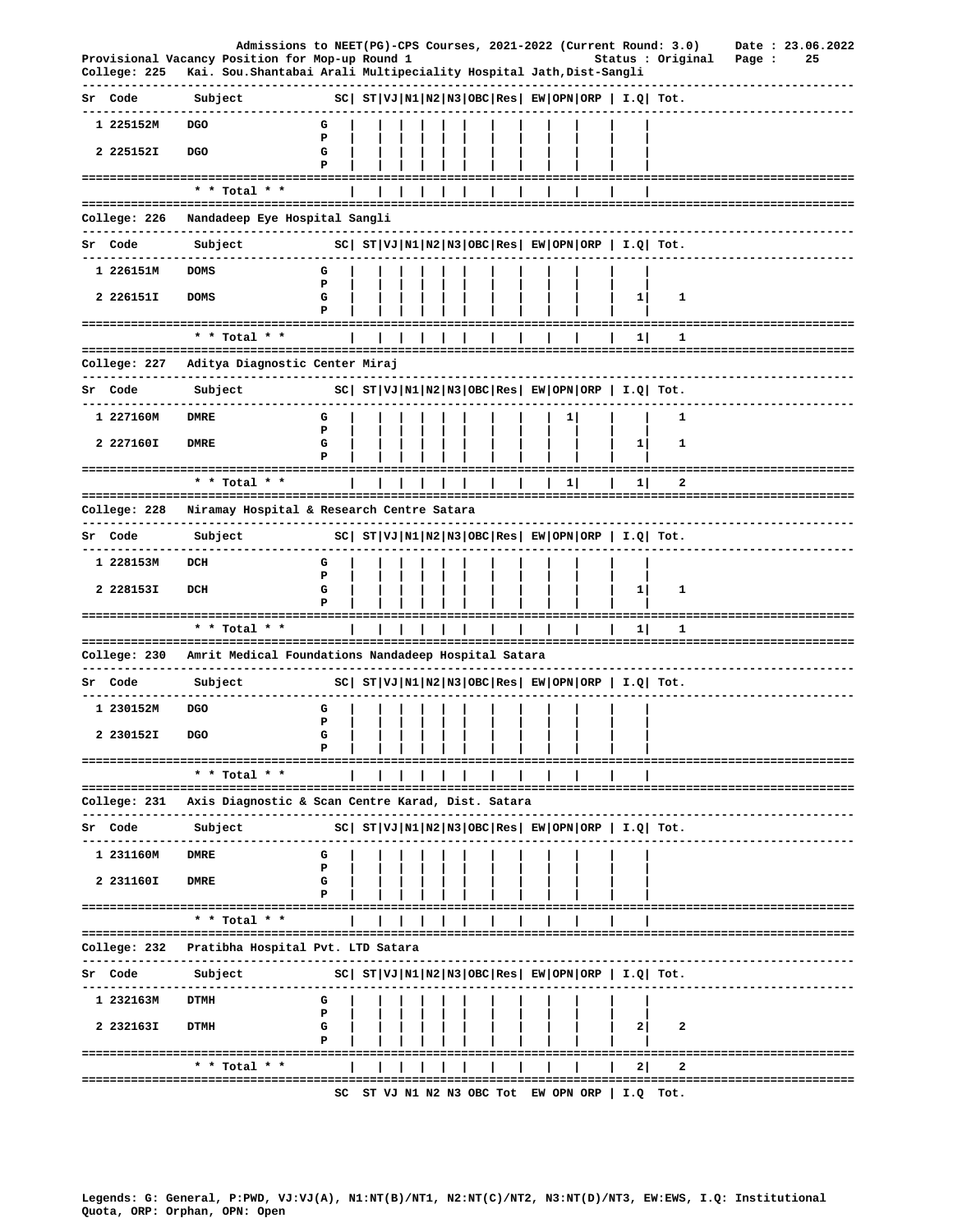|              |                          | Admissions to NEET(PG)-CPS Courses, 2021-2022 (Current Round: 3.0)                                                     |             |  |  |  |  |          |                                                            |                         |        |  | Date: 23.06.2022          |
|--------------|--------------------------|------------------------------------------------------------------------------------------------------------------------|-------------|--|--|--|--|----------|------------------------------------------------------------|-------------------------|--------|--|---------------------------|
| College: 225 |                          | Provisional Vacancy Position for Mop-up Round 1<br>Kai. Sou. Shantabai Arali Multipeciality Hospital Jath, Dist-Sangli |             |  |  |  |  |          |                                                            | Status : Original       | Page : |  | 25                        |
| Sr Code      |                          | Subject                                                                                                                |             |  |  |  |  |          | $ SC $ $ST VJ N1 N2 N3 OBC Res EW OPN ORP   I.Q  Tot.$     |                         |        |  |                           |
|              | 1 225152M                | DGO                                                                                                                    | G           |  |  |  |  |          |                                                            |                         |        |  |                           |
| 2 225152I    |                          | <b>DGO</b>                                                                                                             | P<br>G      |  |  |  |  |          |                                                            |                         |        |  |                           |
|              |                          | ======================================                                                                                 | Р           |  |  |  |  |          |                                                            | ----------------------- |        |  |                           |
|              |                          | * * Total * *                                                                                                          |             |  |  |  |  |          |                                                            |                         |        |  |                           |
| College: 226 |                          | Nandadeep Eye Hospital Sangli<br>------------------                                                                    |             |  |  |  |  |          |                                                            |                         |        |  |                           |
| Sr Code      |                          | Subject                                                                                                                |             |  |  |  |  |          | $ SC $ $ST VJ N1 N2 N3 OBC Res EW OPN ORP  I.Q  Tot.$      |                         |        |  |                           |
|              | 1 226151M                | <b>DOMS</b>                                                                                                            | G           |  |  |  |  |          |                                                            |                         |        |  |                           |
| 2 226151I    |                          | <b>DOMS</b>                                                                                                            | Р<br>G<br>Р |  |  |  |  |          | 1                                                          | 1                       |        |  |                           |
|              |                          | ===========================<br>* * Total * *                                                                           |             |  |  |  |  |          | 1                                                          | 1                       |        |  |                           |
| College: 227 |                          | Aditya Diagnostic Center Miraj                                                                                         |             |  |  |  |  |          |                                                            |                         |        |  |                           |
| Sr Code      |                          | . <u>_ _ _ _ _ _ _ _ _ _ _ _ _ _ _ _ _</u> _ _<br>Subject                                                              |             |  |  |  |  |          | $ SC $ $ST VJ N1 N2 N3 OBC Res $ $EW OPN ORP$   $I.Q$ Tot. |                         |        |  |                           |
| 1 227160M    |                          | <b>DMRE</b>                                                                                                            | G           |  |  |  |  | 1        |                                                            | 1                       |        |  |                           |
| 2 227160I    |                          | <b>DMRE</b>                                                                                                            | P<br>G      |  |  |  |  |          | $1\vert$                                                   | 1                       |        |  |                           |
|              |                          |                                                                                                                        | P           |  |  |  |  |          |                                                            |                         |        |  |                           |
|              |                          | --------------------------<br>* * Total * *                                                                            |             |  |  |  |  | $1\vert$ | 1                                                          | 2                       |        |  |                           |
| College: 228 |                          | Niramay Hospital & Research Centre Satara                                                                              |             |  |  |  |  |          |                                                            |                         |        |  |                           |
| Sr Code      |                          | Subject                                                                                                                |             |  |  |  |  |          | $ SC $ $ST VJ N1 N2 N3 OBC Res EW OPN ORP  I.Q  Tot.$      |                         |        |  |                           |
|              | -----------<br>1 228153M | DCH                                                                                                                    | G           |  |  |  |  |          |                                                            |                         |        |  |                           |
| 2 228153I    |                          | DCH                                                                                                                    | P<br>G      |  |  |  |  |          | $1\vert$                                                   | 1                       |        |  |                           |
|              |                          |                                                                                                                        | P           |  |  |  |  |          |                                                            |                         |        |  |                           |
|              |                          | * * Total * *                                                                                                          |             |  |  |  |  |          | 11                                                         | 1                       |        |  |                           |
|              |                          | College: 230 Amrit Medical Foundations Nandadeep Hospital Satara                                                       |             |  |  |  |  |          |                                                            |                         |        |  |                           |
| Sr Code      |                          | ----------<br>Subject                                                                                                  |             |  |  |  |  |          | $ SC $ $ST VJ N1 N2 N3 OBC Res EW OPN ORP  I.Q  Tot.$      |                         |        |  |                           |
|              | 1 230152M                | DGO                                                                                                                    | G           |  |  |  |  |          |                                                            |                         |        |  |                           |
|              | 2 230152I                | <b>DGO</b>                                                                                                             | Р<br>G      |  |  |  |  |          |                                                            |                         |        |  |                           |
|              |                          |                                                                                                                        |             |  |  |  |  |          |                                                            |                         |        |  |                           |
|              |                          | * * Total * *                                                                                                          |             |  |  |  |  |          |                                                            |                         |        |  |                           |
| College: 231 |                          | Axis Diagnostic & Scan Centre Karad, Dist. Satara                                                                      |             |  |  |  |  |          |                                                            |                         |        |  |                           |
| Sr Code      |                          | -----------------<br>Subject                                                                                           |             |  |  |  |  |          | $ SC $ $ST VJ N1 N2 N3 OBC Res EW OPN ORP  I.Q  Tot.$      |                         |        |  |                           |
| 1 231160M    |                          | DMRE                                                                                                                   | G           |  |  |  |  |          |                                                            |                         |        |  |                           |
| 2 231160I    |                          | <b>DMRE</b>                                                                                                            | Р<br>G      |  |  |  |  |          |                                                            |                         |        |  |                           |
|              |                          |                                                                                                                        | Р           |  |  |  |  |          |                                                            |                         |        |  |                           |
|              |                          | * * Total * *                                                                                                          |             |  |  |  |  |          |                                                            |                         |        |  |                           |
| College: 232 |                          | Pratibha Hospital Pvt. LTD Satara                                                                                      |             |  |  |  |  |          |                                                            |                         |        |  |                           |
| Code<br>Sr   |                          | Subject                                                                                                                |             |  |  |  |  |          | $ SC $ $ST VJ N1 N2 N3 OBC Res $ $EW OPN ORP$   $I.Q$ Tot. |                         |        |  |                           |
|              | ----------<br>1 232163M  | <b>DTMH</b>                                                                                                            | G           |  |  |  |  |          |                                                            |                         |        |  |                           |
| 2 2321631    |                          | <b>DTMH</b>                                                                                                            | Р<br>G      |  |  |  |  |          | 21                                                         | 2                       |        |  |                           |
|              |                          |                                                                                                                        | P           |  |  |  |  |          |                                                            |                         |        |  | ------------------------- |
|              |                          | * * Total * *                                                                                                          |             |  |  |  |  |          | 21                                                         | 2                       |        |  |                           |
|              |                          |                                                                                                                        |             |  |  |  |  |          | SC ST VJ N1 N2 N3 OBC Tot EW OPN ORP   I.Q Tot.            |                         |        |  |                           |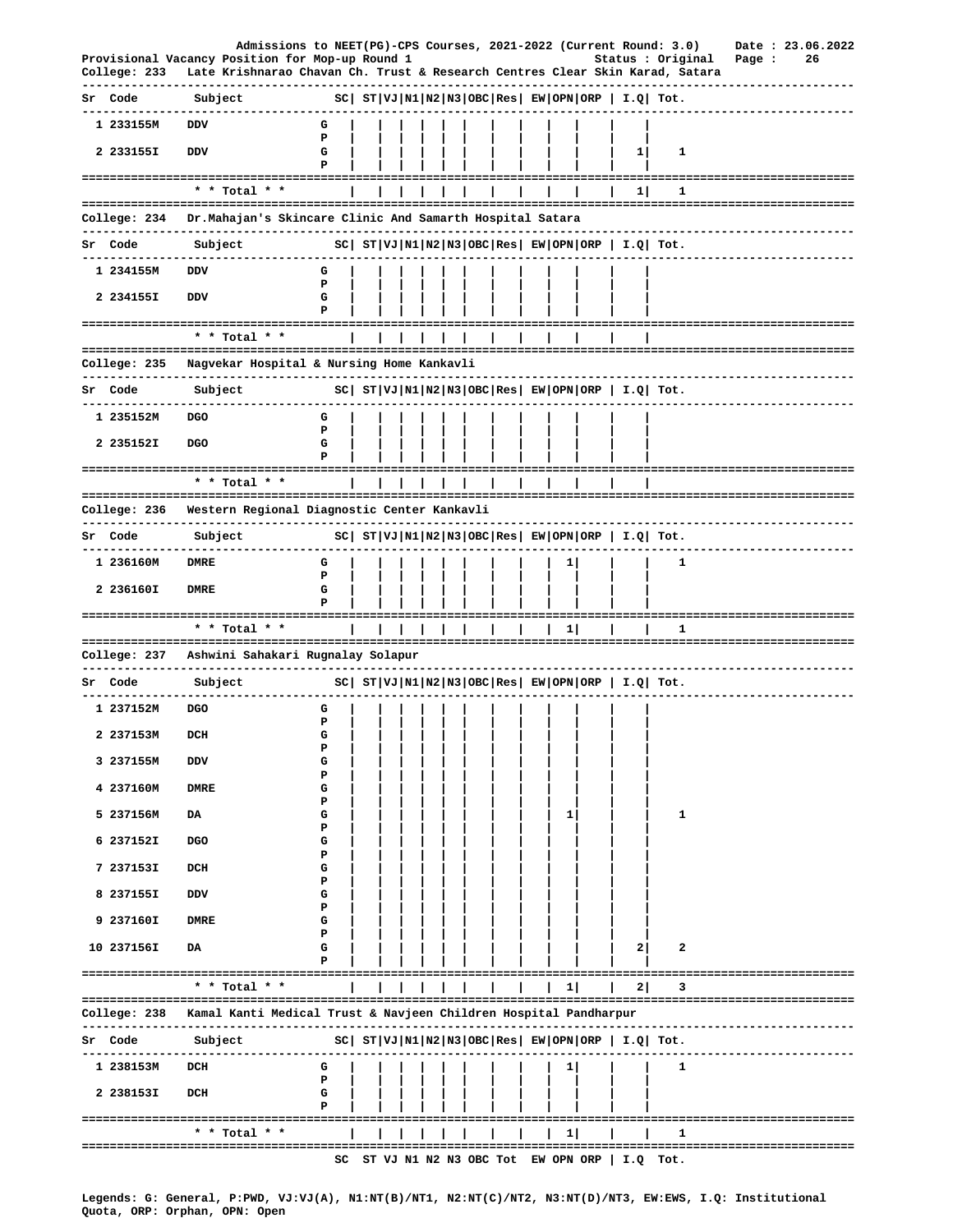|                         | Admissions to NEET(PG)-CPS Courses, 2021-2022 (Current Round: 3.0)                                                              |        |  |  |  |  |              |                                                 |                                                                                                                                                                                                                     |        | Date: 23.06.2022 |
|-------------------------|---------------------------------------------------------------------------------------------------------------------------------|--------|--|--|--|--|--------------|-------------------------------------------------|---------------------------------------------------------------------------------------------------------------------------------------------------------------------------------------------------------------------|--------|------------------|
| College: 233            | Provisional Vacancy Position for Mop-up Round 1<br>Late Krishnarao Chavan Ch. Trust & Research Centres Clear Skin Karad, Satara |        |  |  |  |  |              |                                                 | Status : Original                                                                                                                                                                                                   | Page : | 26               |
| Sr Code                 | Subject                                                                                                                         |        |  |  |  |  |              |                                                 | $ SC $ $ST VJ N1 N2 N3 OBC Res EW OPN ORP   I.Q  Tot.$                                                                                                                                                              |        |                  |
| 1 233155M               | DDV                                                                                                                             | G<br>P |  |  |  |  |              |                                                 |                                                                                                                                                                                                                     |        |                  |
| 2 233155I               | <b>DDV</b>                                                                                                                      | G<br>Р |  |  |  |  |              | 11                                              | 1                                                                                                                                                                                                                   |        |                  |
|                         | ------------------------------------<br>* * Total * *                                                                           |        |  |  |  |  |              | 11                                              | 1                                                                                                                                                                                                                   |        |                  |
|                         |                                                                                                                                 |        |  |  |  |  |              |                                                 |                                                                                                                                                                                                                     |        |                  |
| College: 234            | Dr.Mahajan's Skincare Clinic And Samarth Hospital Satara                                                                        |        |  |  |  |  |              |                                                 | -----------------------------                                                                                                                                                                                       |        |                  |
| Sr Code<br>------------ | Subject                                                                                                                         |        |  |  |  |  |              |                                                 | $ SC $ $ST VJ N1 N2 N3 OBC Res EW OPN ORP  I.Q  Tot.$                                                                                                                                                               |        |                  |
| 1 234155M               | DDV                                                                                                                             | G<br>P |  |  |  |  |              |                                                 |                                                                                                                                                                                                                     |        |                  |
| 2 234155I               | DDV                                                                                                                             | G<br>P |  |  |  |  |              |                                                 |                                                                                                                                                                                                                     |        |                  |
|                         | * * Total * *                                                                                                                   |        |  |  |  |  |              |                                                 |                                                                                                                                                                                                                     |        |                  |
|                         |                                                                                                                                 |        |  |  |  |  |              |                                                 |                                                                                                                                                                                                                     |        |                  |
|                         | College: 235 Nagvekar Hospital & Nursing Home Kankavli<br>-----------------------------                                         |        |  |  |  |  |              |                                                 |                                                                                                                                                                                                                     |        |                  |
| Sr Code                 | Subject                                                                                                                         |        |  |  |  |  |              |                                                 | $ SC $ $ST VJ N1 N2 N3 OBC Res $ $EW OPN ORP $ $I.Q $ $Tot.$                                                                                                                                                        |        |                  |
| 1 235152M               | DGO                                                                                                                             | G<br>P |  |  |  |  |              |                                                 |                                                                                                                                                                                                                     |        |                  |
| 2 235152I               | <b>DGO</b>                                                                                                                      | G<br>P |  |  |  |  |              |                                                 |                                                                                                                                                                                                                     |        |                  |
|                         | * * Total * *                                                                                                                   |        |  |  |  |  |              |                                                 |                                                                                                                                                                                                                     |        |                  |
|                         |                                                                                                                                 |        |  |  |  |  |              |                                                 |                                                                                                                                                                                                                     |        |                  |
|                         | College: 236 Western Regional Diagnostic Center Kankavli<br>----------------------------------                                  |        |  |  |  |  |              |                                                 |                                                                                                                                                                                                                     |        |                  |
| Sr Code<br>---------    | Subject                                                                                                                         |        |  |  |  |  |              |                                                 | $ SC $ $ST VJ N1 N2 N3 OBC Res EW OPN ORP  I.Q  Tot.$                                                                                                                                                               |        |                  |
| 1 236160M               | DMRE                                                                                                                            | G<br>Р |  |  |  |  | 11           |                                                 | 1                                                                                                                                                                                                                   |        |                  |
| 2 236160I               | <b>DMRE</b>                                                                                                                     | G<br>Р |  |  |  |  |              |                                                 |                                                                                                                                                                                                                     |        |                  |
|                         | * * Total * *                                                                                                                   |        |  |  |  |  | 11           |                                                 | 1                                                                                                                                                                                                                   |        |                  |
|                         | College: 237 - Ashwini Sahakari Rugnalay Solapur                                                                                |        |  |  |  |  |              |                                                 |                                                                                                                                                                                                                     |        |                  |
| Sr Code                 | -------------<br>Subject                                                                                                        |        |  |  |  |  |              |                                                 | $SC \left  \begin{array}{l l l} \texttt{ST} & \texttt{VI} & \texttt{NI} & \texttt{NS} & \texttt{OSC} & \texttt{Res} & \texttt{EW} & \texttt{OPN} & \texttt{ORP} & \texttt{I.Q} & \texttt{Tot.} \end{array} \right.$ |        |                  |
|                         |                                                                                                                                 |        |  |  |  |  |              |                                                 |                                                                                                                                                                                                                     |        |                  |
| 1 237152M               | DGO                                                                                                                             | G<br>Ъ |  |  |  |  |              |                                                 |                                                                                                                                                                                                                     |        |                  |
| 2 237153M               | DCH                                                                                                                             | G<br>₽ |  |  |  |  |              |                                                 |                                                                                                                                                                                                                     |        |                  |
| 3 237155M               | DDV                                                                                                                             | G<br>Р |  |  |  |  |              |                                                 |                                                                                                                                                                                                                     |        |                  |
| 4 237160M               | <b>DMRE</b>                                                                                                                     | G<br>Р |  |  |  |  |              |                                                 |                                                                                                                                                                                                                     |        |                  |
| 5 237156M               | DA                                                                                                                              | G<br>Р |  |  |  |  | $\mathbf{1}$ |                                                 | 1                                                                                                                                                                                                                   |        |                  |
| 6 237152I               | <b>DGO</b>                                                                                                                      | G<br>Р |  |  |  |  |              |                                                 |                                                                                                                                                                                                                     |        |                  |
| 7 237153I               | DCH                                                                                                                             | G<br>Р |  |  |  |  |              |                                                 |                                                                                                                                                                                                                     |        |                  |
| 8 237155I               | DDV                                                                                                                             | G<br>Р |  |  |  |  |              |                                                 |                                                                                                                                                                                                                     |        |                  |
| 9 237160I               | <b>DMRE</b>                                                                                                                     | G<br>P |  |  |  |  |              |                                                 |                                                                                                                                                                                                                     |        |                  |
| 10 237156I              | DA                                                                                                                              | G      |  |  |  |  |              | $\mathbf{2}$                                    | 2                                                                                                                                                                                                                   |        |                  |
|                         | ====================================<br>* * Total * *                                                                           |        |  |  |  |  | 1            | 2                                               | 3                                                                                                                                                                                                                   |        |                  |
| College: 238            | Kamal Kanti Medical Trust & Navjeen Children Hospital Pandharpur                                                                |        |  |  |  |  |              |                                                 |                                                                                                                                                                                                                     |        |                  |
| Sr Code                 | Subject                                                                                                                         |        |  |  |  |  |              |                                                 | ----------------------------------<br>$ SC $ $ST VJ N1 N2 N3 OBC Res EW OPN ORP   I.Q  Tot.$                                                                                                                        |        |                  |
| .<br>1 238153M          | DCH                                                                                                                             | G      |  |  |  |  | 11           |                                                 | 1                                                                                                                                                                                                                   |        |                  |
|                         |                                                                                                                                 | Р      |  |  |  |  |              |                                                 |                                                                                                                                                                                                                     |        |                  |
| 2 238153I               | DCH                                                                                                                             | G<br>P |  |  |  |  |              |                                                 |                                                                                                                                                                                                                     |        |                  |
|                         | * * Total * *                                                                                                                   |        |  |  |  |  | 11           |                                                 | -------------------------------------<br>1                                                                                                                                                                          |        |                  |
|                         | -------------------------------                                                                                                 |        |  |  |  |  |              | SC ST VJ N1 N2 N3 OBC Tot EW OPN ORP   I.Q Tot. | =================================                                                                                                                                                                                   |        |                  |

Legends: G: General, P:PWD, VJ:VJ(A), N1:NT(B)/NT1, N2:NT(C)/NT2, N3:NT(D)/NT3, EW:EWS, I.Q: Institutional<br>Quota, ORP: Orphan, OPN: Open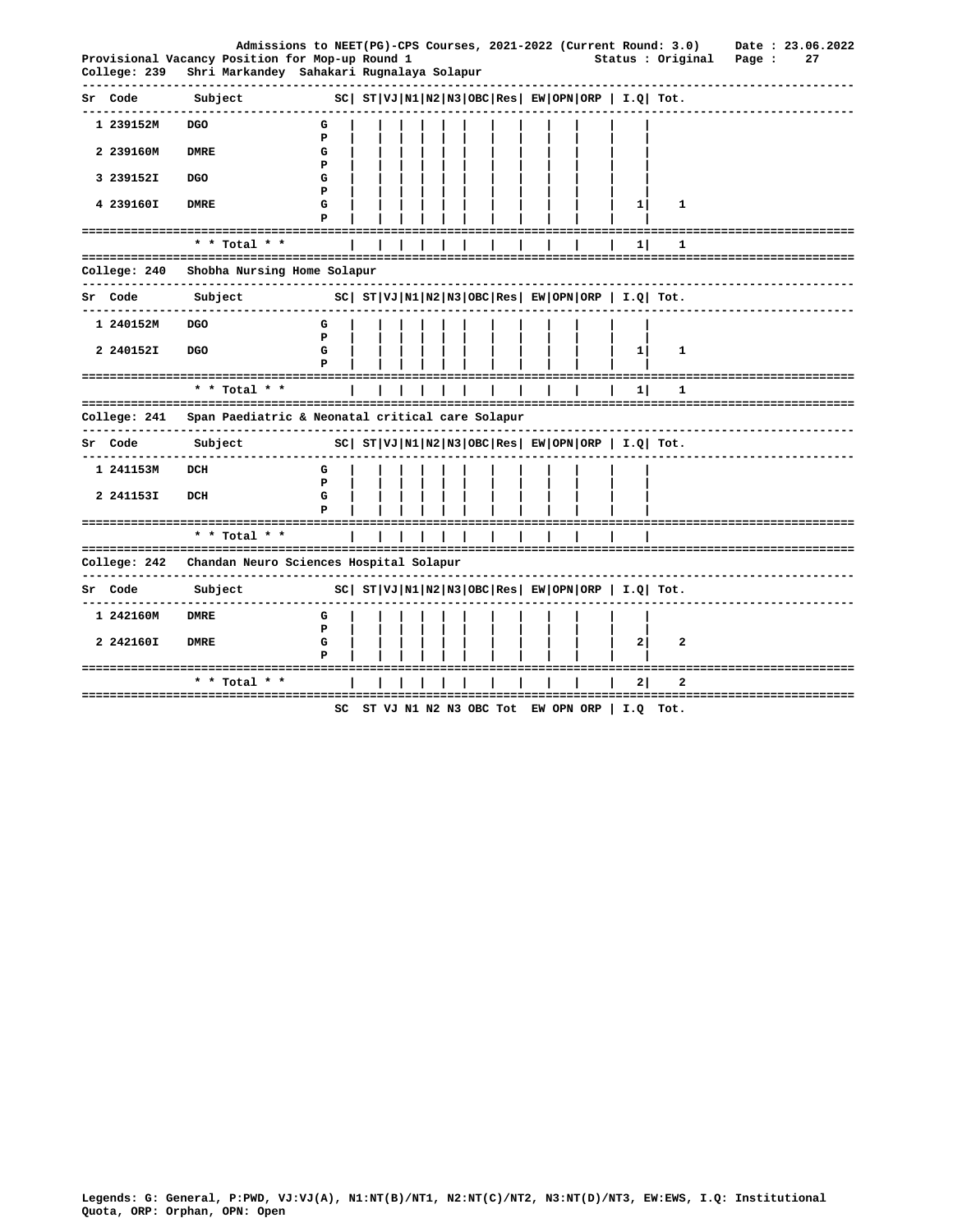| College: 239            | Admissions to NEET(PG)-CPS Courses, 2021-2022 (Current Round: 3.0)<br>Provisional Vacancy Position for Mop-up Round 1<br>Shri Markandey Sahakari Rugnalaya Solapur |                                                              |  |  |  |  |                                                            | Status : Original                                              | Page :                  | Date: 23.06.2022<br>27 |
|-------------------------|--------------------------------------------------------------------------------------------------------------------------------------------------------------------|--------------------------------------------------------------|--|--|--|--|------------------------------------------------------------|----------------------------------------------------------------|-------------------------|------------------------|
| Sr Code                 | Subject                                                                                                                                                            |                                                              |  |  |  |  | $ SC $ $ST VJ N1 N2 N3 OBC Res $ $EW OPN ORP$   $I.Q$ Tot. |                                                                |                         |                        |
| 1 239152M               | <b>DGO</b>                                                                                                                                                         | G<br>P                                                       |  |  |  |  |                                                            |                                                                |                         |                        |
| 2 239160M               | <b>DMRE</b>                                                                                                                                                        | G<br>P                                                       |  |  |  |  |                                                            |                                                                |                         |                        |
| 3 239152I               | <b>DGO</b>                                                                                                                                                         | G<br>P                                                       |  |  |  |  |                                                            |                                                                |                         |                        |
| 4 239160I               | <b>DMRE</b>                                                                                                                                                        | G<br>P                                                       |  |  |  |  | $\mathbf{1}$                                               | 1                                                              |                         |                        |
|                         | -----------------<br>* * Total * *                                                                                                                                 |                                                              |  |  |  |  | 11                                                         | 1                                                              |                         |                        |
| College: 240            | Shobha Nursing Home Solapur                                                                                                                                        |                                                              |  |  |  |  |                                                            |                                                                |                         |                        |
| Sr Code<br>. <u>.</u> . | Subject                                                                                                                                                            | $ SC $ $ST VJ N1 N2 N3 OBC Res $ $EW OPN ORP $ $I.Q $ $Tot.$ |  |  |  |  |                                                            |                                                                |                         |                        |
| 1 240152M               | <b>DGO</b>                                                                                                                                                         | G<br>P                                                       |  |  |  |  |                                                            |                                                                |                         |                        |
| 2 240152I               | <b>DGO</b>                                                                                                                                                         | G                                                            |  |  |  |  | $1\vert$                                                   | 1                                                              |                         |                        |
|                         | ------------------------------------<br>* * Total * *<br>---------------------------------                                                                         |                                                              |  |  |  |  | 11                                                         | 1                                                              |                         |                        |
| College: 241            | Span Paediatric & Neonatal critical care Solapur                                                                                                                   |                                                              |  |  |  |  |                                                            |                                                                |                         |                        |
| Sr Code                 | Subject                                                                                                                                                            |                                                              |  |  |  |  |                                                            | $ SC $ $ST VJ N1 N2 N3 OBC Res $ $EW OPN ORP$   $I.Q$   $Tot.$ |                         |                        |
| 1 241153M               | DCH                                                                                                                                                                | G<br>P                                                       |  |  |  |  |                                                            |                                                                |                         |                        |
| 2 241153I               | DCH                                                                                                                                                                | G                                                            |  |  |  |  |                                                            |                                                                |                         |                        |
|                         | --------------------------------------<br>* * Total * *                                                                                                            |                                                              |  |  |  |  |                                                            | --------------------------------                               |                         |                        |
|                         | College: 242 Chandan Neuro Sciences Hospital Solapur                                                                                                               |                                                              |  |  |  |  |                                                            |                                                                |                         |                        |
| Sr Code                 | Subject                                                                                                                                                            |                                                              |  |  |  |  | $ SC $ $ST VJ N1 N2 N3 OBC Res EW OPN ORP  I.Q  Tot.$      |                                                                |                         |                        |
| 1 242160M               | <b>DMRE</b>                                                                                                                                                        | G<br>P                                                       |  |  |  |  |                                                            |                                                                |                         |                        |
| 2 242160I               | <b>DMRE</b>                                                                                                                                                        | G                                                            |  |  |  |  | 21                                                         | 2                                                              |                         |                        |
|                         | * * Total *                                                                                                                                                        |                                                              |  |  |  |  | 2                                                          | 2                                                              |                         |                        |
|                         |                                                                                                                                                                    | SC                                                           |  |  |  |  | ST VJ N1 N2 N3 OBC Tot EW OPN ORP   I.Q Tot.               |                                                                | ======================= |                        |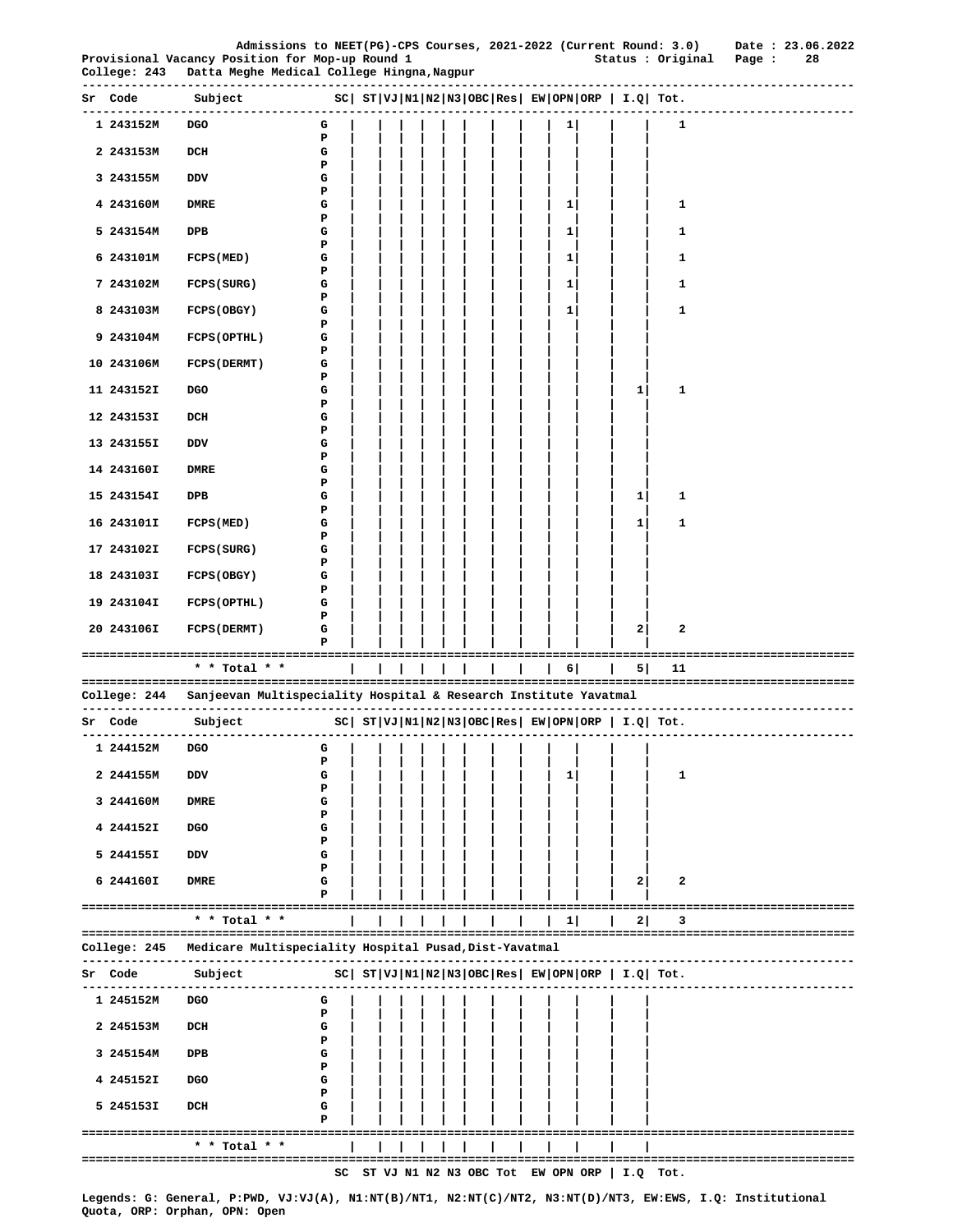|                                        |                                                                                               |        |  |            |     |  |     |   |   | Admissions to NEET(PG)-CPS Courses, 2021-2022 (Current Round: 3.0) | Date: 23.06.2022              |
|----------------------------------------|-----------------------------------------------------------------------------------------------|--------|--|------------|-----|--|-----|---|---|--------------------------------------------------------------------|-------------------------------|
| College: 243                           | Provisional Vacancy Position for Mop-up Round 1<br>Datta Meghe Medical College Hingna, Nagpur |        |  |            |     |  |     |   |   | Status : Original                                                  | Page :<br>28                  |
| Sr Code                                | Subject<br>-------------------------------                                                    |        |  |            |     |  |     |   |   | $ SC $ $ST VJ N1 N2 N3 OBC Res $ $EW OPN ORP $ $I.Q $ $Tot.$       |                               |
| 1 243152M                              | DGO                                                                                           | G<br>P |  |            |     |  |     | 1 |   | 1                                                                  |                               |
| 2 243153M                              | DCH                                                                                           | G<br>Р |  |            |     |  |     |   |   |                                                                    |                               |
| 3 243155M                              | DDV                                                                                           | G<br>Р |  |            |     |  |     |   |   |                                                                    |                               |
| 4 243160M                              | <b>DMRE</b>                                                                                   | G<br>Р |  |            |     |  |     | 1 |   | 1                                                                  |                               |
| 5 243154M                              | DPB                                                                                           | G<br>Р |  |            |     |  |     | 1 |   | 1                                                                  |                               |
| 6 243101M                              | FCPS (MED)                                                                                    | G<br>Р |  |            |     |  |     | 1 |   | 1                                                                  |                               |
| 7 243102M                              | FCPS (SURG)                                                                                   | G<br>Р |  |            |     |  |     | 1 |   | 1                                                                  |                               |
| 8 243103M                              | <b>FCPS (OBGY)</b>                                                                            | G<br>Р |  |            |     |  |     | 1 |   | 1                                                                  |                               |
| 9 243104M                              | FCPS (OPTHL)                                                                                  | G<br>Р |  |            |     |  |     |   |   |                                                                    |                               |
| 10 243106M                             | FCPS (DERMT)                                                                                  | G<br>Р |  |            |     |  |     |   |   |                                                                    |                               |
| 11 243152I                             | DGO                                                                                           | G<br>Р |  |            |     |  |     |   | 1 | 1                                                                  |                               |
| 12 243153I                             | DCH                                                                                           | G<br>Р |  |            |     |  |     |   |   |                                                                    |                               |
| 13 243155I                             | DDV                                                                                           | G<br>Р |  |            |     |  |     |   |   |                                                                    |                               |
| 14 243160I                             | <b>DMRE</b>                                                                                   | G<br>P |  |            |     |  |     |   |   |                                                                    |                               |
| 15 243154I                             | DPB                                                                                           | G<br>Р |  |            |     |  |     |   | 1 | 1                                                                  |                               |
| 16 243101I                             | FCPS (MED)                                                                                    | G      |  |            |     |  |     |   | 1 | 1                                                                  |                               |
| 17 243102I                             | <b>FCPS (SURG)</b>                                                                            | Р<br>G |  |            |     |  |     |   |   |                                                                    |                               |
| 18 243103I                             | <b>FCPS (OBGY)</b>                                                                            | Р<br>G |  |            |     |  |     |   |   |                                                                    |                               |
| 19 243104I                             | FCPS (OPTHL)                                                                                  | Р<br>G |  |            |     |  |     |   |   |                                                                    |                               |
|                                        |                                                                                               | Р      |  |            |     |  |     |   |   |                                                                    |                               |
| 20 243106I                             | <b>FCPS (DERMT)</b>                                                                           | G<br>Р |  |            |     |  |     |   | 2 | 2                                                                  |                               |
|                                        | ====================================<br>* * Total * *                                         |        |  | ===<br>=== | === |  | === | 6 | 5 | 11                                                                 |                               |
| College: 244                           | Sanjeevan Multispeciality Hospital & Research Institute Yavatmal                              |        |  |            |     |  |     |   |   |                                                                    |                               |
| Sr Code                                | Subject                                                                                       |        |  |            |     |  |     |   |   | $ SC $ $ST VJ N1 N2 N3 OBC Res EW OPN ORP  I.Q  Tot.$              |                               |
| 1 244152M                              | <b>DGO</b>                                                                                    | G      |  |            |     |  |     |   |   |                                                                    |                               |
| 2 244155M                              | DDV                                                                                           | P<br>G |  |            |     |  |     | 1 |   | 1                                                                  |                               |
| 3 244160M                              | <b>DMRE</b>                                                                                   | Ъ<br>G |  |            |     |  |     |   |   |                                                                    |                               |
| 4 244152I                              | <b>DGO</b>                                                                                    | ъ<br>G |  |            |     |  |     |   |   |                                                                    |                               |
| 5 244155I                              | DDV                                                                                           | Р<br>G |  |            |     |  |     |   |   |                                                                    |                               |
| 6 244160I                              | DMRE                                                                                          | Р<br>G |  |            |     |  |     |   | 2 | $\mathbf{2}$                                                       |                               |
| ========================               |                                                                                               | Р      |  |            |     |  |     |   |   |                                                                    | -----------------------       |
|                                        | * * Total * *                                                                                 |        |  |            |     |  |     | 1 | 2 | з                                                                  |                               |
| College: 245                           | Medicare Multispeciality Hospital Pusad, Dist-Yavatmal                                        |        |  |            |     |  |     |   |   |                                                                    | --------------------          |
| Sr Code<br>--------------<br>1 245152M | Subject<br>--------------<br><b>DGO</b>                                                       | G      |  |            |     |  |     |   |   | $ SC $ $ST VJ N1 N2 N3 OBC Res EW OPN ORP  I.Q  Tot.$              |                               |
| 2 245153M                              | DCH                                                                                           | P<br>G |  |            |     |  |     |   |   |                                                                    |                               |
|                                        | DPB                                                                                           | Р<br>G |  |            |     |  |     |   |   |                                                                    |                               |
| 3 245154M                              |                                                                                               | Р      |  |            |     |  |     |   |   |                                                                    |                               |
| 4 245152I                              | DGO                                                                                           | G<br>Р |  |            |     |  |     |   |   |                                                                    |                               |
| 5 245153I                              | DCH                                                                                           | G<br>Р |  |            |     |  |     |   |   |                                                                    |                               |
|                                        | * * Total * *                                                                                 |        |  |            |     |  |     |   |   |                                                                    | ----------------------------- |

**Legends: G: General, P:PWD, VJ:VJ(A), N1:NT(B)/NT1, N2:NT(C)/NT2, N3:NT(D)/NT3, EW:EWS, I.Q: Institutional Quota, ORP: Orphan, OPN: Open**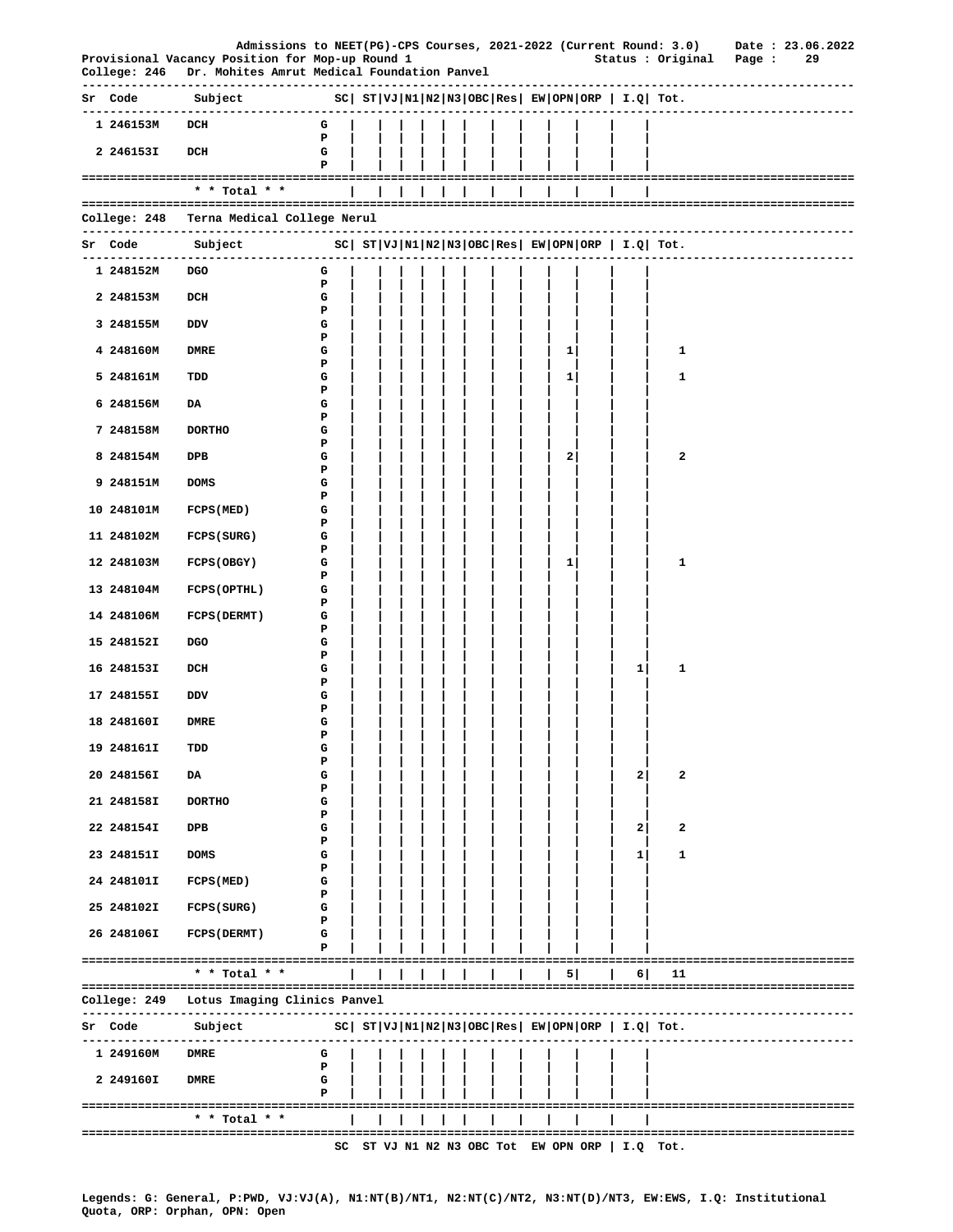|                 | Provisional Vacancy Position for Mop-up Round 1                                                        |             |  |  |  |  |              |                                                 | Admissions to NEET(PG)-CPS Courses, 2021-2022 (Current Round: 3.0) Date: 23.06.2022<br>Status : Original Page : |                           | 29 |
|-----------------|--------------------------------------------------------------------------------------------------------|-------------|--|--|--|--|--------------|-------------------------------------------------|-----------------------------------------------------------------------------------------------------------------|---------------------------|----|
|                 | College: 246 Dr. Mohites Amrut Medical Foundation Panvel                                               |             |  |  |  |  |              |                                                 |                                                                                                                 |                           |    |
|                 | Sr Code Subject $SC  ST VJ N1 N2 N3 OBC Res  EW OPN ORP   I.Q  Tot.$<br>------------------------------ |             |  |  |  |  |              |                                                 |                                                                                                                 |                           |    |
| 1 246153M DCH   |                                                                                                        | G           |  |  |  |  |              |                                                 |                                                                                                                 |                           |    |
| 2 246153I       | DCH                                                                                                    | Р<br>G<br>Р |  |  |  |  |              |                                                 |                                                                                                                 |                           |    |
|                 | $*$ * Total * *                                                                                        |             |  |  |  |  |              |                                                 |                                                                                                                 |                           |    |
|                 | College: 248   Terna Medical College Nerul                                                             |             |  |  |  |  |              |                                                 |                                                                                                                 |                           |    |
| Sr Code Subject |                                                                                                        |             |  |  |  |  |              |                                                 | $ SC $ $ST VJ N1 N2 N3 OBC Res EW OPN ORP I.Q Tot.$                                                             |                           |    |
| 1 248152M DGO   |                                                                                                        | G           |  |  |  |  |              |                                                 |                                                                                                                 | ------------------------- |    |
| 2 248153M       | DCH                                                                                                    | P<br>G      |  |  |  |  |              |                                                 |                                                                                                                 |                           |    |
| 3 248155M       | DDV                                                                                                    | Р<br>G      |  |  |  |  |              |                                                 |                                                                                                                 |                           |    |
|                 | <b>DMRE</b>                                                                                            | P           |  |  |  |  |              |                                                 | 1                                                                                                               |                           |    |
| 4 248160M       |                                                                                                        | G<br>Р      |  |  |  |  | 1            |                                                 |                                                                                                                 |                           |    |
| 5 248161M       | TDD                                                                                                    | G<br>Р      |  |  |  |  | $1 \vert$    |                                                 | 1                                                                                                               |                           |    |
| 6 248156M       | DA                                                                                                     | G<br>Р      |  |  |  |  |              |                                                 |                                                                                                                 |                           |    |
| 7 248158M       | <b>DORTHO</b>                                                                                          | G           |  |  |  |  |              |                                                 |                                                                                                                 |                           |    |
| 8 248154M       | DPB                                                                                                    | Р<br>G      |  |  |  |  | $\mathbf{2}$ |                                                 | 2                                                                                                               |                           |    |
| 9 248151M       | <b>DOMS</b>                                                                                            | Р<br>G      |  |  |  |  |              |                                                 |                                                                                                                 |                           |    |
| 10 248101M      | <b>FCPS (MED)</b>                                                                                      | Р<br>G      |  |  |  |  |              |                                                 |                                                                                                                 |                           |    |
| 11 248102M      | <b>FCPS (SURG)</b>                                                                                     | Р<br>G      |  |  |  |  |              |                                                 |                                                                                                                 |                           |    |
| 12 248103M      | FCPS (OBGY)                                                                                            | Р<br>G      |  |  |  |  | 1            |                                                 | 1                                                                                                               |                           |    |
|                 |                                                                                                        | Р           |  |  |  |  |              |                                                 |                                                                                                                 |                           |    |
| 13 248104M      | FCPS (OPTHL)                                                                                           | G<br>Р      |  |  |  |  |              |                                                 |                                                                                                                 |                           |    |
| 14 248106M      | <b>FCPS (DERMT)</b>                                                                                    | G<br>Р      |  |  |  |  |              |                                                 |                                                                                                                 |                           |    |
| 15 248152I      | <b>DGO</b>                                                                                             | G<br>Р      |  |  |  |  |              |                                                 |                                                                                                                 |                           |    |
| 16 248153I      | DCH                                                                                                    | G<br>Р      |  |  |  |  |              | 1                                               | 1                                                                                                               |                           |    |
| 17 248155I      | DDV                                                                                                    | G<br>Р      |  |  |  |  |              |                                                 |                                                                                                                 |                           |    |
| 18 248160I      | <b>DMRE</b>                                                                                            | G           |  |  |  |  |              |                                                 |                                                                                                                 |                           |    |
| 19 248161I      | TDD                                                                                                    | Р<br>G      |  |  |  |  |              |                                                 |                                                                                                                 |                           |    |
| 20 248156I      | DA                                                                                                     | Ъ<br>G      |  |  |  |  |              | 2                                               | 2                                                                                                               |                           |    |
| 21 248158I      | <b>DORTHO</b>                                                                                          | Р<br>G      |  |  |  |  |              |                                                 |                                                                                                                 |                           |    |
| 22 248154I      | DPB                                                                                                    | Р<br>G      |  |  |  |  |              | $\mathbf{2}$                                    | 2                                                                                                               |                           |    |
| 23 248151I      | <b>DOMS</b>                                                                                            | P<br>G      |  |  |  |  |              | 1                                               | 1                                                                                                               |                           |    |
|                 |                                                                                                        | Р           |  |  |  |  |              |                                                 |                                                                                                                 |                           |    |
| 24 248101I      | FCPS (MED)                                                                                             | G<br>Р      |  |  |  |  |              |                                                 |                                                                                                                 |                           |    |
| 25 248102I      | FCPS (SURG)                                                                                            | G<br>P      |  |  |  |  |              |                                                 |                                                                                                                 |                           |    |
| 26 248106I      | <b>FCPS (DERMT)</b>                                                                                    | G<br>P      |  |  |  |  |              |                                                 |                                                                                                                 |                           |    |
|                 | * * Total * *                                                                                          |             |  |  |  |  | 5            | 6                                               | 11                                                                                                              |                           |    |
|                 | College: 249 - Lotus Imaging Clinics Panvel<br>--------------------------------                        |             |  |  |  |  |              |                                                 |                                                                                                                 |                           |    |
| Sr Code         | Subject<br>------------------------------                                                              |             |  |  |  |  |              |                                                 | $ SC $ $ST VJ N1 N2 N3 OBC Res EW OPN ORP I.Q Tot.$                                                             | ---------------------     |    |
| 1 249160M       | DMRE                                                                                                   | G           |  |  |  |  |              |                                                 |                                                                                                                 |                           |    |
| 2 249160I       | <b>DMRE</b>                                                                                            | P<br>G      |  |  |  |  |              |                                                 |                                                                                                                 |                           |    |
|                 |                                                                                                        | P           |  |  |  |  |              |                                                 |                                                                                                                 |                           |    |
|                 | * * Total * *<br>==================================                                                    |             |  |  |  |  |              |                                                 |                                                                                                                 |                           |    |
|                 |                                                                                                        |             |  |  |  |  |              | SC ST VJ N1 N2 N3 OBC Tot EW OPN ORP   I.Q Tot. |                                                                                                                 |                           |    |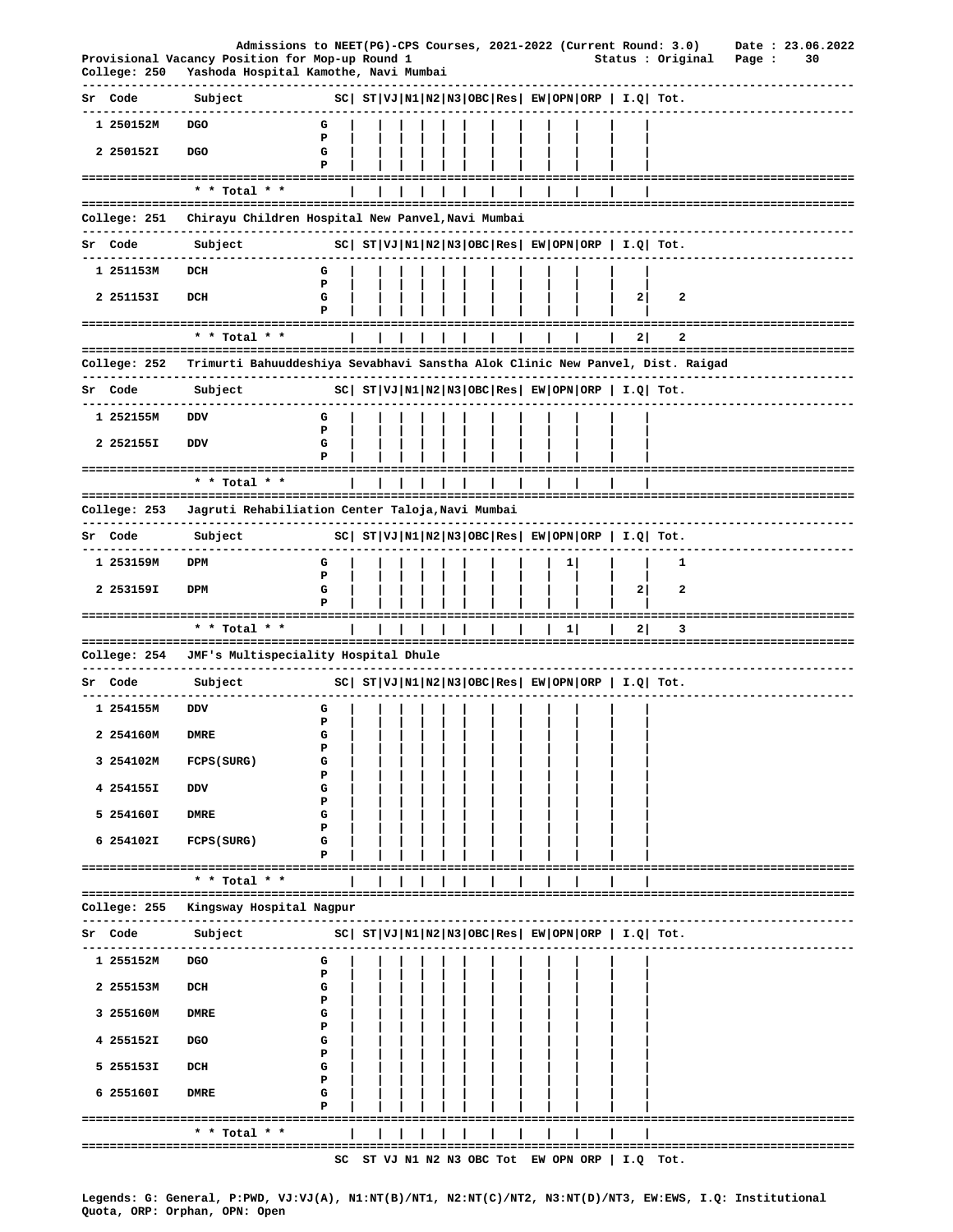|    | College: 250             | Admissions to NEET(PG)-CPS Courses, 2021-2022 (Current Round: 3.0)<br>Provisional Vacancy Position for Mop-up Round 1<br>Yashoda Hospital Kamothe, Navi Mumbai |             |  |  |  |  |    |                | Status : Original                                              | Page : | Date: 23.06.2022<br>30      |
|----|--------------------------|----------------------------------------------------------------------------------------------------------------------------------------------------------------|-------------|--|--|--|--|----|----------------|----------------------------------------------------------------|--------|-----------------------------|
|    | Sr Code                  | Subject                                                                                                                                                        |             |  |  |  |  |    |                | $ SC $ $ST VJ N1 N2 N3 OBC Res EW OPN ORP  I.Q  Tot.$          |        |                             |
|    | -----------<br>1 250152M | DGO                                                                                                                                                            | G           |  |  |  |  |    |                |                                                                |        |                             |
|    | 2 250152I                | <b>DGO</b>                                                                                                                                                     | Р<br>G<br>P |  |  |  |  |    |                |                                                                |        |                             |
|    |                          | * * Total * *                                                                                                                                                  |             |  |  |  |  |    |                |                                                                |        |                             |
|    | College: 251             | Chirayu Children Hospital New Panvel, Navi Mumbai                                                                                                              |             |  |  |  |  |    |                |                                                                |        |                             |
|    |                          | -----------                                                                                                                                                    |             |  |  |  |  |    |                |                                                                |        |                             |
|    | Sr Code                  | Subject                                                                                                                                                        |             |  |  |  |  |    |                | $ SC $ $ST VJ N1 N2 N3 OBC Res $ $EW OPN ORP$   $I.Q$ Tot.     |        |                             |
|    | 1 251153M                | DCH                                                                                                                                                            | G<br>P      |  |  |  |  |    |                |                                                                |        |                             |
|    | 2 2511531                | DCH                                                                                                                                                            | G<br>Р      |  |  |  |  |    | $\mathbf{2}$   | 2                                                              |        |                             |
|    |                          | ===================================<br>* * Total * *                                                                                                           |             |  |  |  |  |    | 2 <sub>1</sub> | 2                                                              |        |                             |
|    |                          |                                                                                                                                                                |             |  |  |  |  |    |                |                                                                |        | :========================== |
|    | College: 252             | Trimurti Bahuuddeshiya Sevabhavi Sanstha Alok Clinic New Panvel, Dist. Raigad                                                                                  |             |  |  |  |  |    |                |                                                                |        |                             |
|    | Sr Code                  | Subject                                                                                                                                                        |             |  |  |  |  |    |                | $ SC $ $ST VJ N1 N2 N3 OBC Res $ $EW OPN ORP$   $I.Q$   $Tot.$ |        |                             |
|    | 1 252155M                | DDV                                                                                                                                                            | G<br>P      |  |  |  |  |    |                |                                                                |        |                             |
|    | 2 252155I                | DDV                                                                                                                                                            | G           |  |  |  |  |    |                |                                                                |        |                             |
|    |                          | =================================<br>* * Total * *                                                                                                             |             |  |  |  |  |    |                |                                                                |        |                             |
|    | College: 253             | Jagruti Rehabiliation Center Taloja, Navi Mumbai                                                                                                               |             |  |  |  |  |    |                |                                                                |        |                             |
|    | Sr Code                  | ----------------<br>Subject                                                                                                                                    |             |  |  |  |  |    |                | $ SC $ $ST VJ N1 N2 N3 OBC Res $ $EW OPN ORP$   $I.Q$ Tot.     |        |                             |
|    | 1 253159M                | DPM                                                                                                                                                            | G           |  |  |  |  | 1  |                | 1                                                              |        |                             |
|    |                          |                                                                                                                                                                | P           |  |  |  |  |    |                |                                                                |        |                             |
|    | 2 253159I                | DPM                                                                                                                                                            | G<br>P      |  |  |  |  |    | $\mathbf{2}$   | 2                                                              |        |                             |
|    |                          | ===============<br>* * Total * *                                                                                                                               |             |  |  |  |  | 11 | 2              | з                                                              |        |                             |
|    | College: 254             | JMF's Multispeciality Hospital Dhule                                                                                                                           |             |  |  |  |  |    |                |                                                                |        |                             |
| Sr | Code                     | Subject                                                                                                                                                        |             |  |  |  |  |    |                | $ SC $ $ST VJ N1 N2 N3 OBC Res $ $EW OPN ORP$   $I.Q$ Tot.     |        |                             |
|    | 1 254155M                | <b>DDV</b>                                                                                                                                                     |             |  |  |  |  |    |                |                                                                |        |                             |
|    |                          |                                                                                                                                                                | G<br>P      |  |  |  |  |    |                |                                                                |        |                             |
|    | 2 254160M                | <b>DMRE</b>                                                                                                                                                    | G<br>Р      |  |  |  |  |    |                |                                                                |        |                             |
|    | 3 254102M                | <b>FCPS (SURG)</b>                                                                                                                                             | G<br>Ъ      |  |  |  |  |    |                |                                                                |        |                             |
|    | 4 254155I                | DDV                                                                                                                                                            | G<br>P      |  |  |  |  |    |                |                                                                |        |                             |
|    | 5 254160I                | <b>DMRE</b>                                                                                                                                                    | G<br>Р      |  |  |  |  |    |                |                                                                |        |                             |
|    | 6 254102I                | <b>FCPS (SURG)</b>                                                                                                                                             | G           |  |  |  |  |    |                |                                                                |        |                             |
|    |                          | ===========================                                                                                                                                    | Р           |  |  |  |  |    |                |                                                                |        |                             |
|    |                          | * * Total * *                                                                                                                                                  |             |  |  |  |  |    |                |                                                                |        |                             |
|    | College: 255             | Kingsway Hospital Nagpur                                                                                                                                       |             |  |  |  |  |    |                |                                                                |        |                             |
|    | Sr Code<br>------------  | Subject                                                                                                                                                        |             |  |  |  |  |    |                | $ SC $ $ST VJ N1 N2 N3 OBC Res $ $EW OPN ORP$   $I.Q$ Tot.     |        |                             |
|    | 1 255152M                | <b>DGO</b>                                                                                                                                                     | G           |  |  |  |  |    |                |                                                                |        |                             |
|    | 2 255153M                | DCH                                                                                                                                                            | P<br>G      |  |  |  |  |    |                |                                                                |        |                             |
|    | 3 255160M                | <b>DMRE</b>                                                                                                                                                    | Р<br>G      |  |  |  |  |    |                |                                                                |        |                             |
|    | 4 255152I                | <b>DGO</b>                                                                                                                                                     | P<br>G      |  |  |  |  |    |                |                                                                |        |                             |
|    | 5 255153I                | DCH                                                                                                                                                            | Р<br>G      |  |  |  |  |    |                |                                                                |        |                             |
|    |                          |                                                                                                                                                                | Р           |  |  |  |  |    |                |                                                                |        |                             |
|    | 6 255160I                | DMRE                                                                                                                                                           | G<br>P      |  |  |  |  |    |                |                                                                |        |                             |
|    |                          | * * Total * *                                                                                                                                                  |             |  |  |  |  |    |                | -------------------------------------                          |        |                             |
|    |                          |                                                                                                                                                                |             |  |  |  |  |    |                | SC ST VJ N1 N2 N3 OBC Tot EW OPN ORP $ $ I.Q Tot.              |        |                             |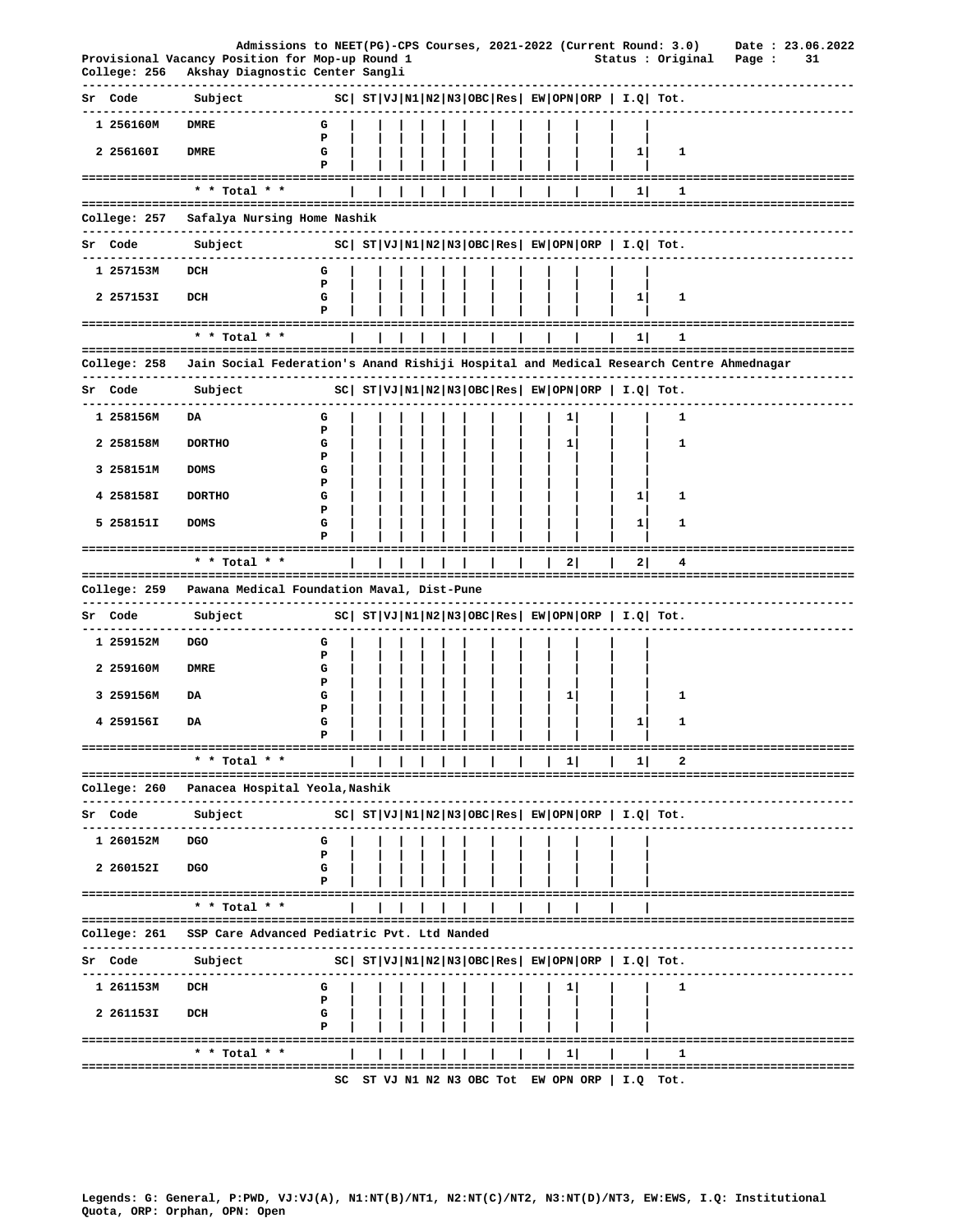|    |              | Admissions to NEET(PG)-CPS Courses, 2021-2022 (Current Round: 3.0)                                                |                                                                     |  |  |  |  |              |                                                            |                                                                                                            |                           |    | Date: 23.06.2022 |
|----|--------------|-------------------------------------------------------------------------------------------------------------------|---------------------------------------------------------------------|--|--|--|--|--------------|------------------------------------------------------------|------------------------------------------------------------------------------------------------------------|---------------------------|----|------------------|
|    | College: 256 | Provisional Vacancy Position for Mop-up Round 1<br>Akshay Diagnostic Center Sangli<br>--------------------------- |                                                                     |  |  |  |  |              |                                                            | Status : Original<br>-------------------------------                                                       | Page :                    | 31 |                  |
|    | Sr Code      | Subject                                                                                                           | $SC \mid ST VJ N1 N2 N3 OBC Res \mid EW OPN ORP \mid I.Q \mid Tot.$ |  |  |  |  |              |                                                            |                                                                                                            |                           |    |                  |
|    | 1 256160M    | <b>DMRE</b>                                                                                                       | G<br>P                                                              |  |  |  |  |              |                                                            |                                                                                                            |                           |    |                  |
|    | 2 256160I    | <b>DMRE</b>                                                                                                       | G<br>Р                                                              |  |  |  |  |              | $1\vert$                                                   | 1                                                                                                          |                           |    |                  |
|    |              | ===========================<br>* * Total * *                                                                      |                                                                     |  |  |  |  |              | 11                                                         | 1                                                                                                          |                           |    |                  |
|    | College: 257 | Safalya Nursing Home Nashik                                                                                       |                                                                     |  |  |  |  |              |                                                            |                                                                                                            |                           |    |                  |
|    | Sr Code      | -----------------------------<br>Subject                                                                          |                                                                     |  |  |  |  |              |                                                            | $ SC $ $ST VJ N1 N2 N3 OBC Res EW OPN ORP  I.Q  Tot.$                                                      |                           |    |                  |
|    |              | -------------                                                                                                     |                                                                     |  |  |  |  |              |                                                            |                                                                                                            |                           |    |                  |
|    | 1 257153M    | DCH                                                                                                               | G<br>Р                                                              |  |  |  |  |              |                                                            |                                                                                                            |                           |    |                  |
|    | 2 257153I    | DCH                                                                                                               | G<br>P                                                              |  |  |  |  |              | 1                                                          | 1                                                                                                          |                           |    |                  |
|    |              | * * Total * *                                                                                                     |                                                                     |  |  |  |  |              | 11                                                         | 1                                                                                                          |                           |    |                  |
|    | College: 258 | Jain Social Federation's Anand Rishiji Hospital and Medical Research Centre Ahmednagar                            |                                                                     |  |  |  |  |              |                                                            |                                                                                                            |                           |    |                  |
|    | Sr Code      | --------------------------------<br>Subject                                                                       |                                                                     |  |  |  |  |              |                                                            | ---------------------------------<br>$ SC $ ST $ VJ $ N1 $ N2 N3 $ OBC $ Res $ EW $ OPN $ ORP $ I.Q $ Tot. |                           |    |                  |
|    | 1 258156M    | DA                                                                                                                | G                                                                   |  |  |  |  |              |                                                            | 1                                                                                                          |                           |    |                  |
|    |              |                                                                                                                   | Ъ                                                                   |  |  |  |  |              |                                                            |                                                                                                            |                           |    |                  |
|    | 2 258158M    | <b>DORTHO</b>                                                                                                     | G<br>P                                                              |  |  |  |  | 1            |                                                            | 1                                                                                                          |                           |    |                  |
|    | 3 258151M    | <b>DOMS</b>                                                                                                       | G<br>Р                                                              |  |  |  |  |              |                                                            |                                                                                                            |                           |    |                  |
|    | 4 258158I    | <b>DORTHO</b>                                                                                                     | G<br>Р                                                              |  |  |  |  |              | 1                                                          | 1                                                                                                          |                           |    |                  |
|    | 5 258151I    | <b>DOMS</b>                                                                                                       | G<br>Р                                                              |  |  |  |  |              | $1\vert$                                                   | 1                                                                                                          |                           |    |                  |
|    |              | ---------------------------                                                                                       |                                                                     |  |  |  |  |              |                                                            |                                                                                                            |                           |    |                  |
|    |              | * * Total * *                                                                                                     |                                                                     |  |  |  |  | 21           | 2                                                          | 4                                                                                                          |                           |    |                  |
|    |              | College: 259   Pawana Medical Foundation Maval, Dist-Pune<br>-------------------------                            |                                                                     |  |  |  |  |              |                                                            |                                                                                                            |                           |    |                  |
|    | Sr Code      | Subject                                                                                                           |                                                                     |  |  |  |  |              |                                                            | $ SC $ $ST VJ N1 N2 N3 OBC Res EW OPN ORP  I.Q  Tot.$                                                      |                           |    |                  |
|    | 1 259152M    | <b>DGO</b>                                                                                                        | G                                                                   |  |  |  |  |              |                                                            |                                                                                                            |                           |    |                  |
|    | 2 259160M    | <b>DMRE</b>                                                                                                       | Р<br>G                                                              |  |  |  |  |              |                                                            |                                                                                                            |                           |    |                  |
|    | 3 259156M    | DA                                                                                                                | Р<br>G                                                              |  |  |  |  | $\mathbf{1}$ |                                                            | 1                                                                                                          |                           |    |                  |
|    |              |                                                                                                                   | Р                                                                   |  |  |  |  |              |                                                            |                                                                                                            |                           |    |                  |
|    | 4 259156I    | DA                                                                                                                | G<br>Ъ                                                              |  |  |  |  |              | 1                                                          | 1                                                                                                          |                           |    |                  |
|    |              | * * Total * *                                                                                                     |                                                                     |  |  |  |  | $\mathbf{1}$ | 1                                                          |                                                                                                            |                           |    |                  |
|    | College: 260 | Panacea Hospital Yeola, Nashik                                                                                    |                                                                     |  |  |  |  |              |                                                            | ----------------------------------                                                                         |                           |    |                  |
| Sr | Code         | Subject                                                                                                           |                                                                     |  |  |  |  |              | $ SC $ $ST VJ N1 N2 N3 OBC Res $ $EW OPN ORP$   $I.Q$ Tot. |                                                                                                            |                           |    |                  |
|    | 1 260152M    | <b>DGO</b>                                                                                                        | G                                                                   |  |  |  |  |              |                                                            |                                                                                                            |                           |    |                  |
|    | 2 260152I    | <b>DGO</b>                                                                                                        | Р<br>G                                                              |  |  |  |  |              |                                                            |                                                                                                            |                           |    |                  |
|    |              |                                                                                                                   |                                                                     |  |  |  |  |              |                                                            |                                                                                                            |                           |    |                  |
|    |              | * * Total * *                                                                                                     |                                                                     |  |  |  |  |              |                                                            |                                                                                                            |                           |    |                  |
|    | College: 261 | SSP Care Advanced Pediatric Pvt. Ltd Nanded                                                                       |                                                                     |  |  |  |  |              |                                                            | ------------------------------                                                                             |                           |    |                  |
|    | Sr Code      | Subject                                                                                                           |                                                                     |  |  |  |  |              | $ SC $ $ST VJ N1 N2 N3 OBC Res $ $EW OPN ORP$   $I.Q$ Tot. |                                                                                                            |                           |    |                  |
|    | 1 261153M    | DCH                                                                                                               | G                                                                   |  |  |  |  |              |                                                            | 1                                                                                                          |                           |    |                  |
|    | 2 261153I    | DCH                                                                                                               | Р<br>G                                                              |  |  |  |  |              |                                                            |                                                                                                            |                           |    |                  |
|    |              |                                                                                                                   | Р                                                                   |  |  |  |  |              |                                                            |                                                                                                            |                           |    |                  |
|    | =========    | * * Total * *                                                                                                     |                                                                     |  |  |  |  | 11           |                                                            | 1                                                                                                          | ------------------------- |    |                  |
|    |              | ================================                                                                                  | SC                                                                  |  |  |  |  |              | ST VJ N1 N2 N3 OBC Tot EW OPN ORP   I.Q Tot.               | ===================================                                                                        |                           |    |                  |